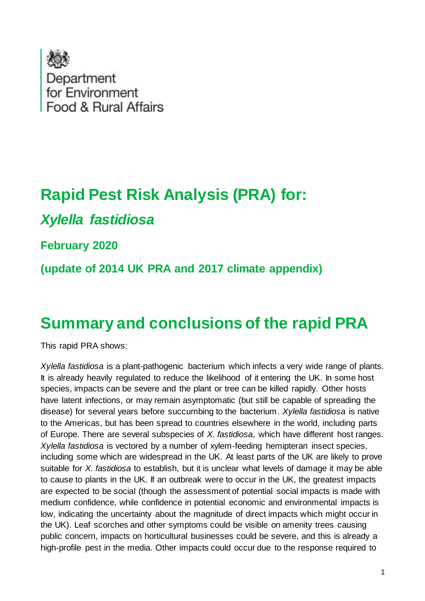

# **Rapid Pest Risk Analysis (PRA) for:**

# *Xylella fastidiosa*

### **February 2020**

**(update of 2014 UK PRA and 2017 climate appendix)**

# **Summary and conclusions of the rapid PRA**

This rapid PRA shows:

*Xylella fastidiosa* is a plant-pathogenic bacterium which infects a very wide range of plants. It is already heavily regulated to reduce the likelihood of it entering the UK. In some host species, impacts can be severe and the plant or tree can be killed rapidly. Other hosts have latent infections, or may remain asymptomatic (but still be capable of spreading the disease) for several years before succumbing to the bacterium. *Xylella fastidiosa* is native to the Americas, but has been spread to countries elsewhere in the world, including parts of Europe. There are several subspecies of *X. fastidiosa*, which have different host ranges. *Xylella fastidiosa* is vectored by a number of xylem-feeding hemipteran insect species, including some which are widespread in the UK. At least parts of the UK are likely to prove suitable for *X. fastidiosa* to establish, but it is unclear what levels of damage it may be able to cause to plants in the UK. If an outbreak were to occur in the UK, the greatest impacts are expected to be social (though the assessment of potential social impacts is made with medium confidence, while confidence in potential economic and environmental impacts is low, indicating the uncertainty about the magnitude of direct impacts which might occur in the UK). Leaf scorches and other symptoms could be visible on amenity trees causing public concern, impacts on horticultural businesses could be severe, and this is already a high-profile pest in the media. Other impacts could occur due to the response required to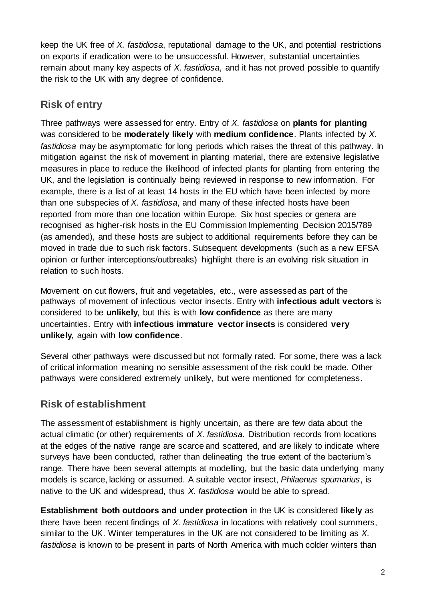keep the UK free of *X. fastidiosa*, reputational damage to the UK, and potential restrictions on exports if eradication were to be unsuccessful. However, substantial uncertainties remain about many key aspects of *X. fastidiosa*, and it has not proved possible to quantify the risk to the UK with any degree of confidence.

### **Risk of entry**

Three pathways were assessed for entry. Entry of *X. fastidiosa* on **plants for planting** was considered to be **moderately likely** with **medium confidence**. Plants infected by *X. fastidiosa* may be asymptomatic for long periods which raises the threat of this pathway. In mitigation against the risk of movement in planting material, there are extensive legislative measures in place to reduce the likelihood of infected plants for planting from entering the UK, and the legislation is continually being reviewed in response to new information. For example, there is a list of at least 14 hosts in the EU which have been infected by more than one subspecies of *X. fastidiosa*, and many of these infected hosts have been reported from more than one location within Europe. Six host species or genera are recognised as higher-risk hosts in the EU Commission Implementing Decision 2015/789 (as amended), and these hosts are subject to additional requirements before they can be moved in trade due to such risk factors. Subsequent developments (such as a new EFSA opinion or further interceptions/outbreaks) highlight there is an evolving risk situation in relation to such hosts.

Movement on cut flowers, fruit and vegetables, etc., were assessed as part of the pathways of movement of infectious vector insects. Entry with **infectious adult vectors** is considered to be **unlikely**, but this is with **low confidence** as there are many uncertainties. Entry with **infectious immature vector insects** is considered **very unlikely**, again with **low confidence**.

Several other pathways were discussed but not formally rated. For some, there was a lack of critical information meaning no sensible assessment of the risk could be made. Other pathways were considered extremely unlikely, but were mentioned for completeness.

### **Risk of establishment**

The assessment of establishment is highly uncertain, as there are few data about the actual climatic (or other) requirements of *X. fastidiosa*. Distribution records from locations at the edges of the native range are scarce and scattered, and are likely to indicate where surveys have been conducted, rather than delineating the true extent of the bacterium's range. There have been several attempts at modelling, but the basic data underlying many models is scarce, lacking or assumed. A suitable vector insect, *Philaenus spumarius*, is native to the UK and widespread, thus *X. fastidiosa* would be able to spread.

**Establishment both outdoors and under protection** in the UK is considered **likely** as there have been recent findings of *X. fastidiosa* in locations with relatively cool summers, similar to the UK. Winter temperatures in the UK are not considered to be limiting as *X. fastidiosa* is known to be present in parts of North America with much colder winters than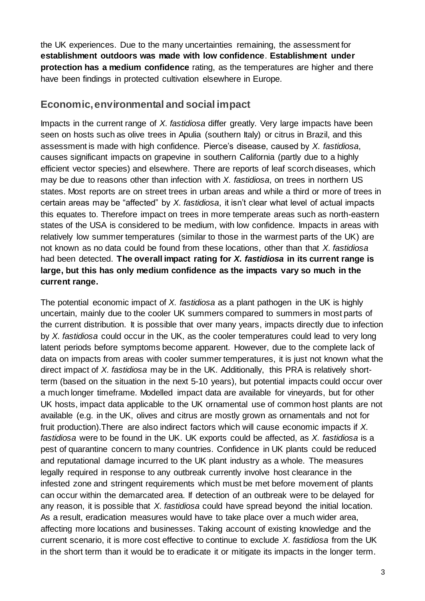the UK experiences. Due to the many uncertainties remaining, the assessment for **establishment outdoors was made with low confidence**. **Establishment under protection has a medium confidence** rating, as the temperatures are higher and there have been findings in protected cultivation elsewhere in Europe.

#### **Economic,environmental and social impact**

Impacts in the current range of *X. fastidiosa* differ greatly. Very large impacts have been seen on hosts such as olive trees in Apulia (southern Italy) or citrus in Brazil, and this assessment is made with high confidence. Pierce's disease, caused by *X. fastidiosa*, causes significant impacts on grapevine in southern California (partly due to a highly efficient vector species) and elsewhere. There are reports of leaf scorch diseases, which may be due to reasons other than infection with *X. fastidiosa*, on trees in northern US states. Most reports are on street trees in urban areas and while a third or more of trees in certain areas may be "affected" by *X. fastidiosa*, it isn't clear what level of actual impacts this equates to. Therefore impact on trees in more temperate areas such as north-eastern states of the USA is considered to be medium, with low confidence. Impacts in areas with relatively low summer temperatures (similar to those in the warmest parts of the UK) are not known as no data could be found from these locations, other than that *X. fastidiosa* had been detected. **The overall impact rating for** *X. fastidiosa* **in its current range is large, but this has only medium confidence as the impacts vary so much in the current range.**

The potential economic impact of *X. fastidiosa* as a plant pathogen in the UK is highly uncertain, mainly due to the cooler UK summers compared to summers in most parts of the current distribution. It is possible that over many years, impacts directly due to infection by *X. fastidiosa* could occur in the UK, as the cooler temperatures could lead to very long latent periods before symptoms become apparent. However, due to the complete lack of data on impacts from areas with cooler summer temperatures, it is just not known what the direct impact of *X. fastidiosa* may be in the UK. Additionally, this PRA is relatively shortterm (based on the situation in the next 5-10 years), but potential impacts could occur over a much longer timeframe. Modelled impact data are available for vineyards, but for other UK hosts, impact data applicable to the UK ornamental use of common host plants are not available (e.g. in the UK, olives and citrus are mostly grown as ornamentals and not for fruit production).There are also indirect factors which will cause economic impacts if *X. fastidiosa* were to be found in the UK. UK exports could be affected, as *X. fastidiosa* is a pest of quarantine concern to many countries. Confidence in UK plants could be reduced and reputational damage incurred to the UK plant industry as a whole. The measures legally required in response to any outbreak currently involve host clearance in the infested zone and stringent requirements which must be met before movement of plants can occur within the demarcated area. If detection of an outbreak were to be delayed for any reason, it is possible that *X. fastidiosa* could have spread beyond the initial location. As a result, eradication measures would have to take place over a much wider area, affecting more locations and businesses. Taking account of existing knowledge and the current scenario, it is more cost effective to continue to exclude *X. fastidiosa* from the UK in the short term than it would be to eradicate it or mitigate its impacts in the longer term.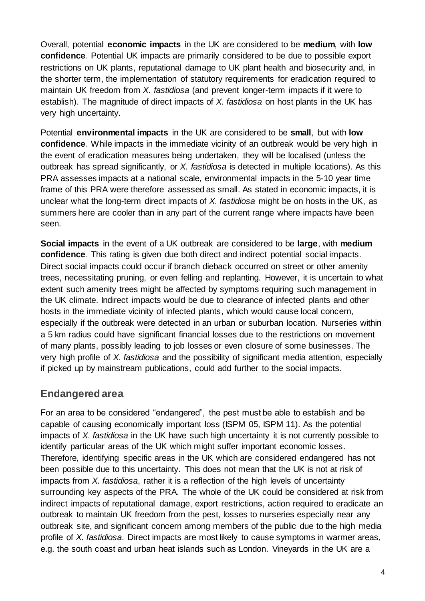Overall, potential **economic impacts** in the UK are considered to be **medium**, with **low confidence**. Potential UK impacts are primarily considered to be due to possible export restrictions on UK plants, reputational damage to UK plant health and biosecurity and, in the shorter term, the implementation of statutory requirements for eradication required to maintain UK freedom from *X. fastidiosa* (and prevent longer-term impacts if it were to establish). The magnitude of direct impacts of *X. fastidiosa* on host plants in the UK has very high uncertainty.

Potential **environmental impacts** in the UK are considered to be **small**, but with **low confidence**. While impacts in the immediate vicinity of an outbreak would be very high in the event of eradication measures being undertaken, they will be localised (unless the outbreak has spread significantly, or *X. fastidiosa* is detected in multiple locations). As this PRA assesses impacts at a national scale, environmental impacts in the 5-10 year time frame of this PRA were therefore assessed as small. As stated in economic impacts, it is unclear what the long-term direct impacts of *X. fastidiosa* might be on hosts in the UK, as summers here are cooler than in any part of the current range where impacts have been seen.

**Social impacts** in the event of a UK outbreak are considered to be **large**, with **medium confidence**. This rating is given due both direct and indirect potential social impacts. Direct social impacts could occur if branch dieback occurred on street or other amenity trees, necessitating pruning, or even felling and replanting. However, it is uncertain to what extent such amenity trees might be affected by symptoms requiring such management in the UK climate. Indirect impacts would be due to clearance of infected plants and other hosts in the immediate vicinity of infected plants, which would cause local concern, especially if the outbreak were detected in an urban or suburban location. Nurseries within a 5 km radius could have significant financial losses due to the restrictions on movement of many plants, possibly leading to job losses or even closure of some businesses. The very high profile of *X. fastidiosa* and the possibility of significant media attention, especially if picked up by mainstream publications, could add further to the social impacts.

### **Endangered area**

For an area to be considered "endangered", the pest must be able to establish and be capable of causing economically important loss (ISPM 05, ISPM 11). As the potential impacts of *X. fastidiosa* in the UK have such high uncertainty it is not currently possible to identify particular areas of the UK which might suffer important economic losses. Therefore, identifying specific areas in the UK which are considered endangered has not been possible due to this uncertainty. This does not mean that the UK is not at risk of impacts from *X. fastidiosa*, rather it is a reflection of the high levels of uncertainty surrounding key aspects of the PRA. The whole of the UK could be considered at risk from indirect impacts of reputational damage, export restrictions, action required to eradicate an outbreak to maintain UK freedom from the pest, losses to nurseries especially near any outbreak site, and significant concern among members of the public due to the high media profile of *X. fastidiosa*. Direct impacts are most likely to cause symptoms in warmer areas, e.g. the south coast and urban heat islands such as London. Vineyards in the UK are a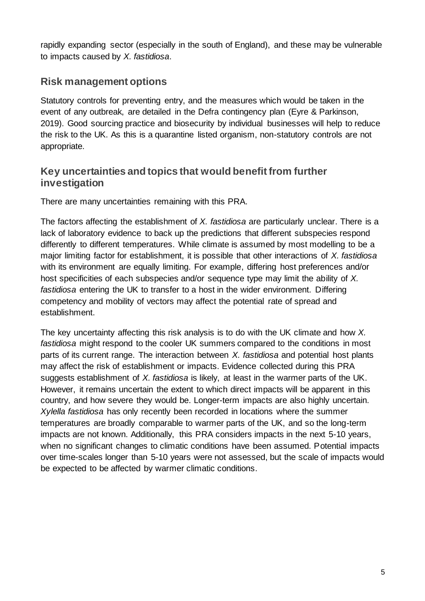rapidly expanding sector (especially in the south of England), and these may be vulnerable to impacts caused by *X. fastidiosa*.

### **Risk management options**

Statutory controls for preventing entry, and the measures which would be taken in the event of any outbreak, are detailed in the Defra contingency plan (Eyre & Parkinson, 2019). Good sourcing practice and biosecurity by individual businesses will help to reduce the risk to the UK. As this is a quarantine listed organism, non-statutory controls are not appropriate.

#### **Key uncertainties and topics that would benefit from further investigation**

There are many uncertainties remaining with this PRA.

The factors affecting the establishment of *X. fastidiosa* are particularly unclear. There is a lack of laboratory evidence to back up the predictions that different subspecies respond differently to different temperatures. While climate is assumed by most modelling to be a major limiting factor for establishment, it is possible that other interactions of *X. fastidiosa* with its environment are equally limiting. For example, differing host preferences and/or host specificities of each subspecies and/or sequence type may limit the ability of *X. fastidiosa* entering the UK to transfer to a host in the wider environment. Differing competency and mobility of vectors may affect the potential rate of spread and establishment.

The key uncertainty affecting this risk analysis is to do with the UK climate and how *X. fastidiosa* might respond to the cooler UK summers compared to the conditions in most parts of its current range. The interaction between *X. fastidiosa* and potential host plants may affect the risk of establishment or impacts. Evidence collected during this PRA suggests establishment of *X. fastidiosa* is likely, at least in the warmer parts of the UK. However, it remains uncertain the extent to which direct impacts will be apparent in this country, and how severe they would be. Longer-term impacts are also highly uncertain. *Xylella fastidiosa* has only recently been recorded in locations where the summer temperatures are broadly comparable to warmer parts of the UK, and so the long-term impacts are not known. Additionally, this PRA considers impacts in the next 5-10 years, when no significant changes to climatic conditions have been assumed. Potential impacts over time-scales longer than 5-10 years were not assessed, but the scale of impacts would be expected to be affected by warmer climatic conditions.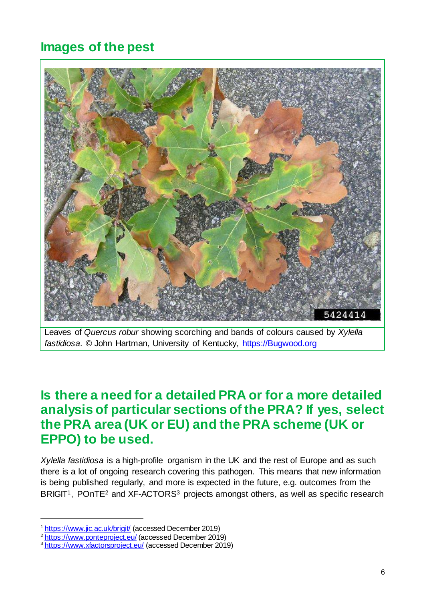# **Images of the pest**



Leaves of *Quercus robur* showing scorching and bands of colours caused by *Xylella fastidiosa*. © John Hartman, University of Kentucky, [https://Bugwood.org](https://bugwood.org/)

## **Is there a need for a detailed PRA or for a more detailed analysis of particular sections of the PRA? If yes, select the PRA area (UK or EU) and the PRA scheme (UK or EPPO) to be used.**

*Xylella fastidiosa* is a high-profile organism in the UK and the rest of Europe and as such there is a lot of ongoing research covering this pathogen. This means that new information is being published regularly, and more is expected in the future, e.g. outcomes from the BRIGIT<sup>1</sup>, POnTE<sup>2</sup> and XF-ACTORS<sup>3</sup> projects amongst others, as well as specific research

1

<sup>&</sup>lt;sup>1</sup> <https://www.jic.ac.uk/brigit/> (accessed December 2019)

<sup>2</sup> <https://www.ponteproject.eu/> (accessed December 2019)

<sup>3</sup> <https://www.xfactorsproject.eu/> (accessed December 2019)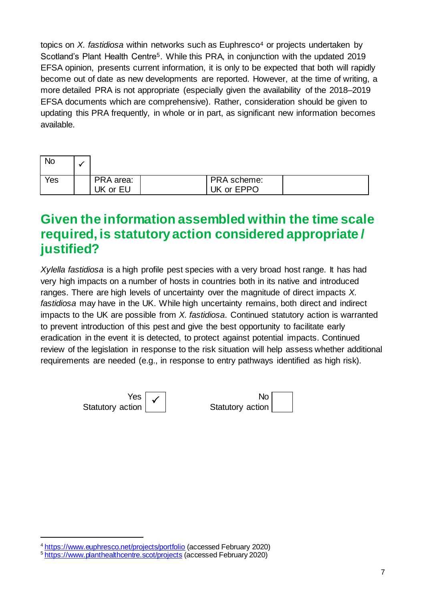topics on *X. fastidiosa* within networks such as Euphresco<sup>4</sup> or projects undertaken by Scotland's Plant Health Centre<sup>5</sup>. While this PRA, in conjunction with the updated 2019 EFSA opinion, presents current information, it is only to be expected that both will rapidly become out of date as new developments are reported. However, at the time of writing, a more detailed PRA is not appropriate (especially given the availability of the 2018–2019 EFSA documents which are comprehensive). Rather, consideration should be given to updating this PRA frequently, in whole or in part, as significant new information becomes available.

| <b>No</b> |                       |                           |  |
|-----------|-----------------------|---------------------------|--|
| Yes       | PRA area:<br>UK or EU | PRA scheme:<br>UK or EPPO |  |

## **Given the information assembled within the time scale required, is statutory action considered appropriate / justified?**

*Xylella fastidiosa* is a high profile pest species with a very broad host range. It has had very high impacts on a number of hosts in countries both in its native and introduced ranges. There are high levels of uncertainty over the magnitude of direct impacts *X. fastidiosa* may have in the UK. While high uncertainty remains, both direct and indirect impacts to the UK are possible from *X. fastidiosa*. Continued statutory action is warranted to prevent introduction of this pest and give the best opportunity to facilitate early eradication in the event it is detected, to protect against potential impacts. Continued review of the legislation in response to the risk situation will help assess whether additional requirements are needed (e.g., in response to entry pathways identified as high risk).



1

<sup>4</sup> <https://www.euphresco.net/projects/portfolio> (accessed February 2020)

<sup>5</sup> <https://www.planthealthcentre.scot/projects> (accessed February 2020)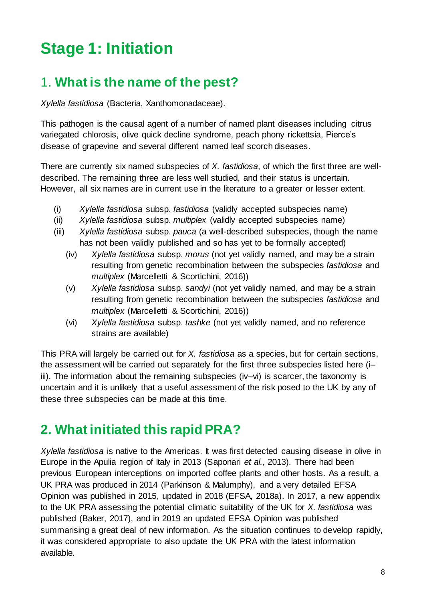# **Stage 1: Initiation**

# 1. **What is the name of the pest?**

*Xylella fastidiosa* (Bacteria, Xanthomonadaceae).

This pathogen is the causal agent of a number of named plant diseases including citrus variegated chlorosis, olive quick decline syndrome, peach phony rickettsia, Pierce's disease of grapevine and several different named leaf scorch diseases.

There are currently six named subspecies of *X. fastidiosa*, of which the first three are welldescribed. The remaining three are less well studied, and their status is uncertain. However, all six names are in current use in the literature to a greater or lesser extent.

- (i) *Xylella fastidiosa* subsp. *fastidiosa* (validly accepted subspecies name)
- (ii) *Xylella fastidiosa* subsp. *multiplex* (validly accepted subspecies name)
- (iii) *Xylella fastidiosa* subsp. *pauca* (a well-described subspecies, though the name has not been validly published and so has yet to be formally accepted)
	- (iv) *Xylella fastidiosa* subsp. *morus* (not yet validly named, and may be a strain resulting from genetic recombination between the subspecies *fastidiosa* and *multiplex* (Marcelletti & Scortichini, 2016))
	- (v) *Xylella fastidiosa* subsp. *sandyi* (not yet validly named, and may be a strain resulting from genetic recombination between the subspecies *fastidiosa* and *multiplex* (Marcelletti & Scortichini, 2016))
	- (vi) *Xylella fastidiosa* subsp. *tashke* (not yet validly named, and no reference strains are available)

This PRA will largely be carried out for *X. fastidiosa* as a species, but for certain sections, the assessment will be carried out separately for the first three subspecies listed here (i– iii). The information about the remaining subspecies (iv–vi) is scarcer, the taxonomy is uncertain and it is unlikely that a useful assessment of the risk posed to the UK by any of these three subspecies can be made at this time.

# **2. What initiated this rapid PRA?**

*Xylella fastidiosa* is native to the Americas. It was first detected causing disease in olive in Europe in the Apulia region of Italy in 2013 (Saponari *et al.*, 2013). There had been previous European interceptions on imported coffee plants and other hosts. As a result, a UK PRA was produced in 2014 (Parkinson & Malumphy), and a very detailed EFSA Opinion was published in 2015, updated in 2018 (EFSA, 2018a). In 2017, a new appendix to the UK PRA assessing the potential climatic suitability of the UK for *X. fastidiosa* was published (Baker, 2017), and in 2019 an updated EFSA Opinion was published summarising a great deal of new information. As the situation continues to develop rapidly, it was considered appropriate to also update the UK PRA with the latest information available.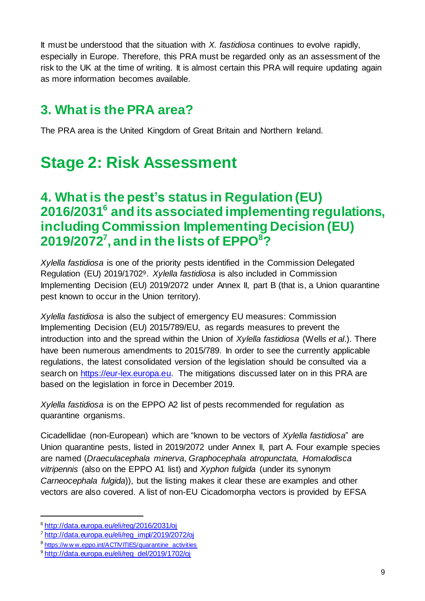It must be understood that the situation with *X. fastidiosa* continues to evolve rapidly, especially in Europe. Therefore, this PRA must be regarded only as an assessment of the risk to the UK at the time of writing. It is almost certain this PRA will require updating again as more information becomes available.

# **3. What is the PRA area?**

The PRA area is the United Kingdom of Great Britain and Northern Ireland.

# **Stage 2: Risk Assessment**

## **4. What is the pest's status in Regulation (EU) 2016/2031<sup>6</sup> and its associated implementing regulations, including Commission Implementing Decision (EU) 2019/2072<sup>7</sup> , and in the lists of EPPO<sup>8</sup>?**

*Xylella fastidiosa* is one of the priority pests identified in the Commission Delegated Regulation (EU) 2019/17029. *Xylella fastidiosa* is also included in Commission Implementing Decision (EU) 2019/2072 under Annex II, part B (that is, a Union quarantine pest known to occur in the Union territory).

*Xylella fastidiosa* is also the subject of emergency EU measures: Commission Implementing Decision (EU) 2015/789/EU, as regards measures to prevent the introduction into and the spread within the Union of *Xylella fastidiosa* (Wells *et al*.). There have been numerous amendments to 2015/789. In order to see the currently applicable regulations, the latest consolidated version of the legislation should be consulted via a search on [https://eur-lex.europa.eu.](https://eur-lex.europa.eu/) The mitigations discussed later on in this PRA are based on the legislation in force in December 2019.

*Xylella fastidiosa* is on the EPPO A2 list of pests recommended for regulation as quarantine organisms.

Cicadellidae (non-European) which are "known to be vectors of *Xylella fastidiosa*" are Union quarantine pests, listed in 2019/2072 under Annex II, part A. Four example species are named (*Draeculacephala minerva*, *Graphocephala atropunctata, Homalodisca vitripennis* (also on the EPPO A1 list) and *Xyphon fulgida* (under its synonym *Carneocephala fulgida*)), but the listing makes it clear these are examples and other vectors are also covered. A list of non-EU Cicadomorpha vectors is provided by EFSA

1

<sup>6</sup> <http://data.europa.eu/eli/reg/2016/2031/oj>

<sup>7</sup> [http://data.europa.eu/eli/reg\\_impl/2019/2072/oj](http://data.europa.eu/eli/reg_impl/2019/2072/oj)

<sup>&</sup>lt;sup>8</sup> https://w w w eppo.int/ACTIVITIES/quarantine\_activities

<sup>9</sup> [http://data.europa.eu/eli/reg\\_del/2019/1702/oj](http://data.europa.eu/eli/reg_del/2019/1702/oj)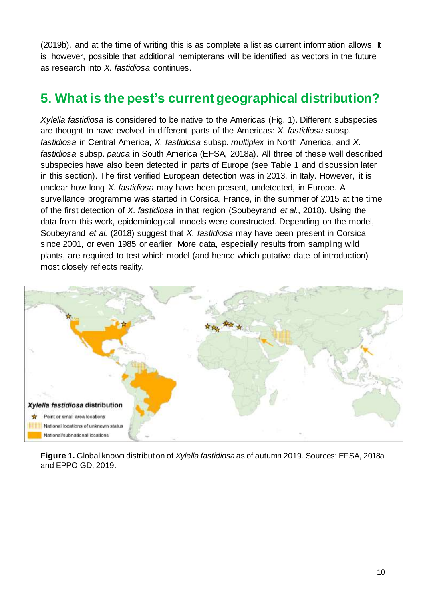(2019b), and at the time of writing this is as complete a list as current information allows. It is, however, possible that additional hemipterans will be identified as vectors in the future as research into *X. fastidiosa* continues.

# **5. What is the pest's currentgeographical distribution?**

*Xylella fastidiosa* is considered to be native to the Americas (Fig. 1). Different subspecies are thought to have evolved in different parts of the Americas: *X. fastidiosa* subsp. *fastidiosa* in Central America, *X. fastidiosa* subsp. *multiplex* in North America, and *X. fastidiosa* subsp. *pauca* in South America (EFSA, 2018a). All three of these well described subspecies have also been detected in parts of Europe (see Table 1 and discussion later in this section). The first verified European detection was in 2013, in Italy. However, it is unclear how long *X. fastidiosa* may have been present, undetected, in Europe. A surveillance programme was started in Corsica, France, in the summer of 2015 at the time of the first detection of *X. fastidiosa* in that region (Soubeyrand *et al.*, 2018). Using the data from this work, epidemiological models were constructed. Depending on the model, Soubeyrand *et al.* (2018) suggest that *X. fastidiosa* may have been present in Corsica since 2001, or even 1985 or earlier. More data, especially results from sampling wild plants, are required to test which model (and hence which putative date of introduction) most closely reflects reality.



**Figure 1.** Global known distribution of *Xylella fastidiosa* as of autumn 2019. Sources: EFSA, 2018a and EPPO GD, 2019.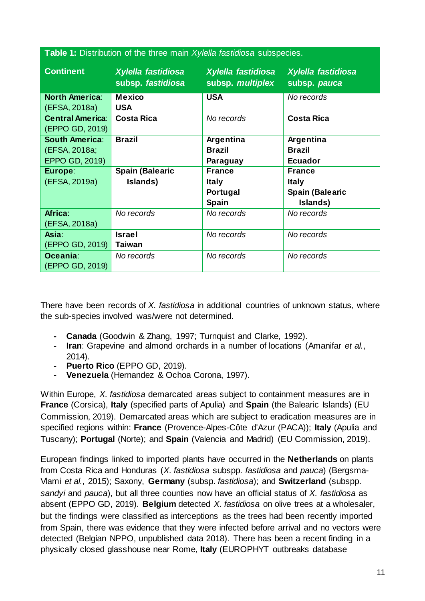| <b>Table 1:</b> Distribution of the three main Xylella fastidiosa subspecies. |                                         |                                        |                                    |  |  |
|-------------------------------------------------------------------------------|-----------------------------------------|----------------------------------------|------------------------------------|--|--|
| <b>Continent</b>                                                              | Xylella fastidiosa<br>subsp. fastidiosa | Xylella fastidiosa<br>subsp. multiplex | Xylella fastidiosa<br>subsp. pauca |  |  |
| <b>North America:</b>                                                         | Mexico                                  | <b>USA</b>                             | No records                         |  |  |
| (EFSA, 2018a)                                                                 | <b>USA</b>                              |                                        |                                    |  |  |
| <b>Central America:</b>                                                       | <b>Costa Rica</b>                       | No records                             | <b>Costa Rica</b>                  |  |  |
| (EPPO GD, 2019)                                                               |                                         |                                        |                                    |  |  |
| <b>South America:</b>                                                         | <b>Brazil</b>                           | Argentina                              | Argentina                          |  |  |
| (EFSA, 2018a;                                                                 |                                         | <b>Brazil</b>                          | <b>Brazil</b>                      |  |  |
| EPPO GD, 2019)                                                                |                                         | Paraguay                               | <b>Ecuador</b>                     |  |  |
| Europe:                                                                       | <b>Spain (Balearic</b>                  | <b>France</b>                          | <b>France</b>                      |  |  |
| (EFSA, 2019a)                                                                 | Islands)                                | <b>Italy</b>                           | <b>Italy</b>                       |  |  |
|                                                                               |                                         | Portugal                               | <b>Spain (Balearic</b>             |  |  |
|                                                                               |                                         | <b>Spain</b>                           | Islands)                           |  |  |
| Africa:                                                                       | No records                              | No records                             | No records                         |  |  |
| (EFSA, 2018a)                                                                 |                                         |                                        |                                    |  |  |
| Asia:                                                                         | <b>Israel</b>                           | No records                             | No records                         |  |  |
| (EPPO GD, 2019)                                                               | <b>Taiwan</b>                           |                                        |                                    |  |  |
| Oceania:                                                                      | No records                              | No records                             | No records                         |  |  |
| (EPPO GD, 2019)                                                               |                                         |                                        |                                    |  |  |

There have been records of *X. fastidiosa* in additional countries of unknown status, where the sub-species involved was/were not determined.

- **- Canada** (Goodwin & Zhang, 1997; Turnquist and Clarke, 1992).
- **- Iran**: Grapevine and almond orchards in a number of locations (Amanifar *et al.*, 2014).
- **- Puerto Rico** (EPPO GD, 2019).
- **- Venezuela** (Hernandez & Ochoa Corona, 1997).

Within Europe, *X. fastidiosa* demarcated areas subject to containment measures are in **France** (Corsica), **Italy** (specified parts of Apulia) and **Spain** (the Balearic Islands) (EU Commission, 2019). Demarcated areas which are subject to eradication measures are in specified regions within: **France** (Provence-Alpes-Côte d'Azur (PACA)); **Italy** (Apulia and Tuscany); **Portugal** (Norte); and **Spain** (Valencia and Madrid) (EU Commission, 2019).

European findings linked to imported plants have occurred in the **Netherlands** on plants from Costa Rica and Honduras (*X. fastidiosa* subspp. *fastidiosa* and *pauca*) (Bergsma-Vlami *et al.*, 2015); Saxony, **Germany** (subsp. *fastidiosa*); and **Switzerland** (subspp. *sandyi* and *pauca*), but all three counties now have an official status of *X. fastidiosa* as absent (EPPO GD, 2019). **Belgium** detected *X. fastidiosa* on olive trees at a wholesaler, but the findings were classified as interceptions as the trees had been recently imported from Spain, there was evidence that they were infected before arrival and no vectors were detected (Belgian NPPO, unpublished data 2018). There has been a recent finding in a physically closed glasshouse near Rome, **Italy** (EUROPHYT outbreaks database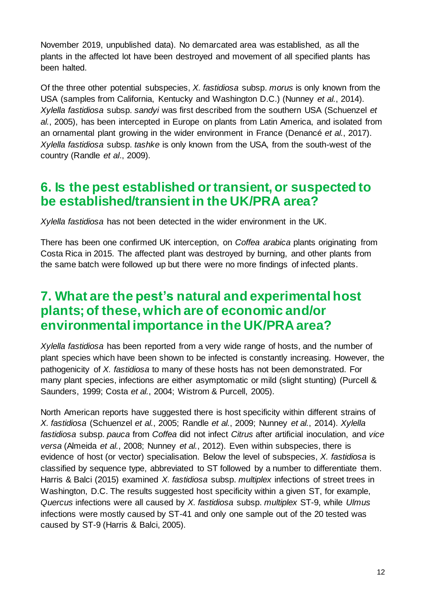November 2019, unpublished data). No demarcated area was established, as all the plants in the affected lot have been destroyed and movement of all specified plants has been halted.

Of the three other potential subspecies, *X. fastidiosa* subsp. *morus* is only known from the USA (samples from California, Kentucky and Washington D.C.) (Nunney *et al.*, 2014). *Xylella fastidiosa* subsp. *sandyi* was first described from the southern USA (Schuenzel *et al.*, 2005), has been intercepted in Europe on plants from Latin America, and isolated from an ornamental plant growing in the wider environment in France (Denancé *et al.*, 2017). *Xylella fastidiosa* subsp. *tashke* is only known from the USA, from the south-west of the country (Randle *et al*., 2009).

### **6. Is the pest established ortransient, or suspected to be established/transient in the UK/PRA area?**

*Xylella fastidiosa* has not been detected in the wider environment in the UK.

There has been one confirmed UK interception, on *Coffea arabica* plants originating from Costa Rica in 2015. The affected plant was destroyed by burning, and other plants from the same batch were followed up but there were no more findings of infected plants.

## **7. What are the pest's natural and experimental host plants;of these, which are of economic and/or environmental importance in the UK/PRA area?**

*Xylella fastidiosa* has been reported from a very wide range of hosts, and the number of plant species which have been shown to be infected is constantly increasing. However, the pathogenicity of *X. fastidiosa* to many of these hosts has not been demonstrated. For many plant species, infections are either asymptomatic or mild (slight stunting) (Purcell & Saunders, 1999; Costa *et al.*, 2004; Wistrom & Purcell, 2005).

North American reports have suggested there is host specificity within different strains of *X. fastidiosa* (Schuenzel *et al.*, 2005; Randle *et al.*, 2009; Nunney *et al.*, 2014). *Xylella fastidiosa* subsp. *pauca* from *Coffea* did not infect *Citrus* after artificial inoculation, and *vice versa* (Almeida *et al.*, 2008; Nunney *et al.*, 2012). Even within subspecies, there is evidence of host (or vector) specialisation. Below the level of subspecies, *X. fastidiosa* is classified by sequence type, abbreviated to ST followed by a number to differentiate them. Harris & Balci (2015) examined *X. fastidiosa* subsp. *multiplex* infections of street trees in Washington, D.C. The results suggested host specificity within a given ST, for example, *Quercus* infections were all caused by *X. fastidiosa* subsp. *multiplex* ST-9, while *Ulmus* infections were mostly caused by ST-41 and only one sample out of the 20 tested was caused by ST-9 (Harris & Balci, 2005).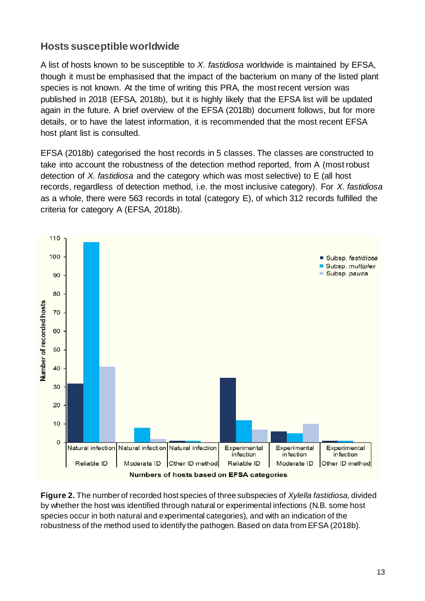### **Hosts susceptible worldwide**

A list of hosts known to be susceptible to *X. fastidiosa* worldwide is maintained by EFSA, though it must be emphasised that the impact of the bacterium on many of the listed plant species is not known. At the time of writing this PRA, the most recent version was published in 2018 (EFSA, 2018b), but it is highly likely that the EFSA list will be updated again in the future. A brief overview of the EFSA (2018b) document follows, but for more details, or to have the latest information, it is recommended that the most recent EFSA host plant list is consulted.

EFSA (2018b) categorised the host records in 5 classes. The classes are constructed to take into account the robustness of the detection method reported, from A (most robust detection of *X. fastidiosa* and the category which was most selective) to E (all host records, regardless of detection method, i.e. the most inclusive category). For *X. fastidiosa* as a whole, there were 563 records in total (category E), of which 312 records fulfilled the criteria for category A (EFSA, 2018b).



**Figure 2.** The number of recorded host species of three subspecies of *Xylella fastidiosa*, divided by whether the host was identified through natural or experimental infections (N.B. some host species occur in both natural and experimental categories), and with an indication of the robustness of the method used to identify the pathogen. Based on data from EFSA (2018b).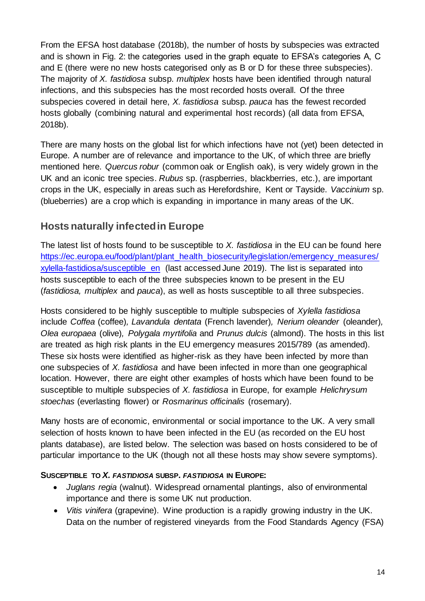From the EFSA host database (2018b), the number of hosts by subspecies was extracted and is shown in Fig. 2: the categories used in the graph equate to EFSA's categories A, C and E (there were no new hosts categorised only as B or D for these three subspecies). The majority of *X. fastidiosa* subsp. *multiplex* hosts have been identified through natural infections, and this subspecies has the most recorded hosts overall. Of the three subspecies covered in detail here, *X. fastidiosa* subsp. *pauca* has the fewest recorded hosts globally (combining natural and experimental host records) (all data from EFSA, 2018b).

There are many hosts on the global list for which infections have not (yet) been detected in Europe. A number are of relevance and importance to the UK, of which three are briefly mentioned here. *Quercus robur* (common oak or English oak), is very widely grown in the UK and an iconic tree species. *Rubus* sp. (raspberries, blackberries, etc.), are important crops in the UK, especially in areas such as Herefordshire, Kent or Tayside. *Vaccinium* sp. (blueberries) are a crop which is expanding in importance in many areas of the UK.

### **Hosts naturally infected in Europe**

The latest list of hosts found to be susceptible to *X. fastidiosa* in the EU can be found here [https://ec.europa.eu/food/plant/plant\\_health\\_biosecurity/legislation/emergency\\_measures/](https://ec.europa.eu/food/plant/plant_health_biosecurity/legislation/emergency_measures/xylella-fastidiosa/susceptible_en) [xylella-fastidiosa/susceptible\\_en](https://ec.europa.eu/food/plant/plant_health_biosecurity/legislation/emergency_measures/xylella-fastidiosa/susceptible_en) (last accessed June 2019). The list is separated into hosts susceptible to each of the three subspecies known to be present in the EU (*fastidiosa, multiplex* and *pauca*), as well as hosts susceptible to all three subspecies.

Hosts considered to be highly susceptible to multiple subspecies of *Xylella fastidiosa* include *Coffea* (coffee)*, Lavandula dentata* (French lavender)*, Nerium oleander* (oleander)*, Olea europaea* (olive)*, Polygala myrtifolia* and *Prunus dulcis* (almond). The hosts in this list are treated as high risk plants in the EU emergency measures 2015/789 (as amended). These six hosts were identified as higher-risk as they have been infected by more than one subspecies of *X. fastidiosa* and have been infected in more than one geographical location. However, there are eight other examples of hosts which have been found to be susceptible to multiple subspecies of *X. fastidiosa* in Europe, for example *Helichrysum stoechas* (everlasting flower) or *Rosmarinus officinalis* (rosemary).

Many hosts are of economic, environmental or social importance to the UK. A very small selection of hosts known to have been infected in the EU (as recorded on the EU host plants database), are listed below. The selection was based on hosts considered to be of particular importance to the UK (though not all these hosts may show severe symptoms).

#### **SUSCEPTIBLE TO** *X. FASTIDIOSA* **SUBSP.** *FASTIDIOSA* **IN EUROPE:**

- *Juglans regia* (walnut). Widespread ornamental plantings, also of environmental importance and there is some UK nut production.
- *Vitis vinifera* (grapevine). Wine production is a rapidly growing industry in the UK. Data on the number of registered vineyards from the Food Standards Agency (FSA)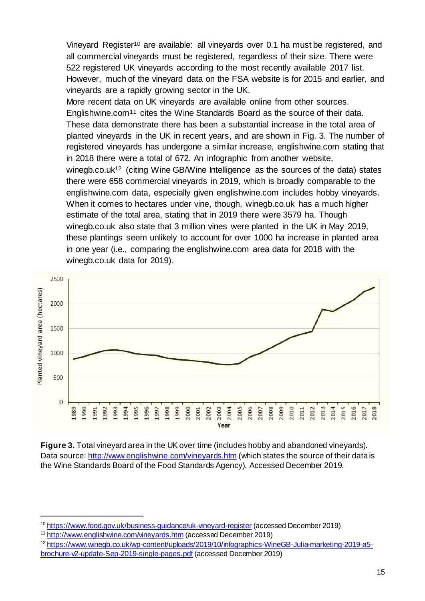Vineyard Register<sup>10</sup> are available: all vineyards over 0.1 ha must be registered, and all commercial vineyards must be registered, regardless of their size. There were 522 registered UK vineyards according to the most recently available 2017 list. However, much of the vineyard data on the FSA website is for 2015 and earlier, and vineyards are a rapidly growing sector in the UK.

More recent data on UK vineyards are available online from other sources. Englishwine.com<sup>11</sup> cites the Wine Standards Board as the source of their data. These data demonstrate there has been a substantial increase in the total area of planted vineyards in the UK in recent years, and are shown in Fig. 3. The number of registered vineyards has undergone a similar increase, englishwine.com stating that in 2018 there were a total of 672. An infographic from another website,

winegb.co.uk<sup>12</sup> (citing Wine GB/Wine Intelligence as the sources of the data) states there were 658 commercial vineyards in 2019, which is broadly comparable to the englishwine.com data, especially given englishwine.com includes hobby vineyards. When it comes to hectares under vine, though, winegb.co.uk has a much higher estimate of the total area, stating that in 2019 there were 3579 ha. Though winegb.co.uk also state that 3 million vines were planted in the UK in May 2019, these plantings seem unlikely to account for over 1000 ha increase in planted area in one year (i.e., comparing the englishwine.com area data for 2018 with the winegb.co.uk data for 2019).



**Figure 3.** Total vineyard area in the UK over time (includes hobby and abandoned vineyards). Data source[: http://www.englishwine.com/vineyards.htm](http://www.englishwine.com/vineyards.htm) (which states the source of their data is the Wine Standards Board of the Food Standards Agency). Accessed December 2019.

1

<sup>&</sup>lt;sup>10</sup> <https://www.food.gov.uk/business-guidance/uk-vineyard-register> (accessed December 2019)

<sup>11</sup> <http://www.englishwine.com/vineyards.htm> (accessed December 2019)

<sup>12</sup> [https://www.winegb.co.uk/wp-content/uploads/2019/10/infographics-WineGB-Julia-marketing-2019-a5](https://www.winegb.co.uk/wp-content/uploads/2019/10/infographics-WineGB-Julia-marketing-2019-a5-brochure-v2-update-Sep-2019-single-pages.pdf) [brochure-v2-update-Sep-2019-single-pages.pdf](https://www.winegb.co.uk/wp-content/uploads/2019/10/infographics-WineGB-Julia-marketing-2019-a5-brochure-v2-update-Sep-2019-single-pages.pdf) (accessed December 2019)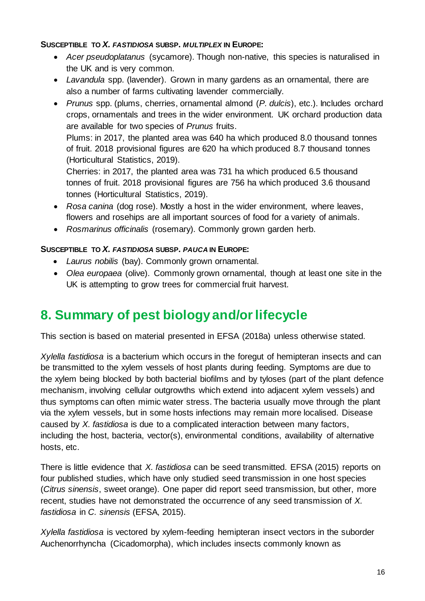#### **SUSCEPTIBLE TO** *X. FASTIDIOSA* **SUBSP.** *MULTIPLEX* **IN EUROPE:**

- *Acer pseudoplatanus* (sycamore). Though non-native, this species is naturalised in the UK and is very common.
- *Lavandula* spp. (lavender). Grown in many gardens as an ornamental, there are also a number of farms cultivating lavender commercially.
- *Prunus* spp. (plums, cherries, ornamental almond (*P. dulcis*), etc.). Includes orchard crops, ornamentals and trees in the wider environment. UK orchard production data are available for two species of *Prunus* fruits. Plums: in 2017, the planted area was 640 ha which produced 8.0 thousand tonnes

of fruit. 2018 provisional figures are 620 ha which produced 8.7 thousand tonnes (Horticultural Statistics, 2019).

Cherries: in 2017, the planted area was 731 ha which produced 6.5 thousand tonnes of fruit. 2018 provisional figures are 756 ha which produced 3.6 thousand tonnes (Horticultural Statistics, 2019).

- *Rosa canina* (dog rose). Mostly a host in the wider environment, where leaves, flowers and rosehips are all important sources of food for a variety of animals.
- *Rosmarinus officinalis* (rosemary). Commonly grown garden herb.

#### **SUSCEPTIBLE TO** *X. FASTIDIOSA* **SUBSP.** *PAUCA* **IN EUROPE:**

- *Laurus nobilis* (bay). Commonly grown ornamental.
- *Olea europaea* (olive). Commonly grown ornamental, though at least one site in the UK is attempting to grow trees for commercial fruit harvest.

# **8. Summary of pest biology and/orlifecycle**

This section is based on material presented in EFSA (2018a) unless otherwise stated.

*Xylella fastidiosa* is a bacterium which occurs in the foregut of hemipteran insects and can be transmitted to the xylem vessels of host plants during feeding. Symptoms are due to the xylem being blocked by both bacterial biofilms and by tyloses (part of the plant defence mechanism, involving cellular outgrowths which extend into adjacent xylem vessels) and thus symptoms can often mimic water stress. The bacteria usually move through the plant via the xylem vessels, but in some hosts infections may remain more localised. Disease caused by *X. fastidiosa* is due to a complicated interaction between many factors, including the host, bacteria, vector(s), environmental conditions, availability of alternative hosts, etc.

There is little evidence that *X. fastidiosa* can be seed transmitted. EFSA (2015) reports on four published studies, which have only studied seed transmission in one host species (*Citrus sinensis*, sweet orange). One paper did report seed transmission, but other, more recent, studies have not demonstrated the occurrence of any seed transmission of *X. fastidiosa* in *C. sinensis* (EFSA, 2015).

*Xylella fastidiosa* is vectored by xylem-feeding hemipteran insect vectors in the suborder Auchenorrhyncha (Cicadomorpha), which includes insects commonly known as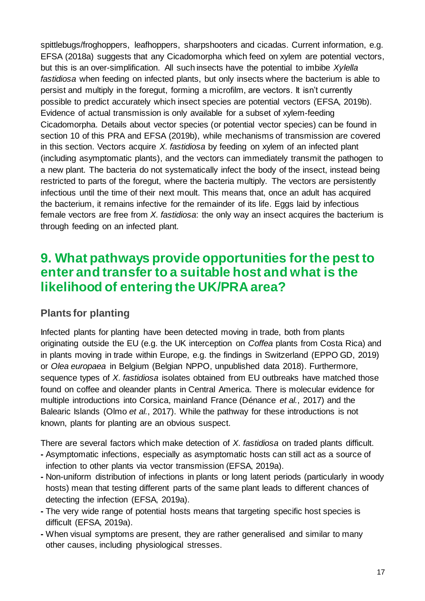spittlebugs/froghoppers, leafhoppers, sharpshooters and cicadas. Current information, e.g. EFSA (2018a) suggests that any Cicadomorpha which feed on xylem are potential vectors, but this is an over-simplification. All such insects have the potential to imbibe *Xylella fastidiosa* when feeding on infected plants, but only insects where the bacterium is able to persist and multiply in the foregut, forming a microfilm, are vectors. It isn't currently possible to predict accurately which insect species are potential vectors (EFSA, 2019b). Evidence of actual transmission is only available for a subset of xylem-feeding Cicadomorpha. Details about vector species (or potential vector species) can be found in section 10 of this PRA and EFSA (2019b), while mechanisms of transmission are covered in this section. Vectors acquire *X. fastidiosa* by feeding on xylem of an infected plant (including asymptomatic plants), and the vectors can immediately transmit the pathogen to a new plant. The bacteria do not systematically infect the body of the insect, instead being restricted to parts of the foregut, where the bacteria multiply. The vectors are persistently infectious until the time of their next moult. This means that, once an adult has acquired the bacterium, it remains infective for the remainder of its life. Eggs laid by infectious female vectors are free from *X. fastidiosa*: the only way an insect acquires the bacterium is through feeding on an infected plant.

### **9. What pathways provide opportunities forthe pest to enter and transfer to a suitable host and what is the likelihood of entering the UK/PRA area?**

### **Plants for planting**

Infected plants for planting have been detected moving in trade, both from plants originating outside the EU (e.g. the UK interception on *Coffea* plants from Costa Rica) and in plants moving in trade within Europe, e.g. the findings in Switzerland (EPPO GD, 2019) or *Olea europaea* in Belgium (Belgian NPPO, unpublished data 2018). Furthermore, sequence types of *X. fastidiosa* isolates obtained from EU outbreaks have matched those found on coffee and oleander plants in Central America. There is molecular evidence for multiple introductions into Corsica, mainland France (Dénance *et al.*, 2017) and the Balearic Islands (Olmo *et al.*, 2017). While the pathway for these introductions is not known, plants for planting are an obvious suspect.

There are several factors which make detection of *X. fastidiosa* on traded plants difficult.

- **-** Asymptomatic infections, especially as asymptomatic hosts can still act as a source of infection to other plants via vector transmission (EFSA, 2019a).
- **-** Non-uniform distribution of infections in plants or long latent periods (particularly in woody hosts) mean that testing different parts of the same plant leads to different chances of detecting the infection (EFSA, 2019a).
- **-** The very wide range of potential hosts means that targeting specific host species is difficult (EFSA, 2019a).
- **-** When visual symptoms are present, they are rather generalised and similar to many other causes, including physiological stresses.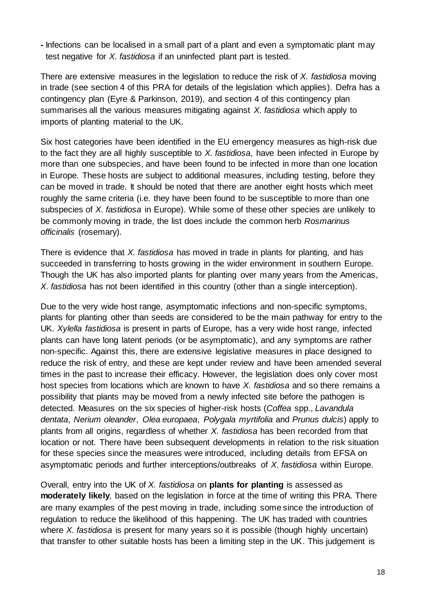**-** Infections can be localised in a small part of a plant and even a symptomatic plant may test negative for *X. fastidiosa* if an uninfected plant part is tested.

There are extensive measures in the legislation to reduce the risk of *X. fastidiosa* moving in trade (see section 4 of this PRA for details of the legislation which applies). Defra has a contingency plan (Eyre & Parkinson, 2019), and section 4 of this contingency plan summarises all the various measures mitigating against *X. fastidiosa* which apply to imports of planting material to the UK.

Six host categories have been identified in the EU emergency measures as high-risk due to the fact they are all highly susceptible to *X. fastidiosa*, have been infected in Europe by more than one subspecies, and have been found to be infected in more than one location in Europe. These hosts are subject to additional measures, including testing, before they can be moved in trade. It should be noted that there are another eight hosts which meet roughly the same criteria (i.e. they have been found to be susceptible to more than one subspecies of *X. fastidiosa* in Europe). While some of these other species are unlikely to be commonly moving in trade, the list does include the common herb *Rosmarinus officinalis* (rosemary).

There is evidence that *X. fastidiosa* has moved in trade in plants for planting, and has succeeded in transferring to hosts growing in the wider environment in southern Europe. Though the UK has also imported plants for planting over many years from the Americas, *X. fastidiosa* has not been identified in this country (other than a single interception).

Due to the very wide host range, asymptomatic infections and non-specific symptoms, plants for planting other than seeds are considered to be the main pathway for entry to the UK. *Xylella fastidiosa* is present in parts of Europe, has a very wide host range, infected plants can have long latent periods (or be asymptomatic), and any symptoms are rather non-specific. Against this, there are extensive legislative measures in place designed to reduce the risk of entry, and these are kept under review and have been amended several times in the past to increase their efficacy. However, the legislation does only cover most host species from locations which are known to have *X. fastidiosa* and so there remains a possibility that plants may be moved from a newly infected site before the pathogen is detected. Measures on the six species of higher-risk hosts (*Coffea* spp., *Lavandula dentata*, *Nerium oleander*, *Olea europaea*, *Polygala myrtifolia* and *Prunus dulcis*) apply to plants from all origins, regardless of whether *X. fastidiosa* has been recorded from that location or not. There have been subsequent developments in relation to the risk situation for these species since the measures were introduced, including details from EFSA on asymptomatic periods and further interceptions/outbreaks of *X. fastidiosa* within Europe.

Overall, entry into the UK of *X. fastidiosa* on **plants for planting** is assessed as **moderately likely**, based on the legislation in force at the time of writing this PRA. There are many examples of the pest moving in trade, including some since the introduction of regulation to reduce the likelihood of this happening. The UK has traded with countries where *X. fastidiosa* is present for many years so it is possible (though highly uncertain) that transfer to other suitable hosts has been a limiting step in the UK. This judgement is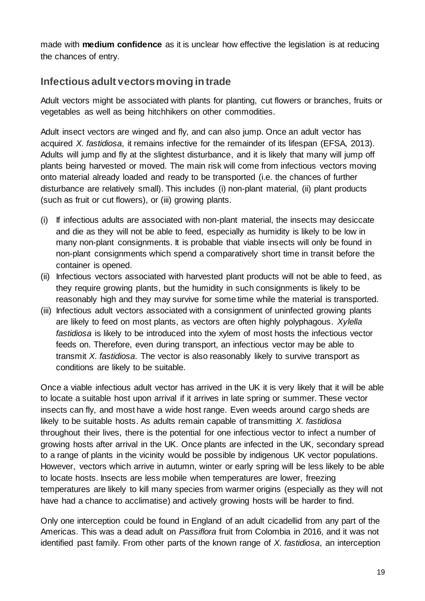made with **medium confidence** as it is unclear how effective the legislation is at reducing the chances of entry.

### **Infectious adult vectorsmoving in trade**

Adult vectors might be associated with plants for planting, cut flowers or branches, fruits or vegetables as well as being hitchhikers on other commodities.

Adult insect vectors are winged and fly, and can also jump. Once an adult vector has acquired *X. fastidiosa*, it remains infective for the remainder of its lifespan (EFSA, 2013). Adults will jump and fly at the slightest disturbance, and it is likely that many will jump off plants being harvested or moved. The main risk will come from infectious vectors moving onto material already loaded and ready to be transported (i.e. the chances of further disturbance are relatively small). This includes (i) non-plant material, (ii) plant products (such as fruit or cut flowers), or (iii) growing plants.

- (i) If infectious adults are associated with non-plant material, the insects may desiccate and die as they will not be able to feed, especially as humidity is likely to be low in many non-plant consignments. It is probable that viable insects will only be found in non-plant consignments which spend a comparatively short time in transit before the container is opened.
- (ii) Infectious vectors associated with harvested plant products will not be able to feed, as they require growing plants, but the humidity in such consignments is likely to be reasonably high and they may survive for some time while the material is transported.
- (iii) Infectious adult vectors associated with a consignment of uninfected growing plants are likely to feed on most plants, as vectors are often highly polyphagous. *Xylella fastidiosa* is likely to be introduced into the xylem of most hosts the infectious vector feeds on. Therefore, even during transport, an infectious vector may be able to transmit *X. fastidiosa*. The vector is also reasonably likely to survive transport as conditions are likely to be suitable.

Once a viable infectious adult vector has arrived in the UK it is very likely that it will be able to locate a suitable host upon arrival if it arrives in late spring or summer. These vector insects can fly, and most have a wide host range. Even weeds around cargo sheds are likely to be suitable hosts. As adults remain capable of transmitting *X. fastidiosa* throughout their lives, there is the potential for one infectious vector to infect a number of growing hosts after arrival in the UK. Once plants are infected in the UK, secondary spread to a range of plants in the vicinity would be possible by indigenous UK vector populations. However, vectors which arrive in autumn, winter or early spring will be less likely to be able to locate hosts. Insects are less mobile when temperatures are lower, freezing temperatures are likely to kill many species from warmer origins (especially as they will not have had a chance to acclimatise) and actively growing hosts will be harder to find.

Only one interception could be found in England of an adult cicadellid from any part of the Americas. This was a dead adult on *Passiflora* fruit from Colombia in 2016, and it was not identified past family. From other parts of the known range of *X. fastidiosa*, an interception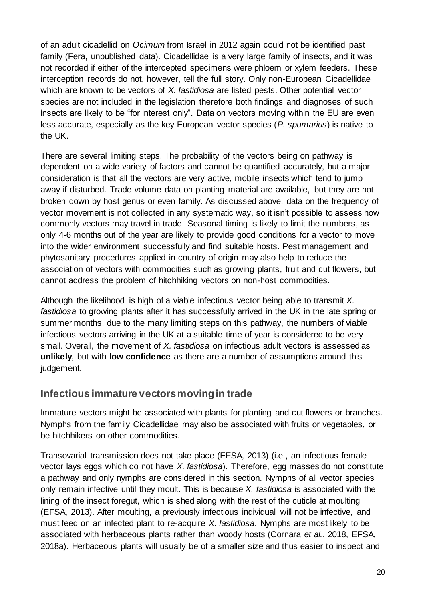of an adult cicadellid on *Ocimum* from Israel in 2012 again could not be identified past family (Fera, unpublished data). Cicadellidae is a very large family of insects, and it was not recorded if either of the intercepted specimens were phloem or xylem feeders. These interception records do not, however, tell the full story. Only non-European Cicadellidae which are known to be vectors of *X. fastidiosa* are listed pests. Other potential vector species are not included in the legislation therefore both findings and diagnoses of such insects are likely to be "for interest only". Data on vectors moving within the EU are even less accurate, especially as the key European vector species (*P. spumarius*) is native to the UK.

There are several limiting steps. The probability of the vectors being on pathway is dependent on a wide variety of factors and cannot be quantified accurately, but a major consideration is that all the vectors are very active, mobile insects which tend to jump away if disturbed. Trade volume data on planting material are available, but they are not broken down by host genus or even family. As discussed above, data on the frequency of vector movement is not collected in any systematic way, so it isn't possible to assess how commonly vectors may travel in trade. Seasonal timing is likely to limit the numbers, as only 4-6 months out of the year are likely to provide good conditions for a vector to move into the wider environment successfully and find suitable hosts. Pest management and phytosanitary procedures applied in country of origin may also help to reduce the association of vectors with commodities such as growing plants, fruit and cut flowers, but cannot address the problem of hitchhiking vectors on non-host commodities.

Although the likelihood is high of a viable infectious vector being able to transmit *X. fastidiosa* to growing plants after it has successfully arrived in the UK in the late spring or summer months, due to the many limiting steps on this pathway, the numbers of viable infectious vectors arriving in the UK at a suitable time of year is considered to be very small. Overall, the movement of *X. fastidiosa* on infectious adult vectors is assessed as **unlikely**, but with **low confidence** as there are a number of assumptions around this judgement.

#### **Infectious immature vectorsmovingin trade**

Immature vectors might be associated with plants for planting and cut flowers or branches. Nymphs from the family Cicadellidae may also be associated with fruits or vegetables, or be hitchhikers on other commodities.

Transovarial transmission does not take place (EFSA, 2013) (i.e., an infectious female vector lays eggs which do not have *X. fastidiosa*). Therefore, egg masses do not constitute a pathway and only nymphs are considered in this section. Nymphs of all vector species only remain infective until they moult. This is because *X. fastidiosa* is associated with the lining of the insect foregut, which is shed along with the rest of the cuticle at moulting (EFSA, 2013). After moulting, a previously infectious individual will not be infective, and must feed on an infected plant to re-acquire *X. fastidiosa*. Nymphs are most likely to be associated with herbaceous plants rather than woody hosts (Cornara *et al.*, 2018, EFSA, 2018a). Herbaceous plants will usually be of a smaller size and thus easier to inspect and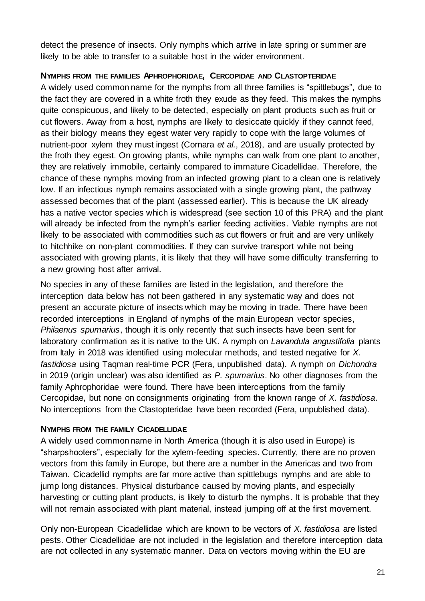detect the presence of insects. Only nymphs which arrive in late spring or summer are likely to be able to transfer to a suitable host in the wider environment.

#### **NYMPHS FROM THE FAMILIES APHROPHORIDAE, CERCOPIDAE AND CLASTOPTERIDAE**

A widely used common name for the nymphs from all three families is "spittlebugs", due to the fact they are covered in a white froth they exude as they feed. This makes the nymphs quite conspicuous, and likely to be detected, especially on plant products such as fruit or cut flowers. Away from a host, nymphs are likely to desiccate quickly if they cannot feed, as their biology means they egest water very rapidly to cope with the large volumes of nutrient-poor xylem they must ingest (Cornara *et al.*, 2018), and are usually protected by the froth they egest. On growing plants, while nymphs can walk from one plant to another, they are relatively immobile, certainly compared to immature Cicadellidae. Therefore, the chance of these nymphs moving from an infected growing plant to a clean one is relatively low. If an infectious nymph remains associated with a single growing plant, the pathway assessed becomes that of the plant (assessed earlier). This is because the UK already has a native vector species which is widespread (see section 10 of this PRA) and the plant will already be infected from the nymph's earlier feeding activities. Viable nymphs are not likely to be associated with commodities such as cut flowers or fruit and are very unlikely to hitchhike on non-plant commodities. If they can survive transport while not being associated with growing plants, it is likely that they will have some difficulty transferring to a new growing host after arrival.

No species in any of these families are listed in the legislation, and therefore the interception data below has not been gathered in any systematic way and does not present an accurate picture of insects which may be moving in trade. There have been recorded interceptions in England of nymphs of the main European vector species, *Philaenus spumarius*, though it is only recently that such insects have been sent for laboratory confirmation as it is native to the UK. A nymph on *Lavandula angustifolia* plants from Italy in 2018 was identified using molecular methods, and tested negative for *X. fastidiosa* using Taqman real-time PCR (Fera, unpublished data). A nymph on *Dichondra* in 2019 (origin unclear) was also identified as *P. spumarius*. No other diagnoses from the family Aphrophoridae were found. There have been interceptions from the family Cercopidae, but none on consignments originating from the known range of *X. fastidiosa*. No interceptions from the Clastopteridae have been recorded (Fera, unpublished data).

#### **NYMPHS FROM THE FAMILY CICADELLIDAE**

A widely used common name in North America (though it is also used in Europe) is "sharpshooters", especially for the xylem-feeding species. Currently, there are no proven vectors from this family in Europe, but there are a number in the Americas and two from Taiwan. Cicadellid nymphs are far more active than spittlebugs nymphs and are able to jump long distances. Physical disturbance caused by moving plants, and especially harvesting or cutting plant products, is likely to disturb the nymphs. It is probable that they will not remain associated with plant material, instead jumping off at the first movement.

Only non-European Cicadellidae which are known to be vectors of *X. fastidiosa* are listed pests. Other Cicadellidae are not included in the legislation and therefore interception data are not collected in any systematic manner. Data on vectors moving within the EU are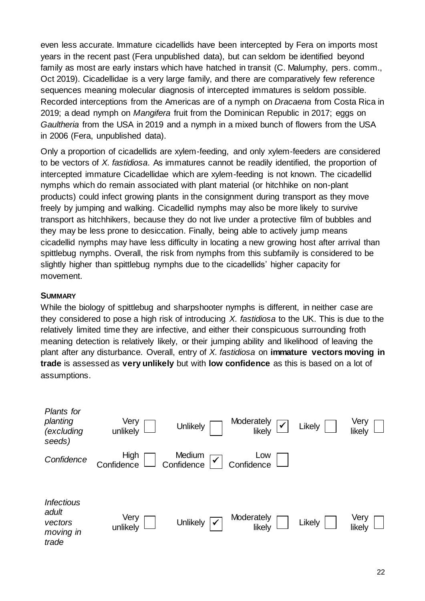even less accurate. Immature cicadellids have been intercepted by Fera on imports most years in the recent past (Fera unpublished data), but can seldom be identified beyond family as most are early instars which have hatched in transit (C. Malumphy, pers. comm., Oct 2019). Cicadellidae is a very large family, and there are comparatively few reference sequences meaning molecular diagnosis of intercepted immatures is seldom possible. Recorded interceptions from the Americas are of a nymph on *Dracaena* from Costa Rica in 2019; a dead nymph on *Mangifera* fruit from the Dominican Republic in 2017; eggs on *Gaultheria* from the USA in 2019 and a nymph in a mixed bunch of flowers from the USA in 2006 (Fera, unpublished data).

Only a proportion of cicadellids are xylem-feeding, and only xylem-feeders are considered to be vectors of *X. fastidiosa*. As immatures cannot be readily identified, the proportion of intercepted immature Cicadellidae which are xylem-feeding is not known. The cicadellid nymphs which do remain associated with plant material (or hitchhike on non-plant products) could infect growing plants in the consignment during transport as they move freely by jumping and walking. Cicadellid nymphs may also be more likely to survive transport as hitchhikers, because they do not live under a protective film of bubbles and they may be less prone to desiccation. Finally, being able to actively jump means cicadellid nymphs may have less difficulty in locating a new growing host after arrival than spittlebug nymphs. Overall, the risk from nymphs from this subfamily is considered to be slightly higher than spittlebug nymphs due to the cicadellids' higher capacity for movement.

#### **SUMMARY**

While the biology of spittlebug and sharpshooter nymphs is different, in neither case are they considered to pose a high risk of introducing *X. fastidiosa* to the UK. This is due to the relatively limited time they are infective, and either their conspicuous surrounding froth meaning detection is relatively likely, or their jumping ability and likelihood of leaving the plant after any disturbance. Overall, entry of *X. fastidiosa* on **immature vectors moving in trade** is assessed as **very unlikely** but with **low confidence** as this is based on a lot of assumptions.

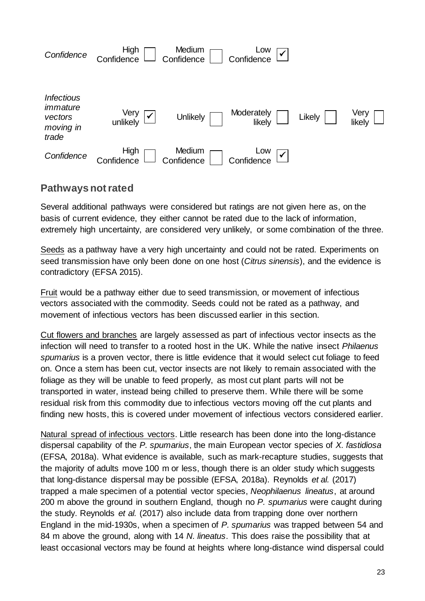

#### **Pathways not rated**

Several additional pathways were considered but ratings are not given here as, on the basis of current evidence, they either cannot be rated due to the lack of information, extremely high uncertainty, are considered very unlikely, or some combination of the three.

Seeds as a pathway have a very high uncertainty and could not be rated. Experiments on seed transmission have only been done on one host (*Citrus sinensis*), and the evidence is contradictory (EFSA 2015).

Fruit would be a pathway either due to seed transmission, or movement of infectious vectors associated with the commodity. Seeds could not be rated as a pathway, and movement of infectious vectors has been discussed earlier in this section.

Cut flowers and branches are largely assessed as part of infectious vector insects as the infection will need to transfer to a rooted host in the UK. While the native insect *Philaenus spumarius* is a proven vector, there is little evidence that it would select cut foliage to feed on. Once a stem has been cut, vector insects are not likely to remain associated with the foliage as they will be unable to feed properly, as most cut plant parts will not be transported in water, instead being chilled to preserve them. While there will be some residual risk from this commodity due to infectious vectors moving off the cut plants and finding new hosts, this is covered under movement of infectious vectors considered earlier.

Natural spread of infectious vectors. Little research has been done into the long-distance dispersal capability of the *P. spumarius*, the main European vector species of *X. fastidiosa* (EFSA, 2018a). What evidence is available, such as mark-recapture studies, suggests that the majority of adults move 100 m or less, though there is an older study which suggests that long-distance dispersal may be possible (EFSA, 2018a). Reynolds *et al.* (2017) trapped a male specimen of a potential vector species, *Neophilaenus lineatus*, at around 200 m above the ground in southern England, though no *P. spumarius* were caught during the study. Reynolds *et al.* (2017) also include data from trapping done over northern England in the mid-1930s, when a specimen of *P. spumarius* was trapped between 54 and 84 m above the ground, along with 14 *N. lineatus*. This does raise the possibility that at least occasional vectors may be found at heights where long-distance wind dispersal could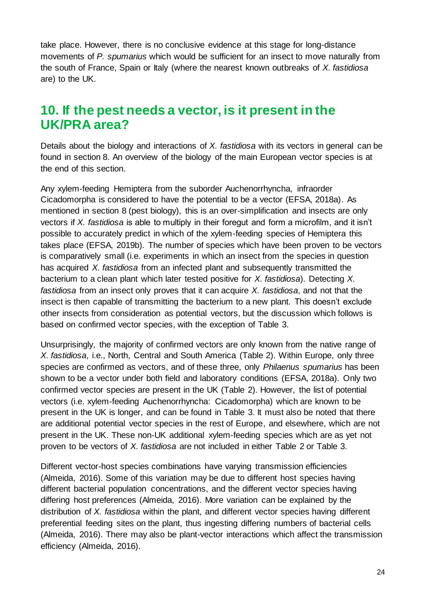take place. However, there is no conclusive evidence at this stage for long-distance movements of *P. spumarius* which would be sufficient for an insect to move naturally from the south of France, Spain or Italy (where the nearest known outbreaks of *X. fastidiosa* are) to the UK.

### **10. If the pest needs a vector, is it present in the UK/PRA area?**

Details about the biology and interactions of *X. fastidiosa* with its vectors in general can be found in section 8. An overview of the biology of the main European vector species is at the end of this section.

Any xylem-feeding Hemiptera from the suborder Auchenorrhyncha, infraorder Cicadomorpha is considered to have the potential to be a vector (EFSA, 2018a). As mentioned in section 8 (pest biology), this is an over-simplification and insects are only vectors if *X. fastidiosa* is able to multiply in their foregut and form a microfilm, and it isn't possible to accurately predict in which of the xylem-feeding species of Hemiptera this takes place (EFSA, 2019b). The number of species which have been proven to be vectors is comparatively small (i.e. experiments in which an insect from the species in question has acquired *X. fastidiosa* from an infected plant and subsequently transmitted the bacterium to a clean plant which later tested positive for *X. fastidiosa*). Detecting *X. fastidiosa* from an insect only proves that it can acquire *X. fastidiosa*, and not that the insect is then capable of transmitting the bacterium to a new plant. This doesn't exclude other insects from consideration as potential vectors, but the discussion which follows is based on confirmed vector species, with the exception of Table 3.

Unsurprisingly, the majority of confirmed vectors are only known from the native range of *X. fastidiosa*, i.e., North, Central and South America (Table 2). Within Europe, only three species are confirmed as vectors, and of these three, only *Philaenus spumarius* has been shown to be a vector under both field and laboratory conditions (EFSA, 2018a). Only two confirmed vector species are present in the UK (Table 2). However, the list of potential vectors (i.e. xylem-feeding Auchenorrhyncha: Cicadomorpha) which are known to be present in the UK is longer, and can be found in Table 3. It must also be noted that there are additional potential vector species in the rest of Europe, and elsewhere, which are not present in the UK. These non-UK additional xylem-feeding species which are as yet not proven to be vectors of *X. fastidiosa* are not included in either Table 2 or Table 3.

Different vector-host species combinations have varying transmission efficiencies (Almeida, 2016). Some of this variation may be due to different host species having different bacterial population concentrations, and the different vector species having differing host preferences (Almeida, 2016). More variation can be explained by the distribution of *X. fastidiosa* within the plant, and different vector species having different preferential feeding sites on the plant, thus ingesting differing numbers of bacterial cells (Almeida, 2016). There may also be plant-vector interactions which affect the transmission efficiency (Almeida, 2016).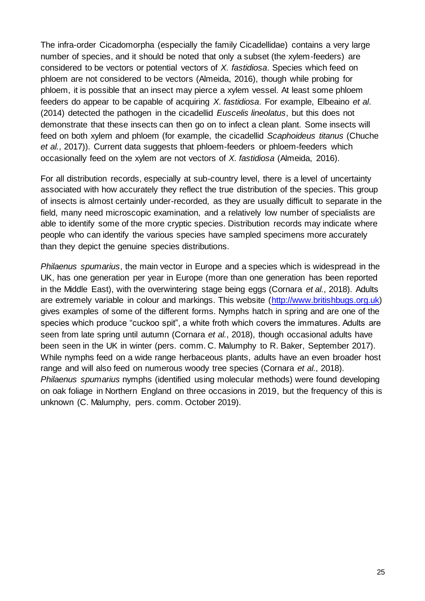The infra-order Cicadomorpha (especially the family Cicadellidae) contains a very large number of species, and it should be noted that only a subset (the xylem-feeders) are considered to be vectors or potential vectors of *X. fastidiosa*. Species which feed on phloem are not considered to be vectors (Almeida, 2016), though while probing for phloem, it is possible that an insect may pierce a xylem vessel. At least some phloem feeders do appear to be capable of acquiring *X. fastidiosa*. For example, Elbeaino *et al*. (2014) detected the pathogen in the cicadellid *Euscelis lineolatus*, but this does not demonstrate that these insects can then go on to infect a clean plant. Some insects will feed on both xylem and phloem (for example, the cicadellid *Scaphoideus titanus* (Chuche *et al.*, 2017)). Current data suggests that phloem-feeders or phloem-feeders which occasionally feed on the xylem are not vectors of *X. fastidiosa* (Almeida, 2016).

For all distribution records, especially at sub-country level, there is a level of uncertainty associated with how accurately they reflect the true distribution of the species. This group of insects is almost certainly under-recorded, as they are usually difficult to separate in the field, many need microscopic examination, and a relatively low number of specialists are able to identify some of the more cryptic species. Distribution records may indicate where people who can identify the various species have sampled specimens more accurately than they depict the genuine species distributions.

*Philaenus spumarius*, the main vector in Europe and a species which is widespread in the UK, has one generation per year in Europe (more than one generation has been reported in the Middle East), with the overwintering stage being eggs (Cornara *et al.*, 2018). Adults are extremely variable in colour and markings. This website [\(http://www.britishbugs.org.uk\)](http://www.britishbugs.org.uk/homoptera/Aphrophoridae/Philaenus_spumarius.html)  gives examples of some of the different forms. Nymphs hatch in spring and are one of the species which produce "cuckoo spit", a white froth which covers the immatures. Adults are seen from late spring until autumn (Cornara *et al.*, 2018), though occasional adults have been seen in the UK in winter (pers. comm. C. Malumphy to R. Baker, September 2017). While nymphs feed on a wide range herbaceous plants, adults have an even broader host range and will also feed on numerous woody tree species (Cornara *et al.*, 2018). *Philaenus spumarius* nymphs (identified using molecular methods) were found developing on oak foliage in Northern England on three occasions in 2019, but the frequency of this is unknown (C. Malumphy, pers. comm. October 2019).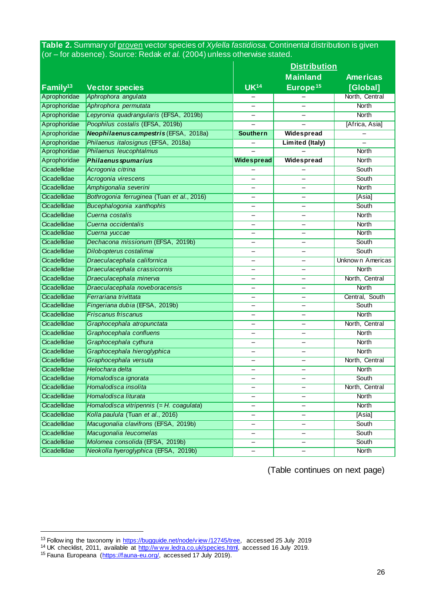**Table 2.** Summary of proven vector species of *Xylella fastidiosa*. Continental distribution is given (or – for absence). Source: Redak *et al.* (2004) unless otherwise stated.

|                      |                                            | <b>Distribution</b>      |                              |                         |  |
|----------------------|--------------------------------------------|--------------------------|------------------------------|-------------------------|--|
|                      |                                            |                          | <b>Mainland</b>              | <b>Americas</b>         |  |
| Family <sup>13</sup> | <b>Vector species</b>                      | <b>UK14</b>              | Europe <sup>15</sup>         | [Global]                |  |
| Aprophoridae         | Aphrophora angulata                        |                          |                              | North, Central          |  |
| Aprophoridae         | Aphrophora permutata                       | $\overline{\phantom{0}}$ | $\overline{\phantom{0}}$     | <b>North</b>            |  |
| Aprophoridae         | Lepyronia quadrangularis (EFSA, 2019b)     |                          |                              | <b>North</b>            |  |
| Aprophoridae         | Poophilus costalis (EFSA, 2019b)           | $\overline{\phantom{0}}$ |                              | [Africa, Asia]          |  |
| Aprophoridae         | Neophilaenus campestris (EFSA, 2018a)      | <b>Southern</b>          | Widespread                   |                         |  |
| Aprophoridae         | Philaenus italosignus (EFSA, 2018a)        |                          | <b>Limited (Italy)</b>       |                         |  |
| Aprophoridae         | Philaenus leucophtalmus                    |                          |                              | <b>North</b>            |  |
| Aprophoridae         | <b>Philaenus spumarius</b>                 | <b>Widespread</b>        | Widespread                   | <b>North</b>            |  |
| Cicadellidae         | Acrogonia citrina                          |                          |                              | South                   |  |
| Cicadellidae         | Acrogonia virescens                        | $\overline{\phantom{0}}$ | $\overline{\phantom{0}}$     | South                   |  |
| Cicadellidae         | Amphigonalia severini                      |                          |                              | <b>North</b>            |  |
| Cicadellidae         | Bothrogonia ferruginea (Tuan et al., 2016) | -                        | $\overline{\phantom{0}}$     | [Asia]                  |  |
| Cicadellidae         | Bucephalogonia xanthophis                  |                          |                              | South                   |  |
| Cicadellidae         | Cuerna costalis                            | $\overline{\phantom{0}}$ | $\overline{\phantom{0}}$     | <b>North</b>            |  |
| Cicadellidae         | Cuerna occidentalis                        |                          |                              | <b>North</b>            |  |
| Cicadellidae         | Cuerna yuccae                              |                          |                              | <b>North</b>            |  |
| Cicadellidae         | Dechacona missionum (EFSA, 2019b)          | —                        | $\overline{\phantom{0}}$     | South                   |  |
| Cicadellidae         | Dilobopterus costalimai                    |                          |                              | South                   |  |
| Cicadellidae         | Draeculacephala californica                | -                        | $\overline{\phantom{0}}$     | <b>Unknown Americas</b> |  |
| Cicadellidae         | Draeculacephala crassicornis               | -                        |                              | <b>North</b>            |  |
| Cicadellidae         | Draeculacephala minerva                    | -                        |                              | North, Central          |  |
| Cicadellidae         | Draeculacephala noveboracensis             | $\overline{\phantom{0}}$ | $\overline{\phantom{0}}$     | <b>North</b>            |  |
| Cicadellidae         | Ferrariana trivittata                      |                          |                              | Central, South          |  |
| Cicadellidae         | Fingeriana dubia (EFSA, 2019b)             |                          |                              | South                   |  |
| Cicadellidae         | <b>Friscanus friscanus</b>                 | Ξ.                       | $\overline{\phantom{0}}$     | <b>North</b>            |  |
| Cicadellidae         | Graphocephala atropunctata                 |                          |                              | North, Central          |  |
| Cicadellidae         | Graphocephala confluens                    | $\overline{\phantom{0}}$ | $\overline{\phantom{0}}$     | <b>North</b>            |  |
| Cicadellidae         | Graphocephala cythura                      |                          |                              | <b>North</b>            |  |
| Cicadellidae         | Graphocephala hieroglyphica                | -                        | $\overline{\phantom{0}}$     | <b>North</b>            |  |
| Cicadellidae         | Graphocephala versuta                      | Ξ.                       |                              | North, Central          |  |
| Cicadellidae         | Helochara delta                            |                          |                              | <b>North</b>            |  |
| Cicadellidae         | Homalodisca ignorata                       | Ξ.                       | $\overline{\phantom{0}}$     | South                   |  |
| Cicadellidae         | Homalodisca insolita                       |                          |                              | North, Central          |  |
| Cicadellidae         | Homalodisca liturata                       | -                        | -                            | <b>North</b>            |  |
| Cicadellidae         | Homalodisca vitripennis (= H. coagulata)   | —                        | $\qquad \qquad \qquad$       | <b>North</b>            |  |
| Cicadellidae         | Kolla paulula (Tuan et al., 2016)          | -                        | -                            | [Asia]                  |  |
| Cicadellidae         | Macugonalia clavifrons (EFSA, 2019b)       | -                        | $\qquad \qquad \blacksquare$ | <b>South</b>            |  |
| Cicadellidae         | Macugonalia leucomelas                     |                          |                              | <b>South</b>            |  |
| Cicadellidae         | Molomea consolida (EFSA, 2019b)            |                          |                              | South                   |  |
| Cicadellidae         | Neokolla hyeroglyphica (EFSA, 2019b)       | -                        | $\overline{\phantom{0}}$     | <b>North</b>            |  |

(Table continues on next page)

1

<sup>&</sup>lt;sup>13</sup> Follow ing the taxonomy in [https://bugguide.net/node/view /12745/tree,](https://bugguide.net/node/view/12745/tree) accessed 25 July 2019

<sup>&</sup>lt;sup>14</sup> UK checklist, 2011, available at http://www.ledra.co.uk/species.html, accessed 16 July 2019.

<sup>&</sup>lt;sup>15</sup> Fauna Europeana [\(https://fauna-eu.org/,](https://fauna-eu.org/) accessed 17 July 2019).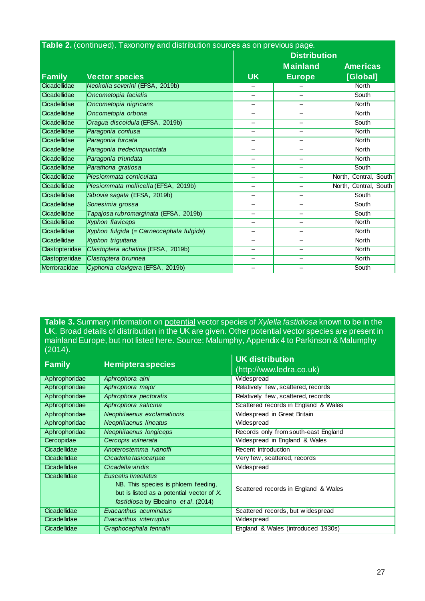| Table 2. (continued). Taxonomy and distribution sources as on previous page. |                                          |                          |                          |                       |  |
|------------------------------------------------------------------------------|------------------------------------------|--------------------------|--------------------------|-----------------------|--|
|                                                                              |                                          |                          | <b>Distribution</b>      |                       |  |
|                                                                              |                                          |                          | <b>Mainland</b>          | <b>Americas</b>       |  |
| <b>Family</b>                                                                | <b>Vector species</b>                    | <b>UK</b>                | <b>Europe</b>            | [Global]              |  |
| Cicadellidae                                                                 | Neokolla severini (EFSA, 2019b)          |                          |                          | North                 |  |
| Cicadellidae                                                                 | Oncometopia facialis                     |                          |                          | South                 |  |
| Cicadellidae                                                                 | Oncometopia nigricans                    |                          |                          | <b>North</b>          |  |
| Cicadellidae                                                                 | Oncometopia orbona                       |                          |                          | <b>North</b>          |  |
| Cicadellidae                                                                 | Oragua discoidula (EFSA, 2019b)          |                          |                          | South                 |  |
| Cicadellidae                                                                 | Paragonia confusa                        |                          |                          | <b>North</b>          |  |
| Cicadellidae                                                                 | Paragonia furcata                        | $\overline{\phantom{0}}$ | -                        | <b>North</b>          |  |
| Cicadellidae                                                                 | Paragonia tredecimpunctata               |                          | $\overline{\phantom{0}}$ | <b>North</b>          |  |
| Cicadellidae                                                                 | Paragonia triundata                      | -                        |                          | <b>North</b>          |  |
| Cicadellidae                                                                 | Parathona gratiosa                       |                          |                          | <b>South</b>          |  |
| Cicadellidae                                                                 | Plesiommata corniculata                  | -                        | -                        | North, Central, South |  |
| Cicadellidae                                                                 | Plesiommata mollicella (EFSA, 2019b)     |                          |                          | North, Central, South |  |
| Cicadellidae                                                                 | Sibovia sagata (EFSA, 2019b)             |                          |                          | South                 |  |
| Cicadellidae                                                                 | Sonesimia grossa                         |                          |                          | South                 |  |
| Cicadellidae                                                                 | Tapajosa rubromarginata (EFSA, 2019b)    |                          |                          | <b>South</b>          |  |
| Cicadellidae                                                                 | <b>Xyphon flaviceps</b>                  |                          |                          | <b>North</b>          |  |
| Cicadellidae                                                                 | Xyphon fulgida (= Carneocephala fulgida) |                          | -                        | <b>North</b>          |  |
| Cicadellidae                                                                 | Xyphon triguttana                        | -                        | $\overline{\phantom{0}}$ | <b>North</b>          |  |
| Clastopteridae                                                               | Clastoptera achatina (EFSA, 2019b)       | -                        |                          | <b>North</b>          |  |
| Clastopteridae                                                               | Clastoptera brunnea                      | -                        |                          | <b>North</b>          |  |
| Membracidae                                                                  | Cyphonia clavigera (EFSA, 2019b)         |                          |                          | South                 |  |

**Table 3.** Summary information on potential vector species of *Xylella fastidiosa* known to be in the UK. Broad details of distribution in the UK are given. Other potential vector species are present in mainland Europe, but not listed here. Source: Malumphy, Appendix 4 to Parkinson & Malumphy (2014).

| <b>Family</b> | <b>Hemiptera species</b>                                                                                                                        | <b>UK distribution</b><br>(http://www.ledra.co.uk) |
|---------------|-------------------------------------------------------------------------------------------------------------------------------------------------|----------------------------------------------------|
|               |                                                                                                                                                 |                                                    |
| Aphrophoridae | Aphrophora alni                                                                                                                                 | Widespread                                         |
| Aphrophoridae | Aphrophora major                                                                                                                                | Relatively few, scattered, records                 |
| Aphrophoridae | Aphrophora pectoralis                                                                                                                           | Relatively few, scattered, records                 |
| Aphrophoridae | Aphrophora salicina                                                                                                                             | Scattered records in England & Wales               |
| Aphrophoridae | Neophilaenus exclamationis                                                                                                                      | Widespread in Great Britain                        |
| Aphrophoridae | Neophilaenus lineatus                                                                                                                           | Widespread                                         |
| Aphrophoridae | Neophilaenus longiceps                                                                                                                          | Records only from south-east England               |
| Cercopidae    | Cercopis vulnerata                                                                                                                              | Widespread in England & Wales                      |
| Cicadellidae  | Anoterostemma ivanoffi                                                                                                                          | Recent introduction                                |
| Cicadellidae  | Cicadella lasiocarpae                                                                                                                           | Very few, scattered, records                       |
| Cicadellidae  | Cicadella viridis                                                                                                                               | Widespread                                         |
| Cicadellidae  | Euscelis lineolatus<br>NB. This species is phloem feeding,<br>but is listed as a potential vector of X.<br>fastidiosa by Elbeaino et al. (2014) | Scattered records in England & Wales               |
| Cicadellidae  | Evacanthus acuminatus                                                                                                                           | Scattered records, but widespread                  |
| Cicadellidae  | Evacanthus interruptus                                                                                                                          | Widespread                                         |
| Cicadellidae  | Graphocephala fennahi                                                                                                                           | England & Wales (introduced 1930s)                 |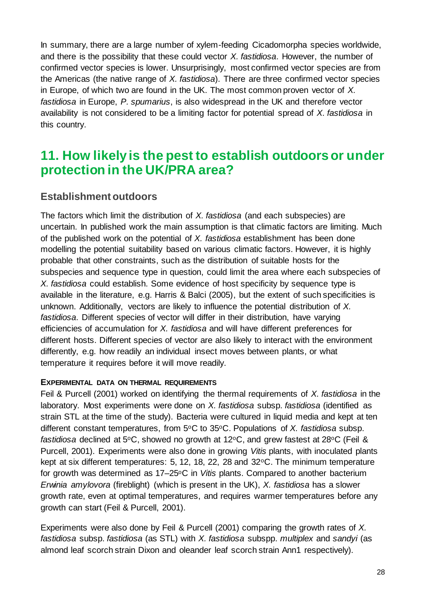In summary, there are a large number of xylem-feeding Cicadomorpha species worldwide, and there is the possibility that these could vector *X. fastidiosa*. However, the number of confirmed vector species is lower. Unsurprisingly, most confirmed vector species are from the Americas (the native range of *X. fastidiosa*). There are three confirmed vector species in Europe, of which two are found in the UK. The most common proven vector of *X. fastidiosa* in Europe, *P. spumarius*, is also widespread in the UK and therefore vector availability is not considered to be a limiting factor for potential spread of *X. fastidiosa* in this country.

## **11. How likely is the pest to establish outdoorsor under protection in the UK/PRA area?**

### **Establishment outdoors**

The factors which limit the distribution of *X. fastidiosa* (and each subspecies) are uncertain. In published work the main assumption is that climatic factors are limiting. Much of the published work on the potential of *X. fastidiosa* establishment has been done modelling the potential suitability based on various climatic factors. However, it is highly probable that other constraints, such as the distribution of suitable hosts for the subspecies and sequence type in question, could limit the area where each subspecies of *X. fastidiosa* could establish. Some evidence of host specificity by sequence type is available in the literature, e.g. Harris & Balci (2005), but the extent of such specificities is unknown. Additionally, vectors are likely to influence the potential distribution of *X. fastidiosa*. Different species of vector will differ in their distribution, have varying efficiencies of accumulation for *X. fastidiosa* and will have different preferences for different hosts. Different species of vector are also likely to interact with the environment differently, e.g. how readily an individual insect moves between plants, or what temperature it requires before it will move readily.

#### **EXPERIMENTAL DATA ON THERMAL REQUIREMENTS**

Feil & Purcell (2001) worked on identifying the thermal requirements of *X. fastidiosa* in the laboratory. Most experiments were done on *X. fastidiosa* subsp. *fastidiosa* (identified as strain STL at the time of the study). Bacteria were cultured in liquid media and kept at ten different constant temperatures, from 5°C to 35°C. Populations of *X. fastidiosa* subsp. fastidiosa declined at 5°C, showed no growth at 12°C, and grew fastest at 28°C (Feil & Purcell, 2001). Experiments were also done in growing *Vitis* plants, with inoculated plants kept at six different temperatures: 5, 12, 18, 22, 28 and  $32^{\circ}$ C. The minimum temperature for growth was determined as 17–25oC in *Vitis* plants. Compared to another bacterium *Erwinia amylovora* (fireblight) (which is present in the UK), *X. fastidiosa* has a slower growth rate, even at optimal temperatures, and requires warmer temperatures before any growth can start (Feil & Purcell, 2001).

Experiments were also done by Feil & Purcell (2001) comparing the growth rates of *X. fastidiosa* subsp. *fastidiosa* (as STL) with *X. fastidiosa* subspp. *multiplex* and *sandyi* (as almond leaf scorch strain Dixon and oleander leaf scorch strain Ann1 respectively).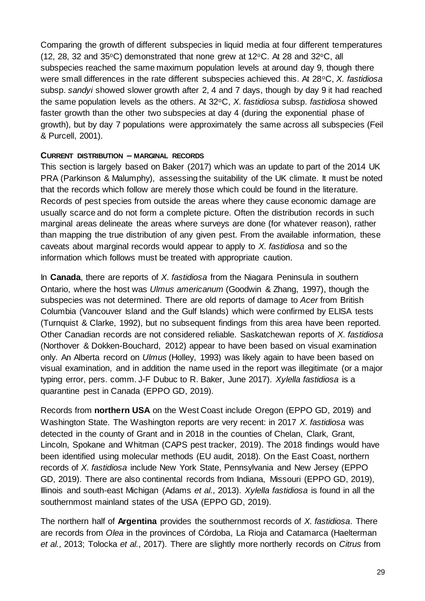Comparing the growth of different subspecies in liquid media at four different temperatures (12, 28, 32 and 35 $\circ$ C) demonstrated that none grew at 12 $\circ$ C. At 28 and 32 $\circ$ C, all subspecies reached the same maximum population levels at around day 9, though there were small differences in the rate different subspecies achieved this. At 28oC, *X. fastidiosa* subsp. *sandyi* showed slower growth after 2, 4 and 7 days, though by day 9 it had reached the same population levels as the others. At 32oC, *X. fastidiosa* subsp. *fastidiosa* showed faster growth than the other two subspecies at day 4 (during the exponential phase of growth), but by day 7 populations were approximately the same across all subspecies (Feil & Purcell, 2001).

#### **CURRENT DISTRIBUTION – MARGINAL RECORDS**

This section is largely based on Baker (2017) which was an update to part of the 2014 UK PRA (Parkinson & Malumphy), assessing the suitability of the UK climate. It must be noted that the records which follow are merely those which could be found in the literature. Records of pest species from outside the areas where they cause economic damage are usually scarce and do not form a complete picture. Often the distribution records in such marginal areas delineate the areas where surveys are done (for whatever reason), rather than mapping the true distribution of any given pest. From the available information, these caveats about marginal records would appear to apply to *X. fastidiosa* and so the information which follows must be treated with appropriate caution.

In **Canada**, there are reports of *X. fastidiosa* from the Niagara Peninsula in southern Ontario, where the host was *Ulmus americanum* (Goodwin & Zhang, 1997), though the subspecies was not determined. There are old reports of damage to *Acer* from British Columbia (Vancouver Island and the Gulf Islands) which were confirmed by ELISA tests (Turnquist & Clarke, 1992), but no subsequent findings from this area have been reported. Other Canadian records are not considered reliable. Saskatchewan reports of *X. fastidiosa* (Northover & Dokken-Bouchard, 2012) appear to have been based on visual examination only. An Alberta record on *Ulmus* (Holley, 1993) was likely again to have been based on visual examination, and in addition the name used in the report was illegitimate (or a major typing error, pers. comm. J-F Dubuc to R. Baker, June 2017). *Xylella fastidiosa* is a quarantine pest in Canada (EPPO GD, 2019).

Records from **northern USA** on the West Coast include Oregon (EPPO GD, 2019) and Washington State. The Washington reports are very recent: in 2017 *X. fastidiosa* was detected in the county of Grant and in 2018 in the counties of Chelan, Clark, Grant, Lincoln, Spokane and Whitman (CAPS pest tracker, 2019). The 2018 findings would have been identified using molecular methods (EU audit, 2018). On the East Coast, northern records of *X. fastidiosa* include New York State, Pennsylvania and New Jersey (EPPO GD, 2019). There are also continental records from Indiana, Missouri (EPPO GD, 2019), Illinois and south-east Michigan (Adams *et al.*, 2013). *Xylella fastidiosa* is found in all the southernmost mainland states of the USA (EPPO GD, 2019).

The northern half of **Argentina** provides the southernmost records of *X. fastidiosa*. There are records from *Olea* in the provinces of Córdoba, La Rioja and Catamarca (Haelterman *et al.*, 2013; Tolocka *et al.*, 2017). There are slightly more northerly records on *Citrus* from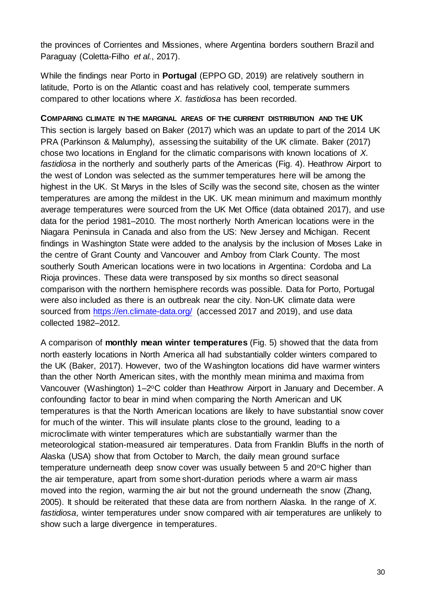the provinces of Corrientes and Missiones, where Argentina borders southern Brazil and Paraguay (Coletta-Filho *et al.*, 2017).

While the findings near Porto in **Portugal** (EPPO GD, 2019) are relatively southern in latitude, Porto is on the Atlantic coast and has relatively cool, temperate summers compared to other locations where *X. fastidiosa* has been recorded.

**COMPARING CLIMATE IN THE MARGINAL AREAS OF THE CURRENT DISTRIBUTION AND THE UK** This section is largely based on Baker (2017) which was an update to part of the 2014 UK PRA (Parkinson & Malumphy), assessing the suitability of the UK climate. Baker (2017) chose two locations in England for the climatic comparisons with known locations of *X. fastidiosa* in the northerly and southerly parts of the Americas (Fig. 4). Heathrow Airport to the west of London was selected as the summer temperatures here will be among the highest in the UK. St Marys in the Isles of Scilly was the second site, chosen as the winter temperatures are among the mildest in the UK. UK mean minimum and maximum monthly average temperatures were sourced from the UK Met Office (data obtained 2017), and use data for the period 1981–2010. The most northerly North American locations were in the Niagara Peninsula in Canada and also from the US: New Jersey and Michigan. Recent findings in Washington State were added to the analysis by the inclusion of Moses Lake in the centre of Grant County and Vancouver and Amboy from Clark County. The most southerly South American locations were in two locations in Argentina: Cordoba and La Rioja provinces. These data were transposed by six months so direct seasonal comparison with the northern hemisphere records was possible. Data for Porto, Portugal were also included as there is an outbreak near the city. Non-UK climate data were sourced from<https://en.climate-data.org/> (accessed 2017 and 2019), and use data collected 1982–2012.

A comparison of **monthly mean winter temperatures** (Fig. 5) showed that the data from north easterly locations in North America all had substantially colder winters compared to the UK (Baker, 2017). However, two of the Washington locations did have warmer winters than the other North American sites, with the monthly mean minima and maxima from Vancouver (Washington) 1–2°C colder than Heathrow Airport in January and December. A confounding factor to bear in mind when comparing the North American and UK temperatures is that the North American locations are likely to have substantial snow cover for much of the winter. This will insulate plants close to the ground, leading to a microclimate with winter temperatures which are substantially warmer than the meteorological station-measured air temperatures. Data from Franklin Bluffs in the north of Alaska (USA) show that from October to March, the daily mean ground surface temperature underneath deep snow cover was usually between 5 and 20°C higher than the air temperature, apart from some short-duration periods where a warm air mass moved into the region, warming the air but not the ground underneath the snow (Zhang, 2005). It should be reiterated that these data are from northern Alaska. In the range of *X. fastidiosa*, winter temperatures under snow compared with air temperatures are unlikely to show such a large divergence in temperatures.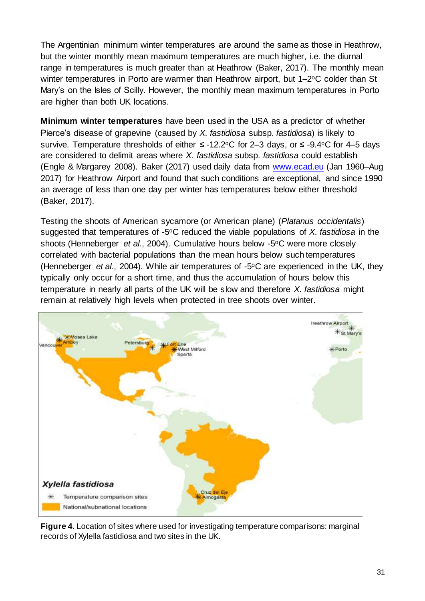The Argentinian minimum winter temperatures are around the same as those in Heathrow, but the winter monthly mean maximum temperatures are much higher, i.e. the diurnal range in temperatures is much greater than at Heathrow (Baker, 2017). The monthly mean winter temperatures in Porto are warmer than Heathrow airport, but 1–2°C colder than St Mary's on the Isles of Scilly. However, the monthly mean maximum temperatures in Porto are higher than both UK locations.

**Minimum winter temperatures** have been used in the USA as a predictor of whether Pierce's disease of grapevine (caused by *X. fastidiosa* subsp. *fastidiosa*) is likely to survive. Temperature thresholds of either ≤ -12.2°C for 2–3 days, or ≤ -9.4°C for 4–5 days are considered to delimit areas where *X. fastidiosa* subsp. *fastidiosa* could establish (Engle & Margarey 2008). Baker (2017) used daily data from [www.ecad.eu](http://www.ecad.eu/) (Jan 1960–Aug 2017) for Heathrow Airport and found that such conditions are exceptional, and since 1990 an average of less than one day per winter has temperatures below either threshold (Baker, 2017).

Testing the shoots of American sycamore (or American plane) (*Platanus occidentalis*) suggested that temperatures of -5oC reduced the viable populations of *X. fastidiosa* in the shoots (Henneberger *et al.*, 2004). Cumulative hours below -5<sup>o</sup>C were more closely correlated with bacterial populations than the mean hours below such temperatures (Henneberger *et al.*, 2004). While air temperatures of -5oC are experienced in the UK, they typically only occur for a short time, and thus the accumulation of hours below this temperature in nearly all parts of the UK will be slow and therefore *X. fastidiosa* might remain at relatively high levels when protected in tree shoots over winter.



**Figure 4**. Location of sites where used for investigating temperature comparisons: marginal records of Xylella fastidiosa and two sites in the UK.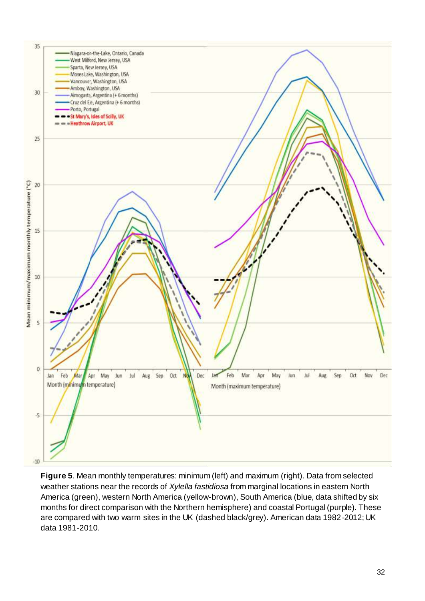

**Figure 5**. Mean monthly temperatures: minimum (left) and maximum (right). Data from selected weather stations near the records of *Xylella fastidiosa* from marginal locations in eastern North America (green), western North America (yellow-brown), South America (blue, data shifted by six months for direct comparison with the Northern hemisphere) and coastal Portugal (purple). These are compared with two warm sites in the UK (dashed black/grey). American data 1982-2012; UK data 1981-2010.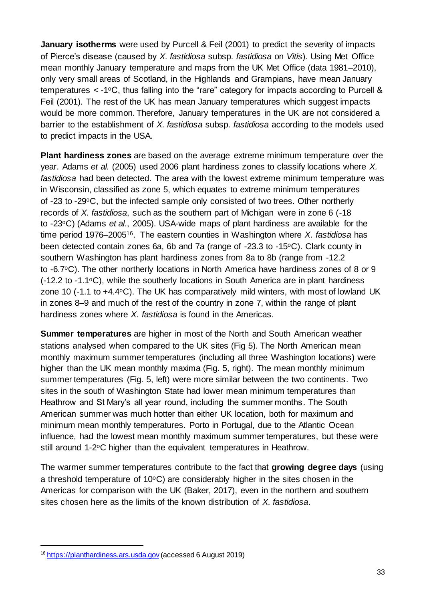**January isotherms** were used by Purcell & Feil (2001) to predict the severity of impacts of Pierce's disease (caused by *X. fastidiosa* subsp. *fastidiosa* on *Vitis*). Using Met Office mean monthly January temperature and maps from the UK Met Office (data 1981–2010), only very small areas of Scotland, in the Highlands and Grampians, have mean January temperatures < -1oC, thus falling into the "rare" category for impacts according to Purcell & Feil (2001). The rest of the UK has mean January temperatures which suggest impacts would be more common. Therefore, January temperatures in the UK are not considered a barrier to the establishment of *X. fastidiosa* subsp. *fastidiosa* according to the models used to predict impacts in the USA.

**Plant hardiness zones** are based on the average extreme minimum temperature over the year. Adams *et al.* (2005) used 2006 plant hardiness zones to classify locations where *X. fastidiosa* had been detected. The area with the lowest extreme minimum temperature was in Wisconsin, classified as zone 5, which equates to extreme minimum temperatures of -23 to -29°C, but the infected sample only consisted of two trees. Other northerly records of *X. fastidiosa*, such as the southern part of Michigan were in zone 6 (-18 to -23oC) (Adams *et al*., 2005). USA-wide maps of plant hardiness are available for the time period 1976–200516. The eastern counties in Washington where *X. fastidiosa* has been detected contain zones 6a, 6b and 7a (range of -23.3 to -15°C). Clark county in southern Washington has plant hardiness zones from 8a to 8b (range from -12.2 to -6.7<sup>o</sup>C). The other northerly locations in North America have hardiness zones of 8 or 9  $(-12.2$  to  $-1.1$ <sup>o</sup>C), while the southerly locations in South America are in plant hardiness zone 10 (-1.1 to +4.4oC). The UK has comparatively mild winters, with most of lowland UK in zones 8–9 and much of the rest of the country in zone 7, within the range of plant hardiness zones where *X. fastidiosa* is found in the Americas.

**Summer temperatures** are higher in most of the North and South American weather stations analysed when compared to the UK sites (Fig 5). The North American mean monthly maximum summer temperatures (including all three Washington locations) were higher than the UK mean monthly maxima (Fig. 5, right). The mean monthly minimum summer temperatures (Fig. 5, left) were more similar between the two continents. Two sites in the south of Washington State had lower mean minimum temperatures than Heathrow and St Mary's all year round, including the summer months. The South American summer was much hotter than either UK location, both for maximum and minimum mean monthly temperatures. Porto in Portugal, due to the Atlantic Ocean influence, had the lowest mean monthly maximum summer temperatures, but these were still around 1-2°C higher than the equivalent temperatures in Heathrow.

The warmer summer temperatures contribute to the fact that **growing degree days** (using a threshold temperature of  $10^{\circ}$ C) are considerably higher in the sites chosen in the Americas for comparison with the UK (Baker, 2017), even in the northern and southern sites chosen here as the limits of the known distribution of *X. fastidiosa*.

1

<sup>&</sup>lt;sup>16</sup> [https://planthardiness.ars.usda.gov](https://planthardiness.ars.usda.gov/) (accessed 6 August 2019)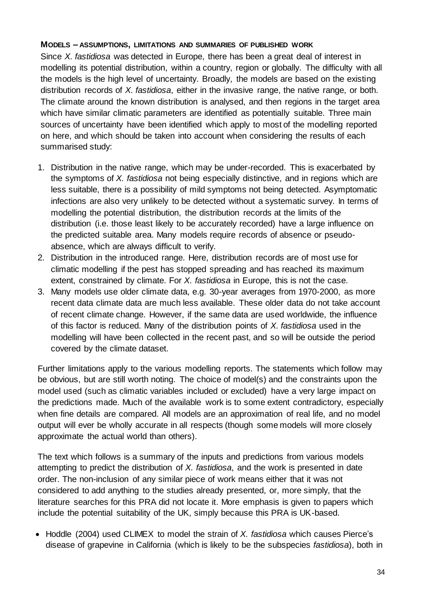#### **MODELS – ASSUMPTIONS, LIMITATIONS AND SUMMARIES OF PUBLISHED WORK**

Since *X. fastidiosa* was detected in Europe, there has been a great deal of interest in modelling its potential distribution, within a country, region or globally. The difficulty with all the models is the high level of uncertainty. Broadly, the models are based on the existing distribution records of *X. fastidiosa*, either in the invasive range, the native range, or both. The climate around the known distribution is analysed, and then regions in the target area which have similar climatic parameters are identified as potentially suitable. Three main sources of uncertainty have been identified which apply to most of the modelling reported on here, and which should be taken into account when considering the results of each summarised study:

- 1. Distribution in the native range, which may be under-recorded. This is exacerbated by the symptoms of *X. fastidiosa* not being especially distinctive, and in regions which are less suitable, there is a possibility of mild symptoms not being detected. Asymptomatic infections are also very unlikely to be detected without a systematic survey. In terms of modelling the potential distribution, the distribution records at the limits of the distribution (i.e. those least likely to be accurately recorded) have a large influence on the predicted suitable area. Many models require records of absence or pseudoabsence, which are always difficult to verify.
- 2. Distribution in the introduced range. Here, distribution records are of most use for climatic modelling if the pest has stopped spreading and has reached its maximum extent, constrained by climate. For *X. fastidiosa* in Europe, this is not the case.
- 3. Many models use older climate data, e.g. 30-year averages from 1970-2000, as more recent data climate data are much less available. These older data do not take account of recent climate change. However, if the same data are used worldwide, the influence of this factor is reduced. Many of the distribution points of *X. fastidiosa* used in the modelling will have been collected in the recent past, and so will be outside the period covered by the climate dataset.

Further limitations apply to the various modelling reports. The statements which follow may be obvious, but are still worth noting. The choice of model(s) and the constraints upon the model used (such as climatic variables included or excluded) have a very large impact on the predictions made. Much of the available work is to some extent contradictory, especially when fine details are compared. All models are an approximation of real life, and no model output will ever be wholly accurate in all respects (though some models will more closely approximate the actual world than others).

The text which follows is a summary of the inputs and predictions from various models attempting to predict the distribution of *X. fastidiosa*, and the work is presented in date order. The non-inclusion of any similar piece of work means either that it was not considered to add anything to the studies already presented, or, more simply, that the literature searches for this PRA did not locate it. More emphasis is given to papers which include the potential suitability of the UK, simply because this PRA is UK-based.

 Hoddle (2004) used CLIMEX to model the strain of *X. fastidiosa* which causes Pierce's disease of grapevine in California (which is likely to be the subspecies *fastidiosa*), both in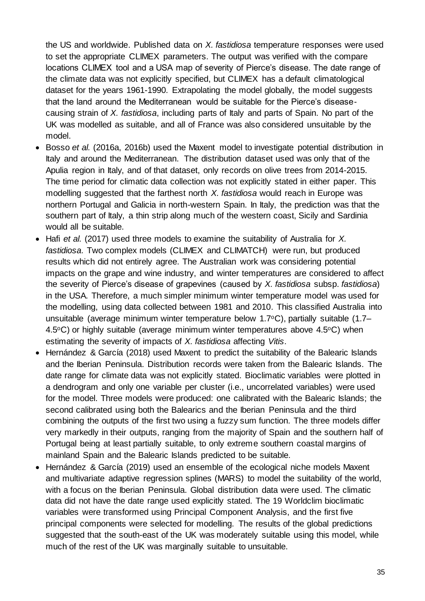the US and worldwide. Published data on *X. fastidiosa* temperature responses were used to set the appropriate CLIMEX parameters. The output was verified with the compare locations CLIMEX tool and a USA map of severity of Pierce's disease. The date range of the climate data was not explicitly specified, but CLIMEX has a default climatological dataset for the years 1961-1990. Extrapolating the model globally, the model suggests that the land around the Mediterranean would be suitable for the Pierce's diseasecausing strain of *X. fastidiosa*, including parts of Italy and parts of Spain. No part of the UK was modelled as suitable, and all of France was also considered unsuitable by the model.

- Bosso *et al.* (2016a, 2016b) used the Maxent model to investigate potential distribution in Italy and around the Mediterranean. The distribution dataset used was only that of the Apulia region in Italy, and of that dataset, only records on olive trees from 2014-2015. The time period for climatic data collection was not explicitly stated in either paper. This modelling suggested that the farthest north *X. fastidiosa* would reach in Europe was northern Portugal and Galicia in north-western Spain. In Italy, the prediction was that the southern part of Italy, a thin strip along much of the western coast, Sicily and Sardinia would all be suitable.
- Hafi *et al.* (2017) used three models to examine the suitability of Australia for *X. fastidiosa*. Two complex models (CLIMEX and CLIMATCH) were run, but produced results which did not entirely agree. The Australian work was considering potential impacts on the grape and wine industry, and winter temperatures are considered to affect the severity of Pierce's disease of grapevines (caused by *X. fastidiosa* subsp. *fastidiosa*) in the USA. Therefore, a much simpler minimum winter temperature model was used for the modelling, using data collected between 1981 and 2010. This classified Australia into unsuitable (average minimum winter temperature below 1.7°C), partially suitable (1.7–  $4.5^{\circ}$ C) or highly suitable (average minimum winter temperatures above  $4.5^{\circ}$ C) when estimating the severity of impacts of *X. fastidiosa* affecting *Vitis*.
- Hernández & García (2018) used Maxent to predict the suitability of the Balearic Islands and the Iberian Peninsula. Distribution records were taken from the Balearic Islands. The date range for climate data was not explicitly stated. Bioclimatic variables were plotted in a dendrogram and only one variable per cluster (i.e., uncorrelated variables) were used for the model. Three models were produced: one calibrated with the Balearic Islands; the second calibrated using both the Balearics and the Iberian Peninsula and the third combining the outputs of the first two using a fuzzy sum function. The three models differ very markedly in their outputs, ranging from the majority of Spain and the southern half of Portugal being at least partially suitable, to only extreme southern coastal margins of mainland Spain and the Balearic Islands predicted to be suitable.
- Hernández & García (2019) used an ensemble of the ecological niche models Maxent and multivariate adaptive regression splines (MARS) to model the suitability of the world, with a focus on the Iberian Peninsula. Global distribution data were used. The climatic data did not have the date range used explicitly stated. The 19 Worldclim bioclimatic variables were transformed using Principal Component Analysis, and the first five principal components were selected for modelling. The results of the global predictions suggested that the south-east of the UK was moderately suitable using this model, while much of the rest of the UK was marginally suitable to unsuitable.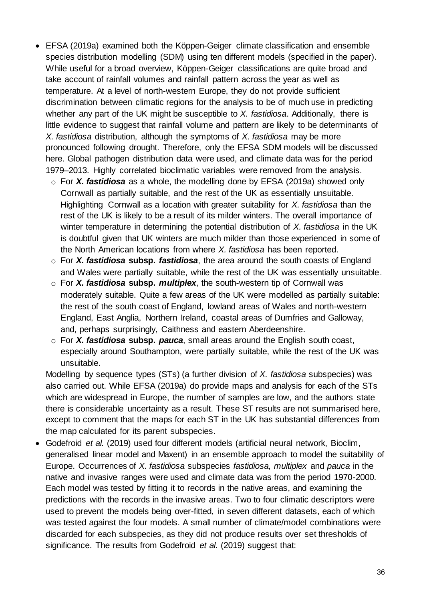- EFSA (2019a) examined both the Köppen-Geiger climate classification and ensemble species distribution modelling (SDM) using ten different models (specified in the paper). While useful for a broad overview, Köppen-Geiger classifications are quite broad and take account of rainfall volumes and rainfall pattern across the year as well as temperature. At a level of north-western Europe, they do not provide sufficient discrimination between climatic regions for the analysis to be of much use in predicting whether any part of the UK might be susceptible to *X. fastidiosa*. Additionally, there is little evidence to suggest that rainfall volume and pattern are likely to be determinants of *X. fastidiosa* distribution, although the symptoms of *X. fastidiosa* may be more pronounced following drought. Therefore, only the EFSA SDM models will be discussed here. Global pathogen distribution data were used, and climate data was for the period 1979–2013. Highly correlated bioclimatic variables were removed from the analysis.
	- o For *X. fastidiosa* as a whole, the modelling done by EFSA (2019a) showed only Cornwall as partially suitable, and the rest of the UK as essentially unsuitable. Highlighting Cornwall as a location with greater suitability for *X. fastidiosa* than the rest of the UK is likely to be a result of its milder winters. The overall importance of winter temperature in determining the potential distribution of *X. fastidiosa* in the UK is doubtful given that UK winters are much milder than those experienced in some of the North American locations from where *X. fastidiosa* has been reported.
	- o For *X. fastidiosa* **subsp.** *fastidiosa*, the area around the south coasts of England and Wales were partially suitable, while the rest of the UK was essentially unsuitable.
	- o For *X. fastidiosa* **subsp.** *multiplex*, the south-western tip of Cornwall was moderately suitable. Quite a few areas of the UK were modelled as partially suitable: the rest of the south coast of England, lowland areas of Wales and north-western England, East Anglia, Northern Ireland, coastal areas of Dumfries and Galloway, and, perhaps surprisingly, Caithness and eastern Aberdeenshire.
	- o For *X. fastidiosa* **subsp.** *pauca*, small areas around the English south coast, especially around Southampton, were partially suitable, while the rest of the UK was unsuitable.

Modelling by sequence types (STs) (a further division of *X. fastidiosa* subspecies) was also carried out. While EFSA (2019a) do provide maps and analysis for each of the STs which are widespread in Europe, the number of samples are low, and the authors state there is considerable uncertainty as a result. These ST results are not summarised here, except to comment that the maps for each ST in the UK has substantial differences from the map calculated for its parent subspecies.

 Godefroid *et al.* (2019) used four different models (artificial neural network, Bioclim, generalised linear model and Maxent) in an ensemble approach to model the suitability of Europe. Occurrences of *X. fastidiosa* subspecies *fastidiosa, multiplex* and *pauca* in the native and invasive ranges were used and climate data was from the period 1970-2000. Each model was tested by fitting it to records in the native areas, and examining the predictions with the records in the invasive areas. Two to four climatic descriptors were used to prevent the models being over-fitted, in seven different datasets, each of which was tested against the four models. A small number of climate/model combinations were discarded for each subspecies, as they did not produce results over set thresholds of significance. The results from Godefroid *et al.* (2019) suggest that: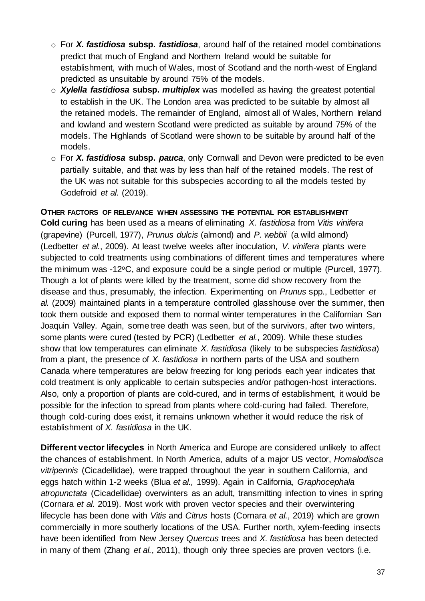- o For *X. fastidiosa* **subsp.** *fastidiosa*, around half of the retained model combinations predict that much of England and Northern Ireland would be suitable for establishment, with much of Wales, most of Scotland and the north-west of England predicted as unsuitable by around 75% of the models.
- o *Xylella fastidiosa* **subsp.** *multiplex* was modelled as having the greatest potential to establish in the UK. The London area was predicted to be suitable by almost all the retained models. The remainder of England, almost all of Wales, Northern Ireland and lowland and western Scotland were predicted as suitable by around 75% of the models. The Highlands of Scotland were shown to be suitable by around half of the models.
- o For *X. fastidiosa* **subsp.** *pauca*, only Cornwall and Devon were predicted to be even partially suitable, and that was by less than half of the retained models. The rest of the UK was not suitable for this subspecies according to all the models tested by Godefroid *et al.* (2019).

**OTHER FACTORS OF RELEVANCE WHEN ASSESSING THE POTENTIAL FOR ESTABLISHMENT Cold curing** has been used as a means of eliminating *X. fastidiosa* from *Vitis vinifera* (grapevine) (Purcell, 1977), *Prunus dulcis* (almond) and *P. webbii* (a wild almond) (Ledbetter *et al.*, 2009). At least twelve weeks after inoculation, *V. vinifera* plants were subjected to cold treatments using combinations of different times and temperatures where the minimum was -12°C, and exposure could be a single period or multiple (Purcell, 1977). Though a lot of plants were killed by the treatment, some did show recovery from the disease and thus, presumably, the infection. Experimenting on *Prunus* spp., Ledbetter *et al.* (2009) maintained plants in a temperature controlled glasshouse over the summer, then took them outside and exposed them to normal winter temperatures in the Californian San Joaquin Valley. Again, some tree death was seen, but of the survivors, after two winters, some plants were cured (tested by PCR) (Ledbetter *et al.*, 2009). While these studies show that low temperatures can eliminate *X. fastidiosa* (likely to be subspecies *fastidiosa*) from a plant, the presence of *X. fastidiosa* in northern parts of the USA and southern Canada where temperatures are below freezing for long periods each year indicates that cold treatment is only applicable to certain subspecies and/or pathogen-host interactions. Also, only a proportion of plants are cold-cured, and in terms of establishment, it would be possible for the infection to spread from plants where cold-curing had failed. Therefore, though cold-curing does exist, it remains unknown whether it would reduce the risk of establishment of *X. fastidiosa* in the UK.

**Different vector lifecycles** in North America and Europe are considered unlikely to affect the chances of establishment. In North America, adults of a major US vector, *Homalodisca vitripennis* (Cicadellidae), were trapped throughout the year in southern California, and eggs hatch within 1-2 weeks (Blua *et al.,* 1999). Again in California, *Graphocephala atropunctata* (Cicadellidae) overwinters as an adult, transmitting infection to vines in spring (Cornara *et al.* 2019). Most work with proven vector species and their overwintering lifecycle has been done with *Vitis* and *Citrus* hosts (Cornara *et al.*, 2019) which are grown commercially in more southerly locations of the USA. Further north, xylem-feeding insects have been identified from New Jersey *Quercus* trees and *X. fastidiosa* has been detected in many of them (Zhang *et al.*, 2011), though only three species are proven vectors (i.e.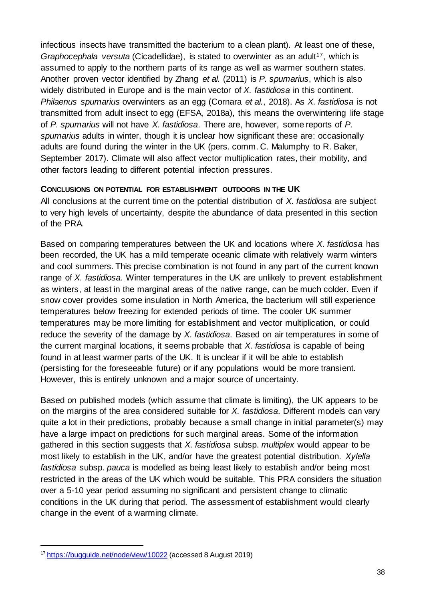infectious insects have transmitted the bacterium to a clean plant). At least one of these, *Graphocephala versuta* (Cicadellidae), is stated to overwinter as an adult<sup>17</sup>, which is assumed to apply to the northern parts of its range as well as warmer southern states. Another proven vector identified by Zhang *et al.* (2011) is *P. spumarius*, which is also widely distributed in Europe and is the main vector of *X. fastidiosa* in this continent. *Philaenus spumarius* overwinters as an egg (Cornara *et al.*, 2018). As *X. fastidiosa* is not transmitted from adult insect to egg (EFSA, 2018a), this means the overwintering life stage of *P. spumarius* will not have *X. fastidiosa*. There are, however, some reports of *P. spumarius* adults in winter, though it is unclear how significant these are: occasionally adults are found during the winter in the UK (pers. comm. C. Malumphy to R. Baker, September 2017). Climate will also affect vector multiplication rates, their mobility, and other factors leading to different potential infection pressures.

#### **CONCLUSIONS ON POTENTIAL FOR ESTABLISHMENT OUTDOORS IN THE UK**

All conclusions at the current time on the potential distribution of *X. fastidiosa* are subject to very high levels of uncertainty, despite the abundance of data presented in this section of the PRA.

Based on comparing temperatures between the UK and locations where *X. fastidiosa* has been recorded, the UK has a mild temperate oceanic climate with relatively warm winters and cool summers. This precise combination is not found in any part of the current known range of *X. fastidiosa*. Winter temperatures in the UK are unlikely to prevent establishment as winters, at least in the marginal areas of the native range, can be much colder. Even if snow cover provides some insulation in North America, the bacterium will still experience temperatures below freezing for extended periods of time. The cooler UK summer temperatures may be more limiting for establishment and vector multiplication, or could reduce the severity of the damage by *X. fastidiosa*. Based on air temperatures in some of the current marginal locations, it seems probable that *X. fastidiosa* is capable of being found in at least warmer parts of the UK. It is unclear if it will be able to establish (persisting for the foreseeable future) or if any populations would be more transient. However, this is entirely unknown and a major source of uncertainty.

Based on published models (which assume that climate is limiting), the UK appears to be on the margins of the area considered suitable for *X. fastidiosa*. Different models can vary quite a lot in their predictions, probably because a small change in initial parameter(s) may have a large impact on predictions for such marginal areas. Some of the information gathered in this section suggests that *X. fastidiosa* subsp. *multiplex* would appear to be most likely to establish in the UK, and/or have the greatest potential distribution. *Xylella fastidiosa* subsp. *pauca* is modelled as being least likely to establish and/or being most restricted in the areas of the UK which would be suitable. This PRA considers the situation over a 5-10 year period assuming no significant and persistent change to climatic conditions in the UK during that period. The assessment of establishment would clearly change in the event of a warming climate.

1

<sup>&</sup>lt;sup>17</sup> <https://bugguide.net/node/view/10022> (accessed 8 August 2019)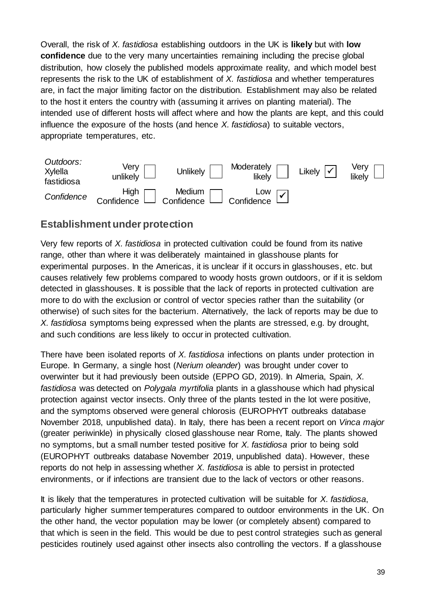Overall, the risk of *X. fastidiosa* establishing outdoors in the UK is **likely** but with **low confidence** due to the very many uncertainties remaining including the precise global distribution, how closely the published models approximate reality, and which model best represents the risk to the UK of establishment of *X. fastidiosa* and whether temperatures are, in fact the major limiting factor on the distribution. Establishment may also be related to the host it enters the country with (assuming it arrives on planting material). The intended use of different hosts will affect where and how the plants are kept, and this could influence the exposure of the hosts (and hence *X. fastidiosa*) to suitable vectors, appropriate temperatures, etc.

| Outdoors:<br>Xylella<br>fastidiosa | Very<br>unlikely | <b>Unlikely</b>                                       | Moderately<br>likely $\Box$ | Likely $ \mathcal{V} $ | Very $\Box$ |
|------------------------------------|------------------|-------------------------------------------------------|-----------------------------|------------------------|-------------|
| Confidence                         |                  | Edition Medium<br>Confidence Confidence<br>Confidence | Low $\sqrt{ }$              |                        |             |

#### **Establishment under protection**

Very few reports of *X. fastidiosa* in protected cultivation could be found from its native range, other than where it was deliberately maintained in glasshouse plants for experimental purposes. In the Americas, it is unclear if it occurs in glasshouses, etc. but causes relatively few problems compared to woody hosts grown outdoors, or if it is seldom detected in glasshouses. It is possible that the lack of reports in protected cultivation are more to do with the exclusion or control of vector species rather than the suitability (or otherwise) of such sites for the bacterium. Alternatively, the lack of reports may be due to *X. fastidiosa* symptoms being expressed when the plants are stressed, e.g. by drought, and such conditions are less likely to occur in protected cultivation.

There have been isolated reports of *X. fastidiosa* infections on plants under protection in Europe. In Germany, a single host (*Nerium oleander*) was brought under cover to overwinter but it had previously been outside (EPPO GD, 2019). In Almeria, Spain, *X. fastidiosa* was detected on *Polygala myrtifolia* plants in a glasshouse which had physical protection against vector insects. Only three of the plants tested in the lot were positive, and the symptoms observed were general chlorosis (EUROPHYT outbreaks database November 2018, unpublished data). In Italy, there has been a recent report on *Vinca major* (greater periwinkle) in physically closed glasshouse near Rome, Italy. The plants showed no symptoms, but a small number tested positive for *X. fastidiosa* prior to being sold (EUROPHYT outbreaks database November 2019, unpublished data). However, these reports do not help in assessing whether *X. fastidiosa* is able to persist in protected environments, or if infections are transient due to the lack of vectors or other reasons.

It is likely that the temperatures in protected cultivation will be suitable for *X. fastidiosa*, particularly higher summer temperatures compared to outdoor environments in the UK. On the other hand, the vector population may be lower (or completely absent) compared to that which is seen in the field. This would be due to pest control strategies such as general pesticides routinely used against other insects also controlling the vectors. If a glasshouse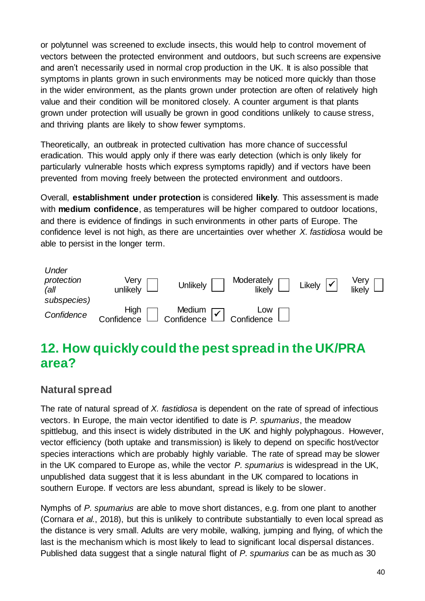or polytunnel was screened to exclude insects, this would help to control movement of vectors between the protected environment and outdoors, but such screens are expensive and aren't necessarily used in normal crop production in the UK. It is also possible that symptoms in plants grown in such environments may be noticed more quickly than those in the wider environment, as the plants grown under protection are often of relatively high value and their condition will be monitored closely. A counter argument is that plants grown under protection will usually be grown in good conditions unlikely to cause stress, and thriving plants are likely to show fewer symptoms.

Theoretically, an outbreak in protected cultivation has more chance of successful eradication. This would apply only if there was early detection (which is only likely for particularly vulnerable hosts which express symptoms rapidly) and if vectors have been prevented from moving freely between the protected environment and outdoors.

Overall, **establishment under protection** is considered **likely**. This assessment is made with **medium confidence**, as temperatures will be higher compared to outdoor locations, and there is evidence of findings in such environments in other parts of Europe. The confidence level is not high, as there are uncertainties over whether *X. fastidiosa* would be able to persist in the longer term.

| Under<br>protection<br>(all)<br>subspecies) | Very<br>unlikely   | <b>Unlikely</b>                                                                                                                                                                                                                                                                                                                                                    | Moderately<br>likely L | Likely $ \mathbf{v} $ | Very<br>likely |
|---------------------------------------------|--------------------|--------------------------------------------------------------------------------------------------------------------------------------------------------------------------------------------------------------------------------------------------------------------------------------------------------------------------------------------------------------------|------------------------|-----------------------|----------------|
| Confidence                                  | High<br>Confidence | $\begin{tabular}{c} \begin{tabular}{c} \rule{0.2cm}{1.2cm} \rule{0.2cm}{1.2cm} \rule{0.2cm}{1.2cm} \rule{0.2cm}{1.2cm} \rule{0.2cm}{0.2cm} \rule{0.2cm}{0.2cm} \rule{0.2cm}{0.2cm} \rule{0.2cm}{0.2cm} \rule{0.2cm}{0.2cm} \rule{0.2cm}{0.2cm} \rule{0.2cm}{0.2cm} \rule{0.2cm}{0.2cm} \rule{0.2cm}{0.2cm} \rule{0.2cm}{0.2cm} \rule{0.2cm}{0.2cm} \rule{0.2cm}{0$ |                        |                       |                |

# **12. How quickly could the pest spread in the UK/PRA area?**

### **Natural spread**

The rate of natural spread of *X. fastidiosa* is dependent on the rate of spread of infectious vectors. In Europe, the main vector identified to date is *P. spumarius*, the meadow spittlebug, and this insect is widely distributed in the UK and highly polyphagous. However, vector efficiency (both uptake and transmission) is likely to depend on specific host/vector species interactions which are probably highly variable. The rate of spread may be slower in the UK compared to Europe as, while the vector *P. spumarius* is widespread in the UK, unpublished data suggest that it is less abundant in the UK compared to locations in southern Europe. If vectors are less abundant, spread is likely to be slower.

Nymphs of *P. spumarius* are able to move short distances, e.g. from one plant to another (Cornara *et al.*, 2018), but this is unlikely to contribute substantially to even local spread as the distance is very small. Adults are very mobile, walking, jumping and flying, of which the last is the mechanism which is most likely to lead to significant local dispersal distances. Published data suggest that a single natural flight of *P. spumarius* can be as much as 30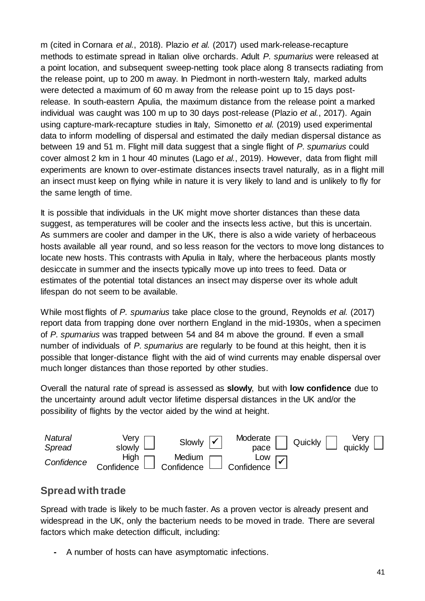m (cited in Cornara *et al.*, 2018). Plazio *et al.* (2017) used mark-release-recapture methods to estimate spread in Italian olive orchards. Adult *P. spumarius* were released at a point location, and subsequent sweep-netting took place along 8 transects radiating from the release point, up to 200 m away. In Piedmont in north-western Italy, marked adults were detected a maximum of 60 m away from the release point up to 15 days postrelease. In south-eastern Apulia, the maximum distance from the release point a marked individual was caught was 100 m up to 30 days post-release (Plazio *et al.*, 2017). Again using capture-mark-recapture studies in Italy, Simonetto *et al.* (2019) used experimental data to inform modelling of dispersal and estimated the daily median dispersal distance as between 19 and 51 m. Flight mill data suggest that a single flight of *P. spumarius* could cover almost 2 km in 1 hour 40 minutes (Lago e*t al.*, 2019). However, data from flight mill experiments are known to over-estimate distances insects travel naturally, as in a flight mill an insect must keep on flying while in nature it is very likely to land and is unlikely to fly for the same length of time.

It is possible that individuals in the UK might move shorter distances than these data suggest, as temperatures will be cooler and the insects less active, but this is uncertain. As summers are cooler and damper in the UK, there is also a wide variety of herbaceous hosts available all year round, and so less reason for the vectors to move long distances to locate new hosts. This contrasts with Apulia in Italy, where the herbaceous plants mostly desiccate in summer and the insects typically move up into trees to feed. Data or estimates of the potential total distances an insect may disperse over its whole adult lifespan do not seem to be available.

While most flights of *P. spumarius* take place close to the ground, Reynolds *et al.* (2017) report data from trapping done over northern England in the mid-1930s, when a specimen of *P. spumarius* was trapped between 54 and 84 m above the ground. If even a small number of individuals of *P. spumarius* are regularly to be found at this height, then it is possible that longer-distance flight with the aid of wind currents may enable dispersal over much longer distances than those reported by other studies.

Overall the natural rate of spread is assessed as **slowly**, but with **low confidence** due to the uncertainty around adult vector lifetime dispersal distances in the UK and/or the possibility of flights by the vector aided by the wind at height.



### **Spread with trade**

Spread with trade is likely to be much faster. As a proven vector is already present and widespread in the UK, only the bacterium needs to be moved in trade. There are several factors which make detection difficult, including:

**-** A number of hosts can have asymptomatic infections.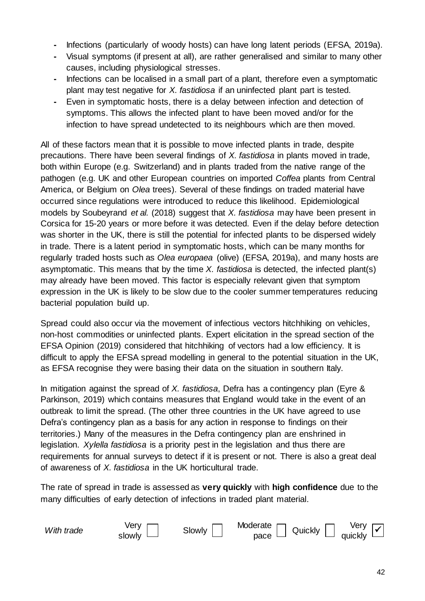- **-** Infections (particularly of woody hosts) can have long latent periods (EFSA, 2019a).
- **-** Visual symptoms (if present at all), are rather generalised and similar to many other causes, including physiological stresses.
- **-** Infections can be localised in a small part of a plant, therefore even a symptomatic plant may test negative for *X. fastidiosa* if an uninfected plant part is tested.
- **-** Even in symptomatic hosts, there is a delay between infection and detection of symptoms. This allows the infected plant to have been moved and/or for the infection to have spread undetected to its neighbours which are then moved.

All of these factors mean that it is possible to move infected plants in trade, despite precautions. There have been several findings of *X. fastidiosa* in plants moved in trade, both within Europe (e.g. Switzerland) and in plants traded from the native range of the pathogen (e.g. UK and other European countries on imported *Coffea* plants from Central America, or Belgium on *Olea* trees). Several of these findings on traded material have occurred since regulations were introduced to reduce this likelihood. Epidemiological models by Soubeyrand *et al.* (2018) suggest that *X. fastidiosa* may have been present in Corsica for 15-20 years or more before it was detected. Even if the delay before detection was shorter in the UK, there is still the potential for infected plants to be dispersed widely in trade. There is a latent period in symptomatic hosts, which can be many months for regularly traded hosts such as *Olea europaea* (olive) (EFSA, 2019a), and many hosts are asymptomatic. This means that by the time *X. fastidiosa* is detected, the infected plant(s) may already have been moved. This factor is especially relevant given that symptom expression in the UK is likely to be slow due to the cooler summer temperatures reducing bacterial population build up.

Spread could also occur via the movement of infectious vectors hitchhiking on vehicles, non-host commodities or uninfected plants. Expert elicitation in the spread section of the EFSA Opinion (2019) considered that hitchhiking of vectors had a low efficiency. It is difficult to apply the EFSA spread modelling in general to the potential situation in the UK, as EFSA recognise they were basing their data on the situation in southern Italy.

In mitigation against the spread of *X. fastidiosa*, Defra has a contingency plan (Eyre & Parkinson, 2019) which contains measures that England would take in the event of an outbreak to limit the spread. (The other three countries in the UK have agreed to use Defra's contingency plan as a basis for any action in response to findings on their territories.) Many of the measures in the Defra contingency plan are enshrined in legislation. *Xylella fastidiosa* is a priority pest in the legislation and thus there are requirements for annual surveys to detect if it is present or not. There is also a great deal of awareness of *X. fastidiosa* in the UK horticultural trade.

The rate of spread in trade is assessed as **very quickly** with **high confidence** due to the many difficulties of early detection of infections in traded plant material.

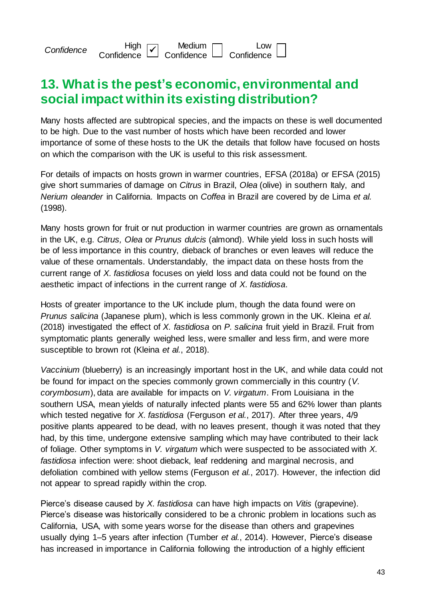*Confidence* **High**  $\begin{array}{c} \mathsf{High} \\ \mathsf{Confidence} \end{array}$ Medium **Confidence** Low **Confidence** 

## **13. What is the pest's economic, environmental and social impact within its existing distribution?**

Many hosts affected are subtropical species, and the impacts on these is well documented to be high. Due to the vast number of hosts which have been recorded and lower importance of some of these hosts to the UK the details that follow have focused on hosts on which the comparison with the UK is useful to this risk assessment.

For details of impacts on hosts grown in warmer countries, EFSA (2018a) or EFSA (2015) give short summaries of damage on *Citrus* in Brazil, *Olea* (olive) in southern Italy, and *Nerium oleander* in California. Impacts on *Coffea* in Brazil are covered by de Lima *et al.* (1998).

Many hosts grown for fruit or nut production in warmer countries are grown as ornamentals in the UK, e.g. *Citrus, Olea* or *Prunus dulcis* (almond). While yield loss in such hosts will be of less importance in this country, dieback of branches or even leaves will reduce the value of these ornamentals. Understandably, the impact data on these hosts from the current range of *X. fastidiosa* focuses on yield loss and data could not be found on the aesthetic impact of infections in the current range of *X. fastidiosa*.

Hosts of greater importance to the UK include plum, though the data found were on *Prunus salicina* (Japanese plum), which is less commonly grown in the UK. Kleina *et al.* (2018) investigated the effect of *X. fastidiosa* on *P. salicina* fruit yield in Brazil. Fruit from symptomatic plants generally weighed less, were smaller and less firm, and were more susceptible to brown rot (Kleina *et al.*, 2018).

*Vaccinium* (blueberry) is an increasingly important host in the UK, and while data could not be found for impact on the species commonly grown commercially in this country (*V. corymbosum*), data are available for impacts on *V. virgatum*. From Louisiana in the southern USA, mean yields of naturally infected plants were 55 and 62% lower than plants which tested negative for *X. fastidiosa* (Ferguson *et al.*, 2017). After three years, 4/9 positive plants appeared to be dead, with no leaves present, though it was noted that they had, by this time, undergone extensive sampling which may have contributed to their lack of foliage. Other symptoms in *V. virgatum* which were suspected to be associated with *X. fastidiosa* infection were: shoot dieback, leaf reddening and marginal necrosis, and defoliation combined with yellow stems (Ferguson *et al.*, 2017). However, the infection did not appear to spread rapidly within the crop.

Pierce's disease caused by *X. fastidiosa* can have high impacts on *Vitis* (grapevine). Pierce's disease was historically considered to be a chronic problem in locations such as California, USA, with some years worse for the disease than others and grapevines usually dying 1–5 years after infection (Tumber *et al.*, 2014). However, Pierce's disease has increased in importance in California following the introduction of a highly efficient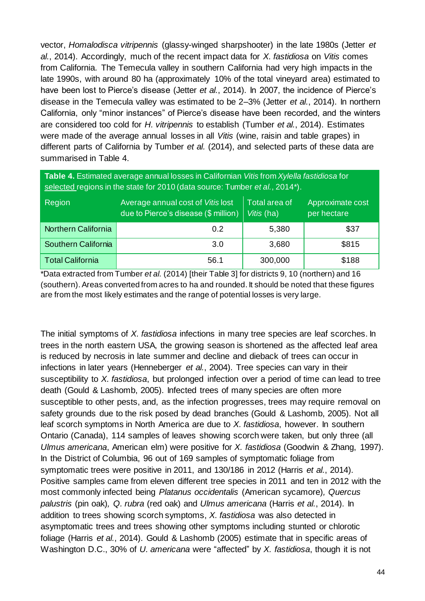vector, *Homalodisca vitripennis* (glassy-winged sharpshooter) in the late 1980s (Jetter *et al.*, 2014). Accordingly, much of the recent impact data for *X. fastidiosa* on *Vitis* comes from California. The Temecula valley in southern California had very high impacts in the late 1990s, with around 80 ha (approximately 10% of the total vineyard area) estimated to have been lost to Pierce's disease (Jetter *et al.*, 2014). In 2007, the incidence of Pierce's disease in the Temecula valley was estimated to be 2–3% (Jetter *et al.*, 2014). In northern California, only "minor instances" of Pierce's disease have been recorded, and the winters are considered too cold for *H. vitripennis* to establish (Tumber *et al.*, 2014). Estimates were made of the average annual losses in all *Vitis* (wine, raisin and table grapes) in different parts of California by Tumber *et al.* (2014), and selected parts of these data are summarised in Table 4.

| Table 4. Estimated average annual losses in Californian Vitis from Xylella fastidiosa for<br>selected regions in the state for 2010 (data source: Tumber et al., 2014*). |      |         |       |  |  |  |
|--------------------------------------------------------------------------------------------------------------------------------------------------------------------------|------|---------|-------|--|--|--|
| Average annual cost of Vitis lost<br>Total area of<br>Approximate cost<br>Region<br>due to Pierce's disease (\$ million)<br>Vitis (ha)<br>per hectare                    |      |         |       |  |  |  |
| Northern California                                                                                                                                                      | 0.2  | 5,380   | \$37  |  |  |  |
| Southern California                                                                                                                                                      | 3.0  | 3,680   | \$815 |  |  |  |
| <b>Total California</b>                                                                                                                                                  | 56.1 | 300,000 | \$188 |  |  |  |

\*Data extracted from Tumber *et al.* (2014) [their Table 3] for districts 9, 10 (northern) and 16 (southern). Areas converted from acres to ha and rounded. It should be noted that these figures are from the most likely estimates and the range of potential losses is very large.

The initial symptoms of *X. fastidiosa* infections in many tree species are leaf scorches. In trees in the north eastern USA, the growing season is shortened as the affected leaf area is reduced by necrosis in late summer and decline and dieback of trees can occur in infections in later years (Henneberger *et al.*, 2004). Tree species can vary in their susceptibility to *X. fastidiosa*, but prolonged infection over a period of time can lead to tree death (Gould & Lashomb, 2005). Infected trees of many species are often more susceptible to other pests, and, as the infection progresses, trees may require removal on safety grounds due to the risk posed by dead branches (Gould & Lashomb, 2005). Not all leaf scorch symptoms in North America are due to *X. fastidiosa*, however. In southern Ontario (Canada), 114 samples of leaves showing scorch were taken, but only three (all *Ulmus americana*, American elm) were positive for *X. fastidiosa* (Goodwin & Zhang, 1997). In the District of Columbia, 96 out of 169 samples of symptomatic foliage from symptomatic trees were positive in 2011, and 130/186 in 2012 (Harris *et al.*, 2014). Positive samples came from eleven different tree species in 2011 and ten in 2012 with the most commonly infected being *Platanus occidentalis* (American sycamore)*, Quercus palustris* (pin oak)*, Q. rubra* (red oak) and *Ulmus americana* (Harris *et al.*, 2014). In addition to trees showing scorch symptoms, *X. fastidiosa* was also detected in asymptomatic trees and trees showing other symptoms including stunted or chlorotic foliage (Harris *et al.*, 2014). Gould & Lashomb (2005) estimate that in specific areas of Washington D.C., 30% of *U. americana* were "affected" by *X. fastidiosa*, though it is not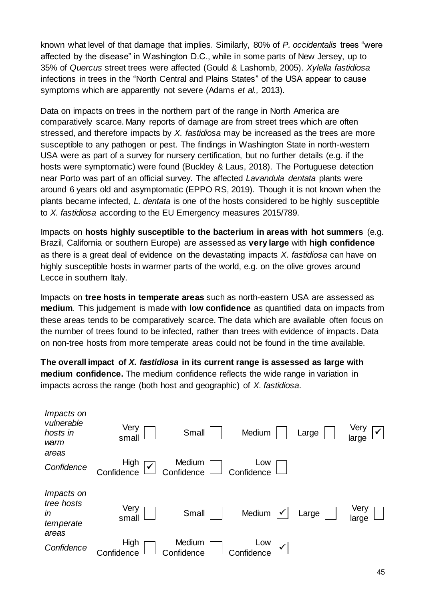known what level of that damage that implies. Similarly, 80% of *P. occidentalis* trees "were affected by the disease" in Washington D.C., while in some parts of New Jersey, up to 35% of *Quercus* street trees were affected (Gould & Lashomb, 2005). *Xylella fastidiosa* infections in trees in the "North Central and Plains States" of the USA appear to cause symptoms which are apparently not severe (Adams *et al.,* 2013).

Data on impacts on trees in the northern part of the range in North America are comparatively scarce. Many reports of damage are from street trees which are often stressed, and therefore impacts by *X. fastidiosa* may be increased as the trees are more susceptible to any pathogen or pest. The findings in Washington State in north-western USA were as part of a survey for nursery certification, but no further details (e.g. if the hosts were symptomatic) were found (Buckley & Laus, 2018). The Portuguese detection near Porto was part of an official survey. The affected *Lavandula dentata* plants were around 6 years old and asymptomatic (EPPO RS, 2019). Though it is not known when the plants became infected, *L. dentata* is one of the hosts considered to be highly susceptible to *X. fastidiosa* according to the EU Emergency measures 2015/789.

Impacts on **hosts highly susceptible to the bacterium in areas with hot summers** (e.g. Brazil, California or southern Europe) are assessed as **very large** with **high confidence** as there is a great deal of evidence on the devastating impacts *X. fastidiosa* can have on highly susceptible hosts in warmer parts of the world, e.g. on the olive groves around Lecce in southern Italy.

Impacts on **tree hosts in temperate areas** such as north-eastern USA are assessed as **medium**. This judgement is made with **low confidence** as quantified data on impacts from these areas tends to be comparatively scarce. The data which are available often focus on the number of trees found to be infected, rather than trees with evidence of impacts. Data on non-tree hosts from more temperate areas could not be found in the time available.

**The overall impact of** *X. fastidiosa* **in its current range is assessed as large with medium confidence.** The medium confidence reflects the wide range in variation in impacts across the range (both host and geographic) of *X. fastidiosa*.

| <i>Impacts on</i><br>vulnerable<br>hosts in<br>warm<br>areas | Very<br>small                      | Small                | Medium            | Large | Very<br>large |
|--------------------------------------------------------------|------------------------------------|----------------------|-------------------|-------|---------------|
| Confidence                                                   | High<br>$\checkmark$<br>Confidence | Medium<br>Confidence | Low<br>Confidence |       |               |
| <i>Impacts on</i><br>tree hosts<br>in<br>temperate<br>areas  | Very<br>small                      | Small                | Medium            | Large | Very<br>large |
| Confidence                                                   | High<br>Confidence                 | Medium<br>Confidence | Low<br>Confidence |       |               |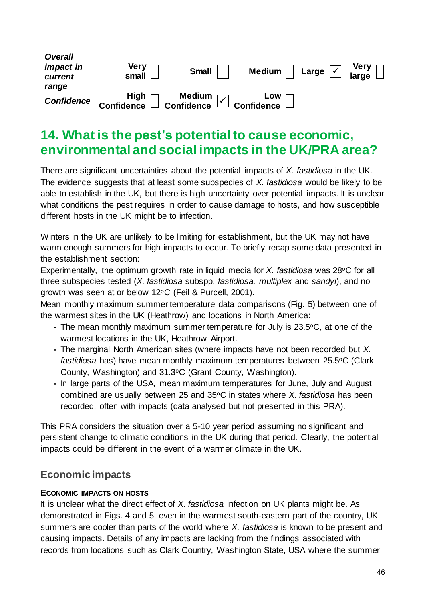| <b>Overall</b><br><i>impact in</i><br>current | Very<br>small                                             | Small | Medium $\vert \ \vert$ Large $\vert \checkmark \vert$ |  |
|-----------------------------------------------|-----------------------------------------------------------|-------|-------------------------------------------------------|--|
| range                                         |                                                           |       |                                                       |  |
| <b>Confidence</b>                             | High   Medium   Low<br>Confidence   Confidence Monfidence |       |                                                       |  |

### **14. What is the pest's potentialto cause economic, environmental and social impacts in the UK/PRA area?**

There are significant uncertainties about the potential impacts of *X. fastidiosa* in the UK. The evidence suggests that at least some subspecies of *X. fastidiosa* would be likely to be able to establish in the UK, but there is high uncertainty over potential impacts. It is unclear what conditions the pest requires in order to cause damage to hosts, and how susceptible different hosts in the UK might be to infection.

Winters in the UK are unlikely to be limiting for establishment, but the UK may not have warm enough summers for high impacts to occur. To briefly recap some data presented in the establishment section:

Experimentally, the optimum growth rate in liquid media for *X. fastidiosa* was 28°C for all three subspecies tested (*X. fastidiosa* subspp. *fastidiosa, multiplex* and *sandyi*), and no growth was seen at or below 12°C (Feil & Purcell, 2001).

Mean monthly maximum summer temperature data comparisons (Fig. 5) between one of the warmest sites in the UK (Heathrow) and locations in North America:

- **-** The mean monthly maximum summer temperature for July is 23.5oC, at one of the warmest locations in the UK, Heathrow Airport.
- **-** The marginal North American sites (where impacts have not been recorded but *X.*  fastidiosa has) have mean monthly maximum temperatures between 25.5°C (Clark County, Washington) and 31.3oC (Grant County, Washington).
- **-** In large parts of the USA, mean maximum temperatures for June, July and August combined are usually between 25 and 35oC in states where *X. fastidiosa* has been recorded, often with impacts (data analysed but not presented in this PRA).

This PRA considers the situation over a 5-10 year period assuming no significant and persistent change to climatic conditions in the UK during that period. Clearly, the potential impacts could be different in the event of a warmer climate in the UK.

### **Economic impacts**

#### **ECONOMIC IMPACTS ON HOSTS**

It is unclear what the direct effect of *X. fastidiosa* infection on UK plants might be. As demonstrated in Figs. 4 and 5, even in the warmest south-eastern part of the country, UK summers are cooler than parts of the world where *X. fastidiosa* is known to be present and causing impacts. Details of any impacts are lacking from the findings associated with records from locations such as Clark Country, Washington State, USA where the summer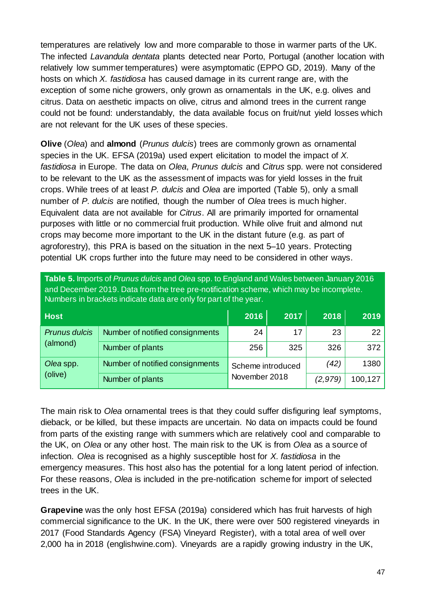temperatures are relatively low and more comparable to those in warmer parts of the UK. The infected *Lavandula dentata* plants detected near Porto, Portugal (another location with relatively low summer temperatures) were asymptomatic (EPPO GD, 2019). Many of the hosts on which *X. fastidiosa* has caused damage in its current range are, with the exception of some niche growers, only grown as ornamentals in the UK, e.g. olives and citrus. Data on aesthetic impacts on olive, citrus and almond trees in the current range could not be found: understandably, the data available focus on fruit/nut yield losses which are not relevant for the UK uses of these species.

**Olive** (*Olea*) and **almond** (*Prunus dulcis*) trees are commonly grown as ornamental species in the UK. EFSA (2019a) used expert elicitation to model the impact of *X. fastidiosa* in Europe. The data on *Olea*, *Prunus dulcis* and *Citrus* spp. were not considered to be relevant to the UK as the assessment of impacts was for yield losses in the fruit crops. While trees of at least *P. dulcis* and *Olea* are imported (Table 5), only a small number of *P. dulcis* are notified, though the number of *Olea* trees is much higher. Equivalent data are not available for *Citrus*. All are primarily imported for ornamental purposes with little or no commercial fruit production. While olive fruit and almond nut crops may become more important to the UK in the distant future (e.g. as part of agroforestry), this PRA is based on the situation in the next 5–10 years. Protecting potential UK crops further into the future may need to be considered in other ways.

| Table 5. Imports of <i>Prunus dulcis</i> and <i>Olea</i> spp. to England and Wales between January 2016<br>and December 2019. Data from the tree pre-notification scheme, which may be incomplete.<br>Numbers in brackets indicate data are only for part of the year. |                                 |                   |      |         |         |
|------------------------------------------------------------------------------------------------------------------------------------------------------------------------------------------------------------------------------------------------------------------------|---------------------------------|-------------------|------|---------|---------|
| <b>Host</b>                                                                                                                                                                                                                                                            |                                 | 2016              | 2017 | 2018    | 2019    |
| Prunus dulcis<br>(almond)                                                                                                                                                                                                                                              | Number of notified consignments | 24                | 17   | 23      | 22      |
|                                                                                                                                                                                                                                                                        | Number of plants                | 325<br>256        |      | 326     | 372     |
| Olea spp.                                                                                                                                                                                                                                                              | Number of notified consignments | Scheme introduced |      | (42)    | 1380    |
| (olive)                                                                                                                                                                                                                                                                | Number of plants                | November 2018     |      | (2,979) | 100,127 |

**Table 5.** Imports of *Prunus dulcis* and *Olea* spp. to England and Wales between January 2016

The main risk to *Olea* ornamental trees is that they could suffer disfiguring leaf symptoms, dieback, or be killed, but these impacts are uncertain. No data on impacts could be found from parts of the existing range with summers which are relatively cool and comparable to the UK, on *Olea* or any other host. The main risk to the UK is from *Olea* as a source of infection. *Olea* is recognised as a highly susceptible host for *X. fastidiosa* in the emergency measures. This host also has the potential for a long latent period of infection. For these reasons, *Olea* is included in the pre-notification scheme for import of selected trees in the UK.

**Grapevine** was the only host EFSA (2019a) considered which has fruit harvests of high commercial significance to the UK. In the UK, there were over 500 registered vineyards in 2017 (Food Standards Agency (FSA) Vineyard Register), with a total area of well over 2,000 ha in 2018 (englishwine.com). Vineyards are a rapidly growing industry in the UK,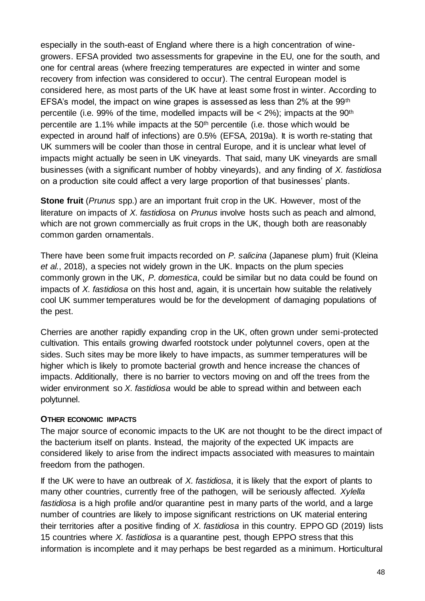especially in the south-east of England where there is a high concentration of winegrowers. EFSA provided two assessments for grapevine in the EU, one for the south, and one for central areas (where freezing temperatures are expected in winter and some recovery from infection was considered to occur). The central European model is considered here, as most parts of the UK have at least some frost in winter. According to EFSA's model, the impact on wine grapes is assessed as less than 2% at the 99th percentile (i.e. 99% of the time, modelled impacts will be  $<$  2%); impacts at the 90<sup>th</sup> percentile are 1.1% while impacts at the 50th percentile (i.e. those which would be expected in around half of infections) are 0.5% (EFSA, 2019a). It is worth re-stating that UK summers will be cooler than those in central Europe, and it is unclear what level of impacts might actually be seen in UK vineyards. That said, many UK vineyards are small businesses (with a significant number of hobby vineyards), and any finding of *X. fastidiosa* on a production site could affect a very large proportion of that businesses' plants.

**Stone fruit** (*Prunus* spp.) are an important fruit crop in the UK. However, most of the literature on impacts of *X. fastidiosa* on *Prunus* involve hosts such as peach and almond, which are not grown commercially as fruit crops in the UK, though both are reasonably common garden ornamentals.

There have been some fruit impacts recorded on *P. salicina* (Japanese plum) fruit (Kleina *et al.*, 2018), a species not widely grown in the UK. Impacts on the plum species commonly grown in the UK, *P. domestica*, could be similar but no data could be found on impacts of *X. fastidiosa* on this host and, again, it is uncertain how suitable the relatively cool UK summer temperatures would be for the development of damaging populations of the pest.

Cherries are another rapidly expanding crop in the UK, often grown under semi-protected cultivation. This entails growing dwarfed rootstock under polytunnel covers, open at the sides. Such sites may be more likely to have impacts, as summer temperatures will be higher which is likely to promote bacterial growth and hence increase the chances of impacts. Additionally, there is no barrier to vectors moving on and off the trees from the wider environment so *X. fastidiosa* would be able to spread within and between each polytunnel.

#### **OTHER ECONOMIC IMPACTS**

The major source of economic impacts to the UK are not thought to be the direct impact of the bacterium itself on plants. Instead, the majority of the expected UK impacts are considered likely to arise from the indirect impacts associated with measures to maintain freedom from the pathogen.

If the UK were to have an outbreak of *X. fastidiosa*, it is likely that the export of plants to many other countries, currently free of the pathogen, will be seriously affected. *Xylella fastidiosa* is a high profile and/or quarantine pest in many parts of the world, and a large number of countries are likely to impose significant restrictions on UK material entering their territories after a positive finding of *X. fastidiosa* in this country. EPPO GD (2019) lists 15 countries where *X. fastidiosa* is a quarantine pest, though EPPO stress that this information is incomplete and it may perhaps be best regarded as a minimum. Horticultural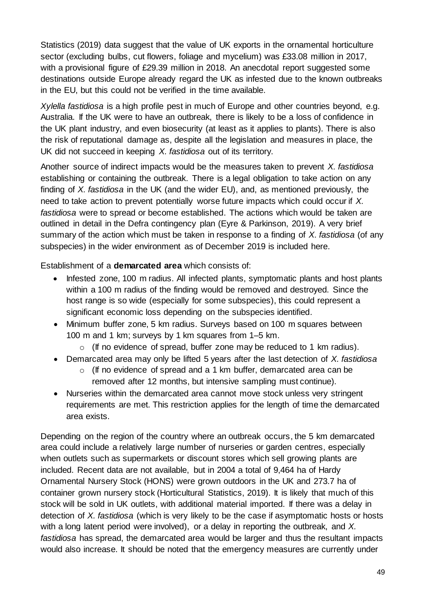Statistics (2019) data suggest that the value of UK exports in the ornamental horticulture sector (excluding bulbs, cut flowers, foliage and mycelium) was £33.08 million in 2017, with a provisional figure of £29.39 million in 2018. An anecdotal report suggested some destinations outside Europe already regard the UK as infested due to the known outbreaks in the EU, but this could not be verified in the time available.

*Xylella fastidiosa* is a high profile pest in much of Europe and other countries beyond, e.g. Australia. If the UK were to have an outbreak, there is likely to be a loss of confidence in the UK plant industry, and even biosecurity (at least as it applies to plants). There is also the risk of reputational damage as, despite all the legislation and measures in place, the UK did not succeed in keeping *X. fastidiosa* out of its territory.

Another source of indirect impacts would be the measures taken to prevent *X. fastidiosa* establishing or containing the outbreak. There is a legal obligation to take action on any finding of *X. fastidiosa* in the UK (and the wider EU), and, as mentioned previously, the need to take action to prevent potentially worse future impacts which could occur if *X. fastidiosa* were to spread or become established. The actions which would be taken are outlined in detail in the Defra contingency plan (Eyre & Parkinson, 2019). A very brief summary of the action which must be taken in response to a finding of *X. fastidiosa* (of any subspecies) in the wider environment as of December 2019 is included here.

Establishment of a **demarcated area** which consists of:

- Infested zone, 100 m radius. All infected plants, symptomatic plants and host plants within a 100 m radius of the finding would be removed and destroyed. Since the host range is so wide (especially for some subspecies), this could represent a significant economic loss depending on the subspecies identified.
- Minimum buffer zone, 5 km radius. Surveys based on 100 m squares between 100 m and 1 km; surveys by 1 km squares from 1–5 km.
	- o (If no evidence of spread, buffer zone may be reduced to 1 km radius).
- Demarcated area may only be lifted 5 years after the last detection of *X. fastidiosa*
	- $\circ$  (If no evidence of spread and a 1 km buffer, demarcated area can be removed after 12 months, but intensive sampling must continue).
- Nurseries within the demarcated area cannot move stock unless very stringent requirements are met. This restriction applies for the length of time the demarcated area exists.

Depending on the region of the country where an outbreak occurs, the 5 km demarcated area could include a relatively large number of nurseries or garden centres, especially when outlets such as supermarkets or discount stores which sell growing plants are included. Recent data are not available, but in 2004 a total of 9,464 ha of Hardy Ornamental Nursery Stock (HONS) were grown outdoors in the UK and 273.7 ha of container grown nursery stock (Horticultural Statistics, 2019). It is likely that much of this stock will be sold in UK outlets, with additional material imported. If there was a delay in detection of *X. fastidiosa* (which is very likely to be the case if asymptomatic hosts or hosts with a long latent period were involved), or a delay in reporting the outbreak, and *X. fastidiosa* has spread, the demarcated area would be larger and thus the resultant impacts would also increase. It should be noted that the emergency measures are currently under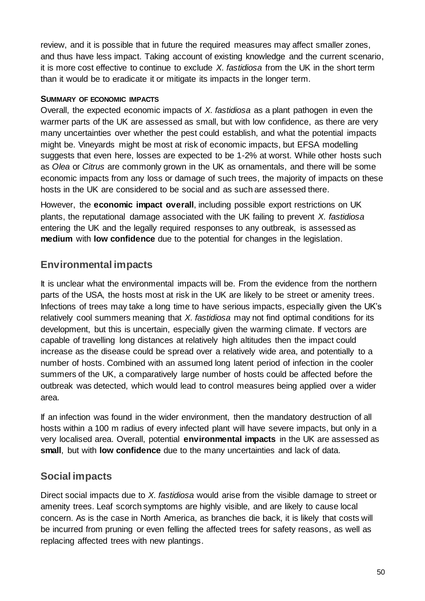review, and it is possible that in future the required measures may affect smaller zones, and thus have less impact. Taking account of existing knowledge and the current scenario, it is more cost effective to continue to exclude *X. fastidiosa* from the UK in the short term than it would be to eradicate it or mitigate its impacts in the longer term.

#### **SUMMARY OF ECONOMIC IMPACTS**

Overall, the expected economic impacts of *X. fastidiosa* as a plant pathogen in even the warmer parts of the UK are assessed as small, but with low confidence, as there are very many uncertainties over whether the pest could establish, and what the potential impacts might be. Vineyards might be most at risk of economic impacts, but EFSA modelling suggests that even here, losses are expected to be 1-2% at worst. While other hosts such as *Olea* or *Citrus* are commonly grown in the UK as ornamentals, and there will be some economic impacts from any loss or damage of such trees, the majority of impacts on these hosts in the UK are considered to be social and as such are assessed there.

However, the **economic impact overall**, including possible export restrictions on UK plants, the reputational damage associated with the UK failing to prevent *X. fastidiosa* entering the UK and the legally required responses to any outbreak, is assessed as **medium** with **low confidence** due to the potential for changes in the legislation.

### **Environmental impacts**

It is unclear what the environmental impacts will be. From the evidence from the northern parts of the USA, the hosts most at risk in the UK are likely to be street or amenity trees. Infections of trees may take a long time to have serious impacts, especially given the UK's relatively cool summers meaning that *X. fastidiosa* may not find optimal conditions for its development, but this is uncertain, especially given the warming climate. If vectors are capable of travelling long distances at relatively high altitudes then the impact could increase as the disease could be spread over a relatively wide area, and potentially to a number of hosts. Combined with an assumed long latent period of infection in the cooler summers of the UK, a comparatively large number of hosts could be affected before the outbreak was detected, which would lead to control measures being applied over a wider area.

If an infection was found in the wider environment, then the mandatory destruction of all hosts within a 100 m radius of every infected plant will have severe impacts, but only in a very localised area. Overall, potential **environmental impacts** in the UK are assessed as **small**, but with **low confidence** due to the many uncertainties and lack of data.

### **Social impacts**

Direct social impacts due to *X. fastidiosa* would arise from the visible damage to street or amenity trees. Leaf scorch symptoms are highly visible, and are likely to cause local concern. As is the case in North America, as branches die back, it is likely that costs will be incurred from pruning or even felling the affected trees for safety reasons, as well as replacing affected trees with new plantings.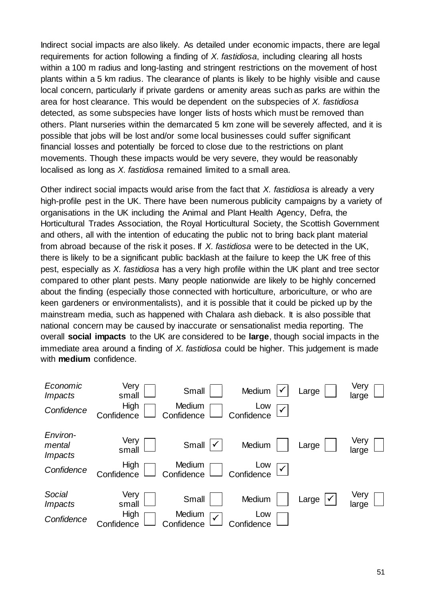Indirect social impacts are also likely. As detailed under economic impacts, there are legal requirements for action following a finding of *X. fastidiosa*, including clearing all hosts within a 100 m radius and long-lasting and stringent restrictions on the movement of host plants within a 5 km radius. The clearance of plants is likely to be highly visible and cause local concern, particularly if private gardens or amenity areas such as parks are within the area for host clearance. This would be dependent on the subspecies of *X. fastidiosa* detected, as some subspecies have longer lists of hosts which must be removed than others. Plant nurseries within the demarcated 5 km zone will be severely affected, and it is possible that jobs will be lost and/or some local businesses could suffer significant financial losses and potentially be forced to close due to the restrictions on plant movements. Though these impacts would be very severe, they would be reasonably localised as long as *X. fastidiosa* remained limited to a small area.

Other indirect social impacts would arise from the fact that *X. fastidiosa* is already a very high-profile pest in the UK. There have been numerous publicity campaigns by a variety of organisations in the UK including the Animal and Plant Health Agency, Defra, the Horticultural Trades Association, the Royal Horticultural Society, the Scottish Government and others, all with the intention of educating the public not to bring back plant material from abroad because of the risk it poses. If *X. fastidiosa* were to be detected in the UK, there is likely to be a significant public backlash at the failure to keep the UK free of this pest, especially as *X. fastidiosa* has a very high profile within the UK plant and tree sector compared to other plant pests. Many people nationwide are likely to be highly concerned about the finding (especially those connected with horticulture, arboriculture, or who are keen gardeners or environmentalists), and it is possible that it could be picked up by the mainstream media, such as happened with Chalara ash dieback. It is also possible that national concern may be caused by inaccurate or sensationalist media reporting. The overall **social impacts** to the UK are considered to be **large**, though social impacts in the immediate area around a finding of *X. fastidiosa* could be higher. This judgement is made with **medium** confidence.

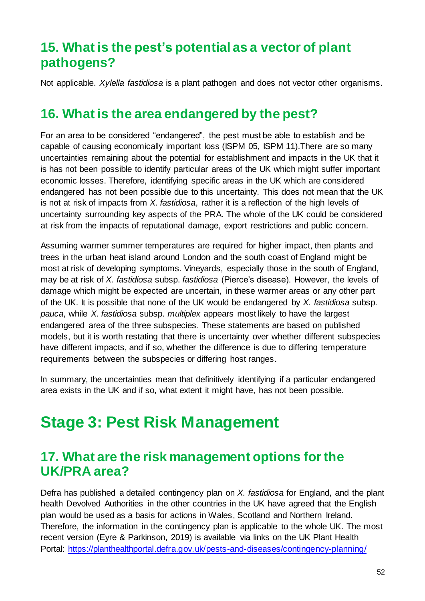# **15. What is the pest's potential as a vector of plant pathogens?**

Not applicable. *Xylella fastidiosa* is a plant pathogen and does not vector other organisms.

### **16. What is the area endangered by the pest?**

For an area to be considered "endangered", the pest must be able to establish and be capable of causing economically important loss (ISPM 05, ISPM 11).There are so many uncertainties remaining about the potential for establishment and impacts in the UK that it is has not been possible to identify particular areas of the UK which might suffer important economic losses. Therefore, identifying specific areas in the UK which are considered endangered has not been possible due to this uncertainty. This does not mean that the UK is not at risk of impacts from *X. fastidiosa*, rather it is a reflection of the high levels of uncertainty surrounding key aspects of the PRA. The whole of the UK could be considered at risk from the impacts of reputational damage, export restrictions and public concern.

Assuming warmer summer temperatures are required for higher impact, then plants and trees in the urban heat island around London and the south coast of England might be most at risk of developing symptoms. Vineyards, especially those in the south of England, may be at risk of *X. fastidiosa* subsp. *fastidiosa* (Pierce's disease). However, the levels of damage which might be expected are uncertain, in these warmer areas or any other part of the UK. It is possible that none of the UK would be endangered by *X. fastidiosa* subsp. *pauca*, while *X. fastidiosa* subsp. *multiplex* appears most likely to have the largest endangered area of the three subspecies. These statements are based on published models, but it is worth restating that there is uncertainty over whether different subspecies have different impacts, and if so, whether the difference is due to differing temperature requirements between the subspecies or differing host ranges.

In summary, the uncertainties mean that definitively identifying if a particular endangered area exists in the UK and if so, what extent it might have, has not been possible.

# **Stage 3: Pest Risk Management**

## **17. What are the risk management options forthe UK/PRA area?**

Defra has published a detailed contingency plan on *X. fastidiosa* for England, and the plant health Devolved Authorities in the other countries in the UK have agreed that the English plan would be used as a basis for actions in Wales, Scotland and Northern Ireland. Therefore, the information in the contingency plan is applicable to the whole UK. The most recent version (Eyre & Parkinson, 2019) is available via links on the UK Plant Health Portal:<https://planthealthportal.defra.gov.uk/pests-and-diseases/contingency-planning/>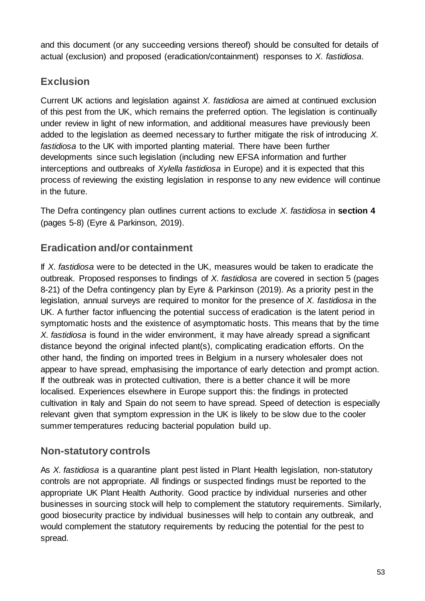and this document (or any succeeding versions thereof) should be consulted for details of actual (exclusion) and proposed (eradication/containment) responses to *X. fastidiosa*.

### **Exclusion**

Current UK actions and legislation against *X. fastidiosa* are aimed at continued exclusion of this pest from the UK, which remains the preferred option. The legislation is continually under review in light of new information, and additional measures have previously been added to the legislation as deemed necessary to further mitigate the risk of introducing *X. fastidiosa* to the UK with imported planting material. There have been further developments since such legislation (including new EFSA information and further interceptions and outbreaks of *Xylella fastidiosa* in Europe) and it is expected that this process of reviewing the existing legislation in response to any new evidence will continue in the future.

The Defra contingency plan outlines current actions to exclude *X. fastidiosa* in **section 4** (pages 5-8) (Eyre & Parkinson, 2019).

### **Eradication and/or containment**

If *X. fastidiosa* were to be detected in the UK, measures would be taken to eradicate the outbreak. Proposed responses to findings of *X. fastidiosa* are covered in section 5 (pages 8-21) of the Defra contingency plan by Eyre & Parkinson (2019). As a priority pest in the legislation, annual surveys are required to monitor for the presence of *X. fastidiosa* in the UK. A further factor influencing the potential success of eradication is the latent period in symptomatic hosts and the existence of asymptomatic hosts. This means that by the time *X. fastidiosa* is found in the wider environment, it may have already spread a significant distance beyond the original infected plant(s), complicating eradication efforts. On the other hand, the finding on imported trees in Belgium in a nursery wholesaler does not appear to have spread, emphasising the importance of early detection and prompt action. If the outbreak was in protected cultivation, there is a better chance it will be more localised. Experiences elsewhere in Europe support this: the findings in protected cultivation in Italy and Spain do not seem to have spread. Speed of detection is especially relevant given that symptom expression in the UK is likely to be slow due to the cooler summer temperatures reducing bacterial population build up.

### **Non-statutory controls**

As *X. fastidiosa* is a quarantine plant pest listed in Plant Health legislation, non-statutory controls are not appropriate. All findings or suspected findings must be reported to the appropriate UK Plant Health Authority. Good practice by individual nurseries and other businesses in sourcing stock will help to complement the statutory requirements. Similarly, good biosecurity practice by individual businesses will help to contain any outbreak, and would complement the statutory requirements by reducing the potential for the pest to spread.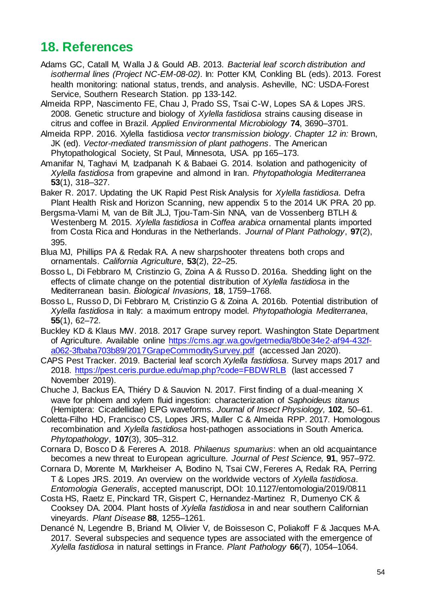# **18. References**

- Adams GC, Catall M, Walla J & Gould AB. 2013. *Bacterial leaf scorch distribution and isothermal lines (Project NC-EM-08-02)*. In: Potter KM, Conkling BL (eds). 2013. Forest health monitoring: national status, trends, and analysis. Asheville, NC: USDA-Forest Service, Southern Research Station. pp 133-142.
- Almeida RPP, Nascimento FE, Chau J, Prado SS, Tsai C-W, Lopes SA & Lopes JRS. 2008. Genetic structure and biology of *Xylella fastidiosa* strains causing disease in citrus and coffee in Brazil. *Applied Environmental Microbiology* **74**, 3690–3701.
- Almeida RPP. 2016. Xylella fastidiosa *vector transmission biology*. *Chapter 12 in:* Brown, JK (ed). *Vector-mediated transmission of plant pathogens*. The American Phytopathological Society, St Paul, Minnesota, USA. pp 165–173.
- Amanifar N, Taghavi M, Izadpanah K & Babaei G. 2014. Isolation and pathogenicity of *Xylella fastidiosa* from grapevine and almond in Iran. *Phytopathologia Mediterranea* **53**(1), 318–327.
- Baker R. 2017. Updating the UK Rapid Pest Risk Analysis for *Xylella fastidiosa*. Defra Plant Health Risk and Horizon Scanning, new appendix 5 to the 2014 UK PRA. 20 pp.
- Bergsma-Vlami M, van de Bilt JLJ, Tjou-Tam-Sin NNA, van de Vossenberg BTLH & Westenberg M. 2015. *Xylella fastidiosa* in *Coffea arabica* ornamental plants imported from Costa Rica and Honduras in the Netherlands. *Journal of Plant Pathology*, **97**(2), 395.
- Blua MJ, Phillips PA & Redak RA. A new sharpshooter threatens both crops and ornamentals. *California Agriculture*, **53**(2), 22–25.
- Bosso L, Di Febbraro M, Cristinzio G, Zoina A & Russo D. 2016a. Shedding light on the effects of climate change on the potential distribution of *Xylella fastidiosa* in the Mediterranean basin. *Biological Invasions,* **18**, 1759–1768.
- Bosso L, Russo D, Di Febbraro M, Cristinzio G & Zoina A. 2016b. Potential distribution of *Xylella fastidiosa* in Italy: a maximum entropy model. *Phytopathologia Mediterranea*, **55**(1), 62–72.
- Buckley KD & Klaus MW. 2018. 2017 Grape survey report. Washington State Department of Agriculture. Available online [https://cms.agr.wa.gov/getmedia/8b0e34e2-af94-432f](https://cms.agr.wa.gov/getmedia/8b0e34e2-af94-432f-a062-3fbaba703b89/2017GrapeCommoditySurvey.pdf)[a062-3fbaba703b89/2017GrapeCommoditySurvey.pdf](https://cms.agr.wa.gov/getmedia/8b0e34e2-af94-432f-a062-3fbaba703b89/2017GrapeCommoditySurvey.pdf) (accessed Jan 2020).
- CAPS Pest Tracker. 2019. Bacterial leaf scorch *Xylella fastidiosa*. Survey maps 2017 and 2018.<https://pest.ceris.purdue.edu/map.php?code=FBDWRLB> (last accessed 7 November 2019).
- Chuche J, Backus EA, Thiéry D & Sauvion N. 2017. First finding of a dual-meaning X wave for phloem and xylem fluid ingestion: characterization of *Saphoideus titanus* (Hemiptera: Cicadellidae) EPG waveforms. *Journal of Insect Physiology,* **102**, 50–61.
- Coletta-Filho HD, Francisco CS, Lopes JRS, Muller C & Almeida RPP. 2017. Homologous recombination and *Xylella fastidiosa* host-pathogen associations in South America. *Phytopathology*, **107**(3), 305–312.
- Cornara D, Bosco D & Fereres A. 2018. *Philaenus spumarius*: when an old acquaintance becomes a new threat to European agriculture. *Journal of Pest Science,* **91**, 957–972.
- Cornara D, Morente M, Markheiser A, Bodino N, Tsai CW, Fereres A, Redak RA, Perring T & Lopes JRS. 2019. An overview on the worldwide vectors of *Xylella fastidiosa*. *Entomologia Generalis*, accepted manuscript, DOI: 10.1127/entomologia/2019/0811
- Costa HS, Raetz E, Pinckard TR, Gispert C, Hernandez-Martinez R, Dumenyo CK & Cooksey DA. 2004. Plant hosts of *Xylella fastidiosa* in and near southern Californian vineyards. *Plant Disease* **88**, 1255–1261.
- Denancé N, Legendre B, Briand M, Olivier V, de Boisseson C, Poliakoff F & Jacques M-A. 2017. Several subspecies and sequence types are associated with the emergence of *Xylella fastidiosa* in natural settings in France. *Plant Pathology* **66**(7), 1054–1064.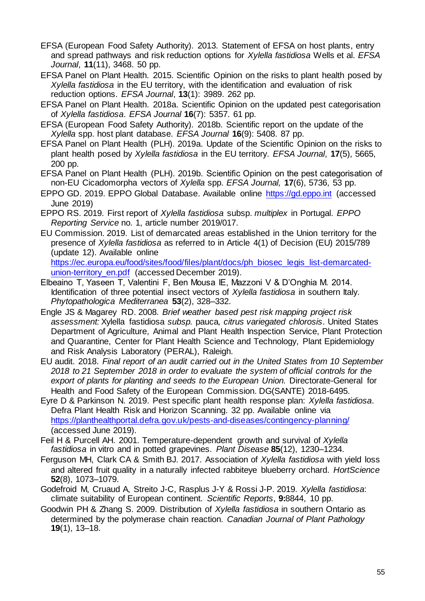- EFSA (European Food Safety Authority). 2013. Statement of EFSA on host plants, entry and spread pathways and risk reduction options for *Xylella fastidiosa* Wells et al. *EFSA Journal*, **11**(11), 3468. 50 pp.
- EFSA Panel on Plant Health. 2015. Scientific Opinion on the risks to plant health posed by *Xylella fastidiosa* in the EU territory, with the identification and evaluation of risk reduction options. *EFSA Journal*, **13**(1): 3989. 262 pp.
- EFSA Panel on Plant Health. 2018a. Scientific Opinion on the updated pest categorisation of *Xylella fastidiosa*. *EFSA Journal* **16**(7): 5357. 61 pp.
- EFSA (European Food Safety Authority). 2018b. Scientific report on the update of the *Xylella* spp. host plant database. *EFSA Journal* **16**(9): 5408. 87 pp.
- EFSA Panel on Plant Health (PLH). 2019a. Update of the Scientific Opinion on the risks to plant health posed by *Xylella fastidiosa* in the EU territory. *EFSA Journal*, **17**(5), 5665, 200 pp.
- EFSA Panel on Plant Health (PLH). 2019b. Scientific Opinion on the pest categorisation of non-EU Cicadomorpha vectors of *Xylella* spp. *EFSA Journal,* **17**(6), 5736, 53 pp.
- EPPO GD. 2019. EPPO Global Database. Available online [https://gd.eppo.int](https://gd.eppo.int/) (accessed June 2019)
- EPPO RS. 2019. First report of *Xylella fastidiosa* subsp. *multiplex* in Portugal. *EPPO Reporting Service* no. 1, article number 2019/017.
- EU Commission. 2019. List of demarcated areas established in the Union territory for the presence of *Xylella fastidiosa* as referred to in Article 4(1) of Decision (EU) 2015/789 (update 12). Available online

[https://ec.europa.eu/food/sites/food/files/plant/docs/ph\\_biosec\\_legis\\_list-demarcated](https://ec.europa.eu/food/sites/food/files/plant/docs/ph_biosec_legis_list-demarcated-union-territory_en.pdf)[union-territory\\_en.pdf](https://ec.europa.eu/food/sites/food/files/plant/docs/ph_biosec_legis_list-demarcated-union-territory_en.pdf) (accessed December 2019).

- Elbeaino T, Yaseen T, Valentini F, Ben Mousa IE, Mazzoni V & D'Onghia M. 2014. Identification of three potential insect vectors of *Xylella fastidiosa* in southern Italy. *Phytopathologica Mediterranea* **53**(2), 328–332.
- Engle JS & Magarey RD. 2008. *Brief weather based pest risk mapping project risk assessment:* Xylella fastidiosa *subsp.* pauca*, citrus variegated chlorosis*. United States Department of Agriculture, Animal and Plant Health Inspection Service, Plant Protection and Quarantine, Center for Plant Health Science and Technology, Plant Epidemiology and Risk Analysis Laboratory (PERAL), Raleigh.
- EU audit. 2018. *Final report of an audit carried out in the United States from 10 September 2018 to 21 September 2018 in order to evaluate the system of official controls for the export of plants for planting and seeds to the European Union.* Directorate-General for Health and Food Safety of the European Commission. DG(SANTE) 2018-6495.
- Eyre D & Parkinson N. 2019. Pest specific plant health response plan: *Xylella fastidiosa*. Defra Plant Health Risk and Horizon Scanning. 32 pp. Available online via <https://planthealthportal.defra.gov.uk/pests-and-diseases/contingency-planning/> (accessed June 2019).
- Feil H & Purcell AH. 2001. Temperature-dependent growth and survival of *Xylella fastidiosa* in vitro and in potted grapevines. *Plant Disease* **85**(12), 1230–1234.
- Ferguson MH, Clark CA & Smith BJ. 2017. Association of *Xylella fastidiosa* with yield loss and altered fruit quality in a naturally infected rabbiteye blueberry orchard. *HortScience* **52**(8), 1073–1079.
- Godefroid M, Cruaud A, Streito J-C, Rasplus J-Y & Rossi J-P. 2019. *Xylella fastidiosa*: climate suitability of European continent. *Scientific Reports*, **9:**8844, 10 pp.
- Goodwin PH & Zhang S. 2009. Distribution of *Xylella fastidiosa* in southern Ontario as determined by the polymerase chain reaction. *Canadian Journal of Plant Pathology* **19**(1), 13–18.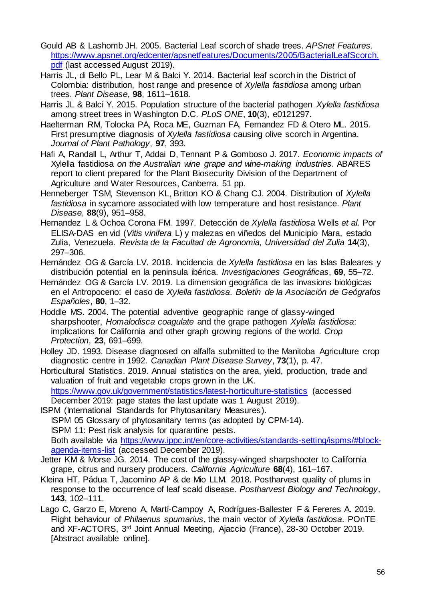- Gould AB & Lashomb JH. 2005. Bacterial Leaf scorch of shade trees. *APSnet Features.* [https://www.apsnet.org/edcenter/apsnetfeatures/Documents/2005/BacterialLeafScorch.](https://www.apsnet.org/edcenter/apsnetfeatures/Documents/2005/BacterialLeafScorch.pdf) [pdf](https://www.apsnet.org/edcenter/apsnetfeatures/Documents/2005/BacterialLeafScorch.pdf) (last accessed August 2019).
- Harris JL, di Bello PL, Lear M & Balci Y. 2014. Bacterial leaf scorch in the District of Colombia: distribution, host range and presence of *Xylella fastidiosa* among urban trees. *Plant Disease*, **98**, 1611–1618.
- Harris JL & Balci Y. 2015. Population structure of the bacterial pathogen *Xylella fastidiosa* among street trees in Washington D.C. *PLoS ONE*, **10**(3), e0121297.
- Haelterman RM, Tolocka PA, Roca ME, Guzman FA, Fernandez FD & Otero ML. 2015. First presumptive diagnosis of *Xylella fastidiosa* causing olive scorch in Argentina. *Journal of Plant Pathology*, **97**, 393.
- Hafi A, Randall L, Arthur T, Addai D, Tennant P & Gomboso J. 2017. *Economic impacts of* Xylella fastidiosa *on the Australian wine grape and wine-making industries*. ABARES report to client prepared for the Plant Biosecurity Division of the Department of Agriculture and Water Resources, Canberra. 51 pp.
- Henneberger TSM, Stevenson KL, Britton KO & Chang CJ. 2004. Distribution of *Xylella fastidiosa* in sycamore associated with low temperature and host resistance. *Plant Disease*, **88**(9), 951–958.
- Hernandez L & Ochoa Corona FM. 1997. Detección de *Xylella fastidiosa* Wells *et al.* Por ELISA-DAS en vid (*Vitis vinifera* L) y malezas en viñedos del Municipio Mara, estado Zulia, Venezuela. *Revista de la Facultad de Agronomia, Universidad del Zulia* **14**(3), 297–306.
- Hernández OG & García LV. 2018. Incidencia de *Xylella fastidiosa* en las Islas Baleares y distribución potential en la peninsula ibérica. *Investigaciones Geográficas*, **69**, 55–72.
- Hernández OG & García LV. 2019. La dimension geográfica de las invasions biológicas en el Antropoceno: el caso de *Xylella fastidiosa*. *Boletín de la Asociación de Geógrafos Españoles*, **80**, 1–32.
- Hoddle MS. 2004. The potential adventive geographic range of glassy-winged sharpshooter, *Homalodisca coagulate* and the grape pathogen *Xylella fastidiosa*: implications for California and other graph growing regions of the world. *Crop Protection*, **23**, 691–699.
- Holley JD. 1993. Disease diagnosed on alfalfa submitted to the Manitoba Agriculture crop diagnostic centre in 1992. *Canadian Plant Disease Survey*, **73**(1), p. 47.
- Horticultural Statistics. 2019. Annual statistics on the area, yield, production, trade and valuation of fruit and vegetable crops grown in the UK. <https://www.gov.uk/government/statistics/latest-horticulture-statistics> (accessed December 2019: page states the last update was 1 August 2019).
- ISPM (International Standards for Phytosanitary Measures). ISPM 05 Glossary of phytosanitary terms (as adopted by CPM-14). ISPM 11: Pest risk analysis for quarantine pests. Both available via [https://www.ippc.int/en/core-activities/standards-setting/ispms/#block](https://www.ippc.int/en/core-activities/standards-setting/ispms/#block-agenda-items-list)[agenda-items-list](https://www.ippc.int/en/core-activities/standards-setting/ispms/#block-agenda-items-list) (accessed December 2019).
- Jetter KM & Morse JG. 2014. The cost of the glassy-winged sharpshooter to California grape, citrus and nursery producers. *California Agriculture* **68**(4), 161–167.
- Kleina HT, Pádua T, Jacomino AP & de Mio LLM. 2018. Postharvest quality of plums in response to the occurrence of leaf scald disease. *Postharvest Biology and Technology*, **143**, 102–111.
- Lago C, Garzo E, Moreno A, Martí-Campoy A, Rodrígues-Ballester F & Fereres A. 2019. Flight behaviour of *Philaenus spumarius*, the main vector of *Xylella fastidiosa*. POnTE and XF-ACTORS, 3rd Joint Annual Meeting, Ajaccio (France), 28-30 October 2019. [Abstract available online].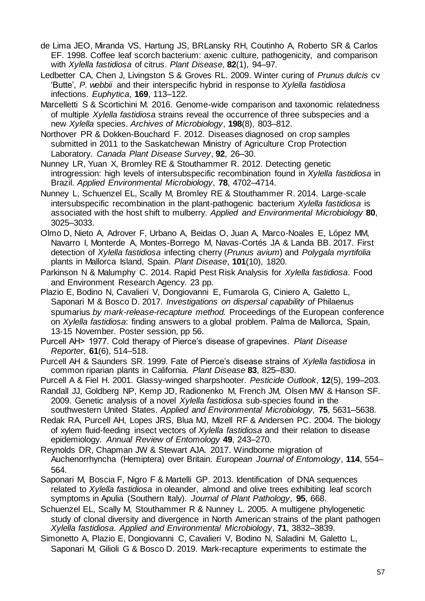- de Lima JEO, Miranda VS, Hartung JS, BRLansky RH, Coutinho A, Roberto SR & Carlos EF. 1998. Coffee leaf scorch bacterium: axenic culture, pathogenicity, and comparison with *Xylella fastidiosa* of citrus. *Plant Disease*, **82**(1), 94–97.
- Ledbetter CA, Chen J, Livingston S & Groves RL. 2009. Winter curing of *Prunus dulcis* cv 'Butte', *P. webbii* and their interspecific hybrid in response to *Xylella fastidiosa* infections. *Euphytica*, **169**, 113–122.
- Marcelletti S & Scortichini M. 2016. Genome-wide comparison and taxonomic relatedness of multiple *Xylella fastidiosa* strains reveal the occurrence of three subspecies and a new *Xylella* species. *Archives of Microbiology*, **198**(8), 803–812.
- Northover PR & Dokken-Bouchard F. 2012. Diseases diagnosed on crop samples submitted in 2011 to the Saskatchewan Ministry of Agriculture Crop Protection Laboratory. *Canada Plant Disease Survey*, **92**, 26–30.
- Nunney LR, Yuan X, Bromley RE & Stouthammer R. 2012. Detecting genetic introgression: high levels of intersubspecific recombination found in *Xylella fastidiosa* in Brazil. *Applied Environmental Microbiology*, **78**, 4702–4714.
- Nunney L, Schuenzel EL, Scally M, Bromley RE & Stouthammer R. 2014. Large-scale intersubspecific recombination in the plant-pathogenic bacterium *Xylella fastidiosa* is associated with the host shift to mulberry. *Applied and Environmental Microbiology* **80**, 3025–3033.
- Olmo D, Nieto A, Adrover F, Urbano A, Beidas O, Juan A, Marco-Noales E, López MM, Navarro I, Monterde A, Montes-Borrego M, Navas-Cortés JA & Landa BB. 2017. First detection of *Xylella fastidiosa* infecting cherry (*Prunus avium*) and *Polygala myrtifolia* plants in Mallorca Island, Spain. *Plant Disease*, **101**(10), 1820.
- Parkinson N & Malumphy C. 2014. Rapid Pest Risk Analysis for *Xylella fastidiosa*. Food and Environment Research Agency. 23 pp.
- Plazio E, Bodino N, Cavalieri V, Dongiovanni E, Fumarola G, Ciniero A, Galetto L, Saponari M & Bosco D. 2017. *Investigations on dispersal capability of* Philaenus spumarius *by mark-release-recapture method.* Proceedings of the European conference on *Xylella fastidiosa*: finding answers to a global problem. Palma de Mallorca, Spain, 13-15 November. Poster session, pp 56.
- Purcell AH> 1977. Cold therapy of Pierce's disease of grapevines. *Plant Disease Reporter*, **61**(6), 514–518.
- Purcell AH & Saunders SR. 1999. Fate of Pierce's disease strains of *Xylella fastidiosa* in common riparian plants in California. *Plant Disease* **83**, 825–830.
- Purcell A & Fiel H. 2001. Glassy-winged sharpshooter. *Pesticide Outlook*, **12**(5), 199–203.
- Randall JJ, Goldberg NP, Kemp JD, Radionenko M, French JM, Olsen MW & Hanson SF. 2009. Genetic analysis of a novel *Xylella fastidiosa* sub-species found in the southwestern United States. *Applied and Environmental Microbiology,* **75**, 5631–5638.
- Redak RA, Purcell AH, Lopes JRS, Blua MJ, Mizell RF & Andersen PC. 2004. The biology of xylem fluid-feeding insect vectors of *Xylella fastidiosa* and their relation to disease epidemiology. *Annual Review of Entomology* **49**, 243–270.
- Reynolds DR, Chapman JW & Stewart AJA. 2017. Windborne migration of Auchenorrhyncha (Hemiptera) over Britain. *European Journal of Entomology*, **114**, 554– 564.
- Saponari M, Boscia F, Nigro F & Martelli GP. 2013. Identification of DNA sequences related to *Xylella fastidiosa* in oleander, almond and olive trees exhibiting leaf scorch symptoms in Apulia (Southern Italy). *Journal of Plant Pathology*, **95**, 668.
- Schuenzel EL, Scally M, Stouthammer R & Nunney L. 2005. A multigene phylogenetic study of clonal diversity and divergence in North American strains of the plant pathogen *Xylella fastidiosa*. *Applied and Environmental Microbiology*, **71**, 3832–3839.
- Simonetto A, Plazio E, Dongiovanni C, Cavalieri V, Bodino N, Saladini M, Galetto L, Saponari M, Gilioli G & Bosco D. 2019. Mark-recapture experiments to estimate the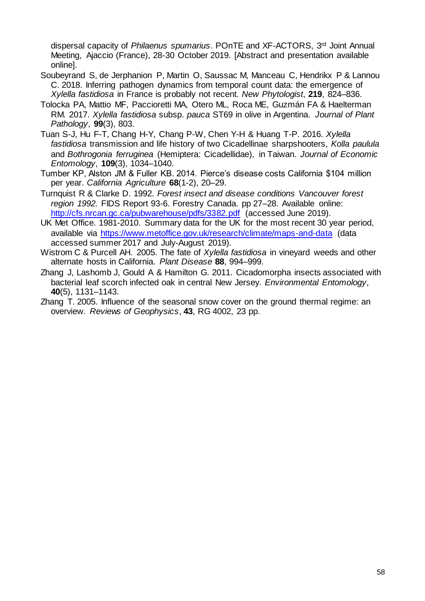dispersal capacity of *Philaenus spumarius*. POnTE and XF-ACTORS, 3rd Joint Annual Meeting, Ajaccio (France), 28-30 October 2019. [Abstract and presentation available online].

- Soubeyrand S, de Jerphanion P, Martin O, Saussac M, Manceau C, Hendrikx P & Lannou C. 2018. Inferring pathogen dynamics from temporal count data: the emergence of *Xylella fastidiosa* in France is probably not recent. *New Phytologist*, **219**, 824–836.
- Tolocka PA, Mattio MF, Paccioretti MA, Otero ML, Roca ME, Guzmán FA & Haelterman RM. 2017. *Xylella fastidiosa* subsp. *pauca* ST69 in olive in Argentina. *Journal of Plant Pathology*, **99**(3), 803.
- Tuan S-J, Hu F-T, Chang H-Y, Chang P-W, Chen Y-H & Huang T-P. 2016. *Xylella fastidiosa* transmission and life history of two Cicadellinae sharpshooters, *Kolla paulula* and *Bothrogonia ferruginea* (Hemiptera: Cicadellidae), in Taiwan. *Journal of Economic Entomology*, **109**(3), 1034–1040.
- Tumber KP, Alston JM & Fuller KB. 2014. Pierce's disease costs California \$104 million per year. *California Agriculture* **68**(1-2), 20–29.
- Turnquist R & Clarke D. 1992. *Forest insect and disease conditions Vancouver forest region 1992.* FIDS Report 93-6. Forestry Canada. pp 27–28. Available online: <http://cfs.nrcan.gc.ca/pubwarehouse/pdfs/3382.pdf> (accessed June 2019).
- UK Met Office. 1981-2010. Summary data for the UK for the most recent 30 year period, available via<https://www.metoffice.gov.uk/research/climate/maps-and-data> (data accessed summer 2017 and July-August 2019).
- Wistrom C & Purcell AH. 2005. The fate of *Xylella fastidiosa* in vineyard weeds and other alternate hosts in California. *Plant Disease* **88**, 994–999.
- Zhang J, Lashomb J, Gould A & Hamilton G. 2011. Cicadomorpha insects associated with bacterial leaf scorch infected oak in central New Jersey. *Environmental Entomology*, **40**(5), 1131–1143.
- Zhang T. 2005. Influence of the seasonal snow cover on the ground thermal regime: an overview. *Reviews of Geophysics*, **43**, RG 4002, 23 pp.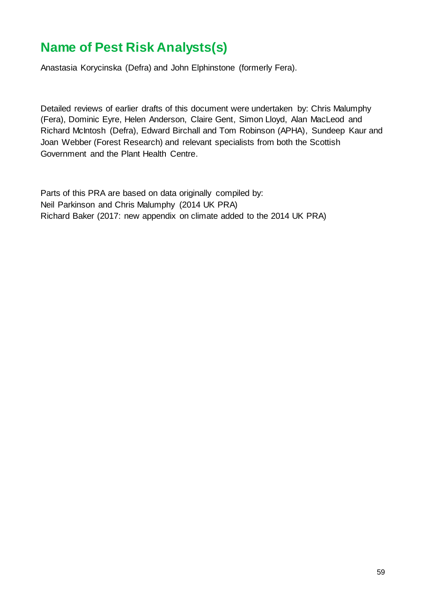# **Name of Pest Risk Analysts(s)**

Anastasia Korycinska (Defra) and John Elphinstone (formerly Fera).

Detailed reviews of earlier drafts of this document were undertaken by: Chris Malumphy (Fera), Dominic Eyre, Helen Anderson, Claire Gent, Simon Lloyd, Alan MacLeod and Richard McIntosh (Defra), Edward Birchall and Tom Robinson (APHA), Sundeep Kaur and Joan Webber (Forest Research) and relevant specialists from both the Scottish Government and the Plant Health Centre.

Parts of this PRA are based on data originally compiled by: Neil Parkinson and Chris Malumphy (2014 UK PRA) Richard Baker (2017: new appendix on climate added to the 2014 UK PRA)